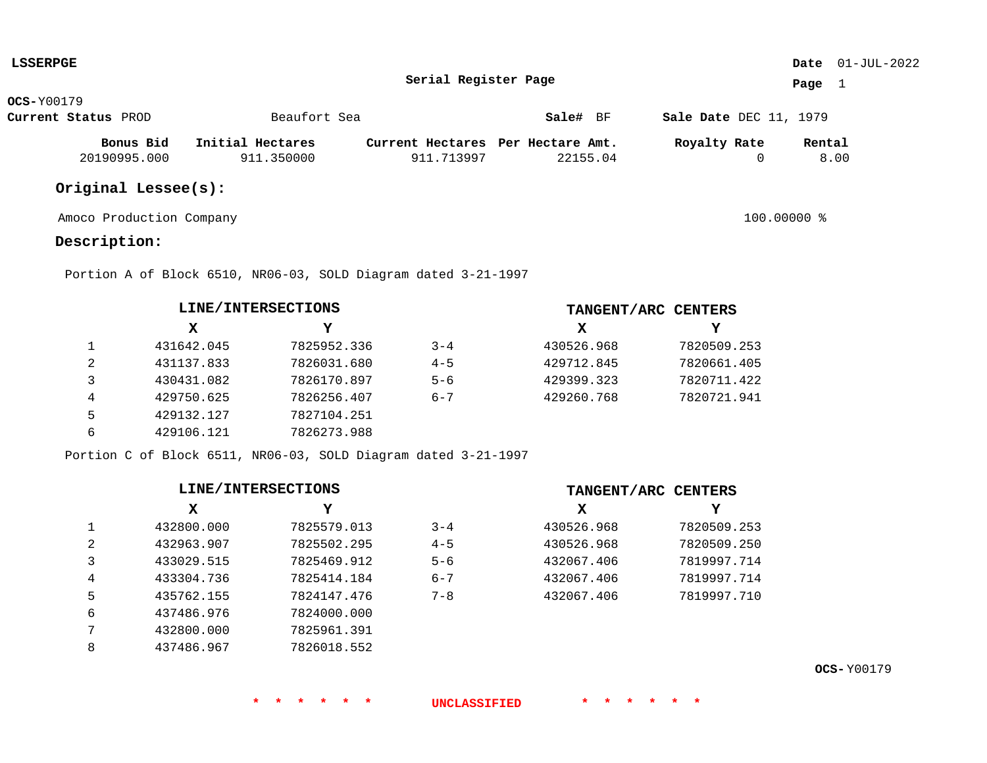| LSSERPGE            |                  |                                   |          |                               | <b>Date</b> $01-JUL-2022$ |
|---------------------|------------------|-----------------------------------|----------|-------------------------------|---------------------------|
|                     |                  | Serial Register Page              |          |                               | Page                      |
| <b>OCS-</b> Y00179  |                  |                                   |          |                               |                           |
| Current Status PROD | Beaufort Sea     |                                   | Sale# BF | <b>Sale Date DEC 11, 1979</b> |                           |
| Bonus Bid           | Initial Hectares | Current Hectares Per Hectare Amt. |          | Royalty Rate                  | Rental                    |
| 20190995.000        | 911.350000       | 911.713997                        | 22155.04 |                               | 8.00                      |

# **Original Lessee(s):**

Amoco Production Company 100.00000 %

## **Description:**

**L**SSERPE

Portion A of Block 6510, NR06-03, SOLD Diagram dated 3-21-1997

|   | LINE/INTERSECTIONS |             |         | TANGENT/ARC CENTERS |             |  |
|---|--------------------|-------------|---------|---------------------|-------------|--|
|   | х                  | Y           |         | х                   | Y           |  |
|   | 431642.045         | 7825952.336 | $3 - 4$ | 430526.968          | 7820509.253 |  |
| 2 | 431137.833         | 7826031.680 | $4 - 5$ | 429712.845          | 7820661.405 |  |
|   | 430431.082         | 7826170.897 | $5 - 6$ | 429399.323          | 7820711.422 |  |
| 4 | 429750.625         | 7826256.407 | $6 - 7$ | 429260.768          | 7820721.941 |  |
| 5 | 429132.127         | 7827104.251 |         |                     |             |  |
| 6 | 429106.121         | 7826273.988 |         |                     |             |  |

Portion C of Block 6511, NR06-03, SOLD Diagram dated 3-21-1997

|              | LINE/INTERSECTIONS |             |         |            | TANGENT/ARC CENTERS |
|--------------|--------------------|-------------|---------|------------|---------------------|
|              | х                  | Y           |         | X          | Y                   |
| $\mathbf{1}$ | 432800.000         | 7825579.013 | $3 - 4$ | 430526.968 | 7820509.253         |
| 2            | 432963.907         | 7825502.295 | $4 - 5$ | 430526.968 | 7820509.250         |
| 3            | 433029.515         | 7825469.912 | $5 - 6$ | 432067.406 | 7819997.714         |
| 4            | 433304.736         | 7825414.184 | $6 - 7$ | 432067.406 | 7819997.714         |
| 5            | 435762.155         | 7824147.476 | $7 - 8$ | 432067.406 | 7819997.710         |
| 6            | 437486.976         | 7824000.000 |         |            |                     |
| 7            | 432800.000         | 7825961.391 |         |            |                     |
| 8            | 437486.967         | 7826018.552 |         |            |                     |

**\* \* \* \* \* \* UNCLASSIFIED \* \* \* \* \* \***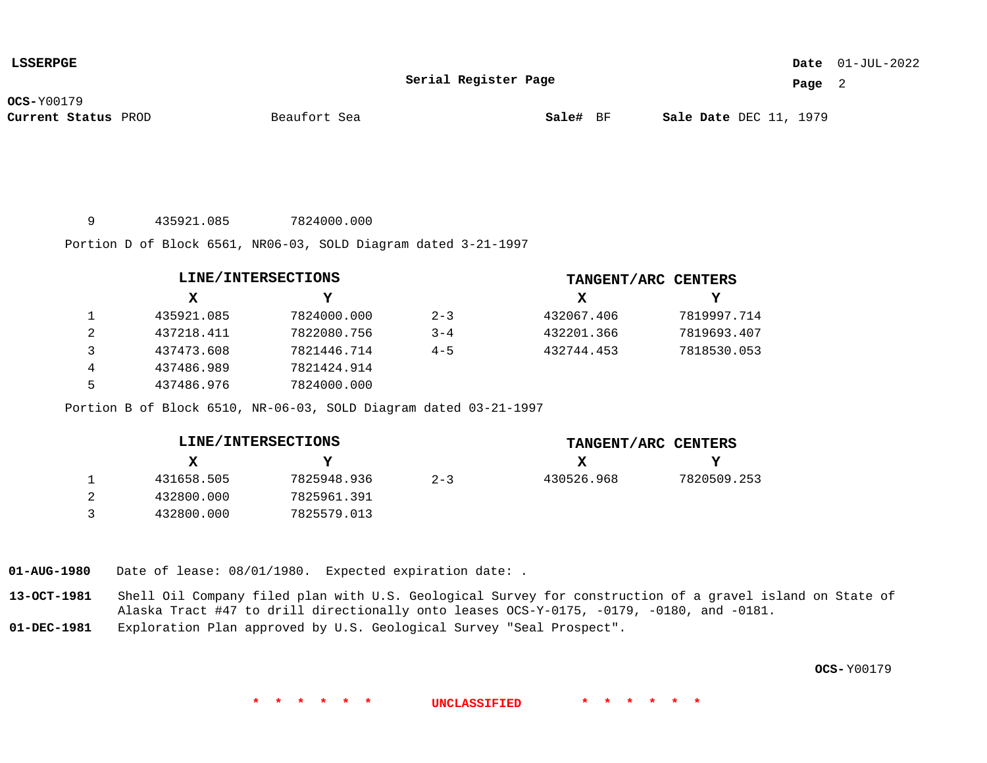### 01-JUL-2022 **Date**

**Serial Register Page**

**Page** 2

**OCS-**Y00179

**Current Status** PROD **Sale#** BF DEC 11, 1979

Beaufort Sea

9 435921.085 7824000.000

Portion D of Block 6561, NR06-03, SOLD Diagram dated 3-21-1997

|   | LINE/INTERSECTIONS |             |         | TANGENT/ARC CENTERS |             |
|---|--------------------|-------------|---------|---------------------|-------------|
|   | X                  | v           |         | х                   |             |
|   | 435921.085         | 7824000.000 | $2 - 3$ | 432067.406          | 7819997.714 |
| 2 | 437218.411         | 7822080.756 | $3 - 4$ | 432201.366          | 7819693.407 |
| 3 | 437473.608         | 7821446.714 | $4 - 5$ | 432744.453          | 7818530.053 |
| 4 | 437486.989         | 7821424.914 |         |                     |             |
| 5 | 437486.976         | 7824000.000 |         |                     |             |

Portion B of Block 6510, NR-06-03, SOLD Diagram dated 03-21-1997

| LINE/INTERSECTIONS |            |             |         |            | TANGENT/ARC CENTERS |
|--------------------|------------|-------------|---------|------------|---------------------|
|                    | х          |             |         |            | Y                   |
|                    | 431658.505 | 7825948.936 | $2 - 3$ | 430526.968 | 7820509.253         |
|                    | 432800.000 | 7825961.391 |         |            |                     |
|                    | 432800.000 | 7825579.013 |         |            |                     |

**01-AUG-1980** Date of lease: 08/01/1980. Expected expiration date: .

**13-OCT-1981** Shell Oil Company filed plan with U.S. Geological Survey for construction of a gravel island on State of Alaska Tract #47 to drill directionally onto leases OCS-Y-0175, -0179, -0180, and -0181.

**01-DEC-1981** Exploration Plan approved by U.S. Geological Survey "Seal Prospect".

**OCS-** Y00179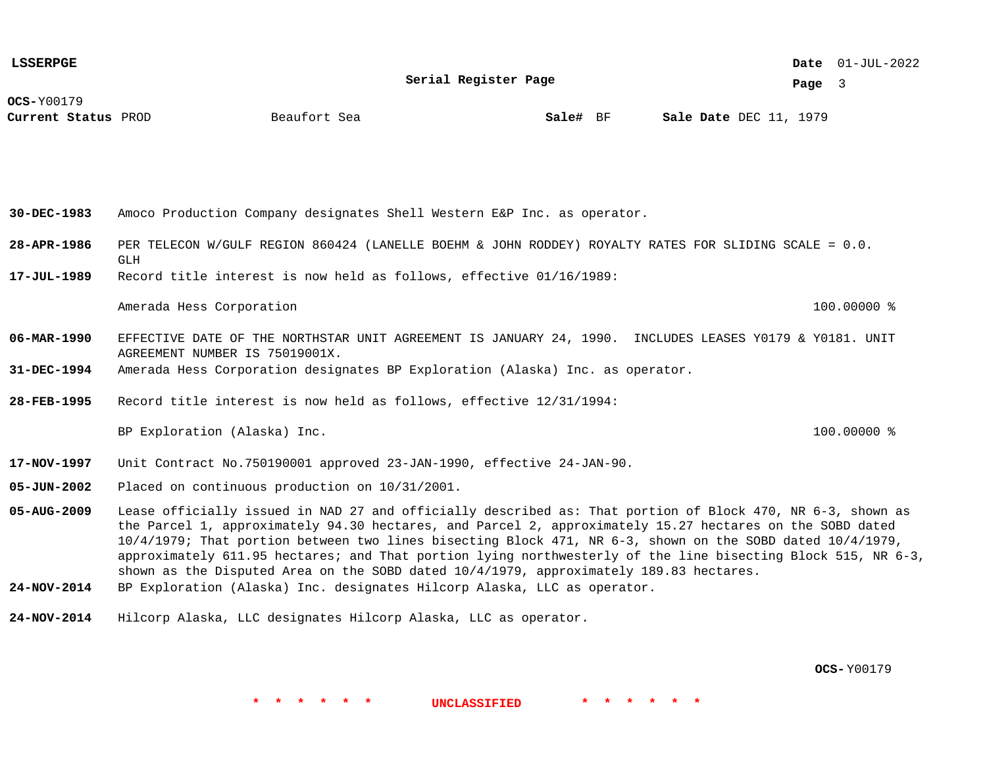**Serial Register Page**

01-JUL-2022 **Date**

**Page** 3

**OCS-**Y00179

**Current Status** PROD **Sale#** BF DEC 11, 1979

**Beaufort** Sea

**30-DEC-1983** Amoco Production Company designates Shell Western E&P Inc. as operator.

- **28-APR-1986** PER TELECON W/GULF REGION 860424 (LANELLE BOEHM & JOHN RODDEY) ROYALTY RATES FOR SLIDING SCALE = 0.0. GLH
- **17-JUL-1989** Record title interest is now held as follows, effective 01/16/1989:

Amerada Hess Corporation 100.00000 %

- **06-MAR-1990** EFFECTIVE DATE OF THE NORTHSTAR UNIT AGREEMENT IS JANUARY 24, 1990. INCLUDES LEASES Y0179 & Y0181. UNIT AGREEMENT NUMBER IS 75019001X.
- **31-DEC-1994** Amerada Hess Corporation designates BP Exploration (Alaska) Inc. as operator.
- **28-FEB-1995** Record title interest is now held as follows, effective 12/31/1994:

BP Exploration (Alaska) Inc. 100.0000 %

- **17-NOV-1997** Unit Contract No.750190001 approved 23-JAN-1990, effective 24-JAN-90.
- **05-JUN-2002** Placed on continuous production on 10/31/2001.
- **05-AUG-2009** Lease officially issued in NAD 27 and officially described as: That portion of Block 470, NR 6-3, shown as the Parcel 1, approximately 94.30 hectares, and Parcel 2, approximately 15.27 hectares on the SOBD dated 10/4/1979; That portion between two lines bisecting Block 471, NR 6-3, shown on the SOBD dated 10/4/1979, approximately 611.95 hectares; and That portion lying northwesterly of the line bisecting Block 515, NR 6-3, shown as the Disputed Area on the SOBD dated 10/4/1979, approximately 189.83 hectares.

**\* \* \* \* \* \* UNCLASSIFIED \* \* \* \* \* \***

- **24-NOV-2014** BP Exploration (Alaska) Inc. designates Hilcorp Alaska, LLC as operator.
- **24-NOV-2014** Hilcorp Alaska, LLC designates Hilcorp Alaska, LLC as operator.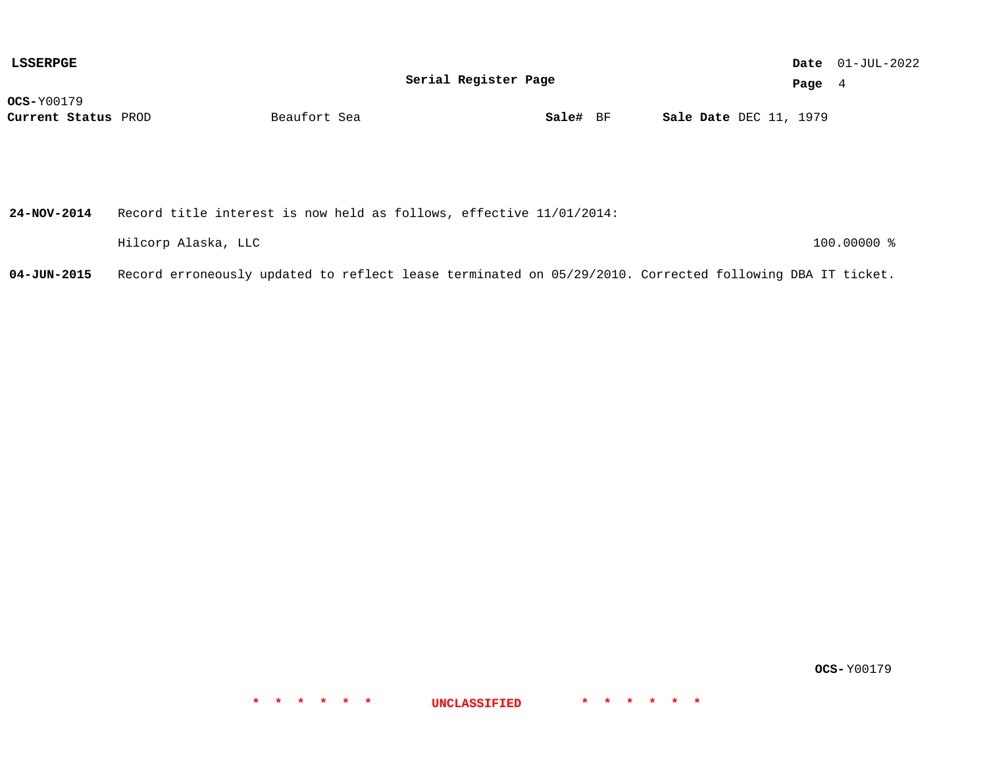| LSSERPGE            |              |                      |  |                               |          | <b>Date</b> $01-JUL-2022$ |
|---------------------|--------------|----------------------|--|-------------------------------|----------|---------------------------|
|                     |              | Serial Register Page |  |                               | Page $4$ |                           |
| <b>OCS-</b> Y00179  |              |                      |  |                               |          |                           |
| Current Status PROD | Beaufort Sea | Sale# BF             |  | <b>Sale Date DEC 11, 1979</b> |          |                           |
|                     |              |                      |  |                               |          |                           |

| 24-NOV-2014 | Record title interest is now held as follows, effective 11/01/2014: |               |
|-------------|---------------------------------------------------------------------|---------------|
|             | Hilcorp Alaska, LLC                                                 | $100.00000$ % |

**04-JUN-2015** Record erroneously updated to reflect lease terminated on 05/29/2010. Corrected following DBA IT ticket.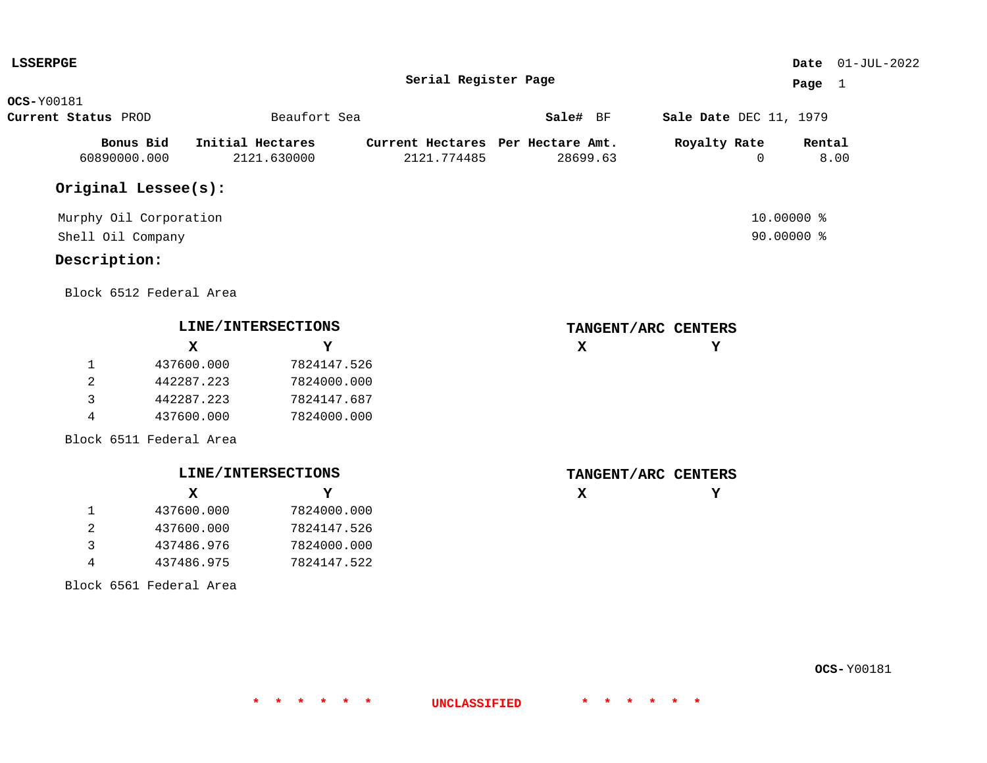| <b>LSSERPGE</b>        |                         |                    |                      |                                   |                        | Date $01-JUL-2022$ |
|------------------------|-------------------------|--------------------|----------------------|-----------------------------------|------------------------|--------------------|
|                        |                         |                    | Serial Register Page |                                   |                        | Page $1$           |
| <b>OCS-</b> Y00181     |                         |                    |                      |                                   |                        |                    |
| Current Status PROD    |                         | Beaufort Sea       |                      | Sale# BF                          | Sale Date DEC 11, 1979 |                    |
| Bonus Bid              |                         | Initial Hectares   |                      | Current Hectares Per Hectare Amt. | Royalty Rate           | Rental             |
| 60890000.000           |                         | 2121.630000        | 2121.774485          | 28699.63                          | $\Omega$               | 8.00               |
| Original Lessee(s):    |                         |                    |                      |                                   |                        |                    |
| Murphy Oil Corporation |                         |                    |                      |                                   |                        | 10.00000 %         |
| Shell Oil Company      |                         |                    |                      |                                   |                        | 90.00000 %         |
| Description:           |                         |                    |                      |                                   |                        |                    |
|                        | Block 6512 Federal Area |                    |                      |                                   |                        |                    |
|                        |                         | LINE/INTERSECTIONS |                      |                                   | TANGENT/ARC CENTERS    |                    |
|                        | $\mathbf{x}$            | Y                  |                      | $\mathbf x$                       | Y                      |                    |
| $\mathbf{1}$           | 437600.000              | 7824147.526        |                      |                                   |                        |                    |
| 2                      | 442287.223              | 7824000.000        |                      |                                   |                        |                    |
| 3                      | 442287.223              | 7824147.687        |                      |                                   |                        |                    |
| 4                      | 437600.000              | 7824000.000        |                      |                                   |                        |                    |
|                        | Block 6511 Federal Area |                    |                      |                                   |                        |                    |
|                        |                         | LINE/INTERSECTIONS |                      |                                   | TANGENT/ARC CENTERS    |                    |
|                        | $\mathbf{x}$            | Y                  |                      | $\mathbf x$                       | Y                      |                    |
| $\mathbf{1}$           | 437600.000              | 7824000.000        |                      |                                   |                        |                    |
| $\overline{a}$         | 437600.000              | 7824147.526        |                      |                                   |                        |                    |
| 3                      | 437486.976              | 7824000.000        |                      |                                   |                        |                    |

7824147.522

**\* \* \* \* \* \* UNCLASSIFIED \* \* \* \* \* \***

Block 6561 Federal Area

4 437486.975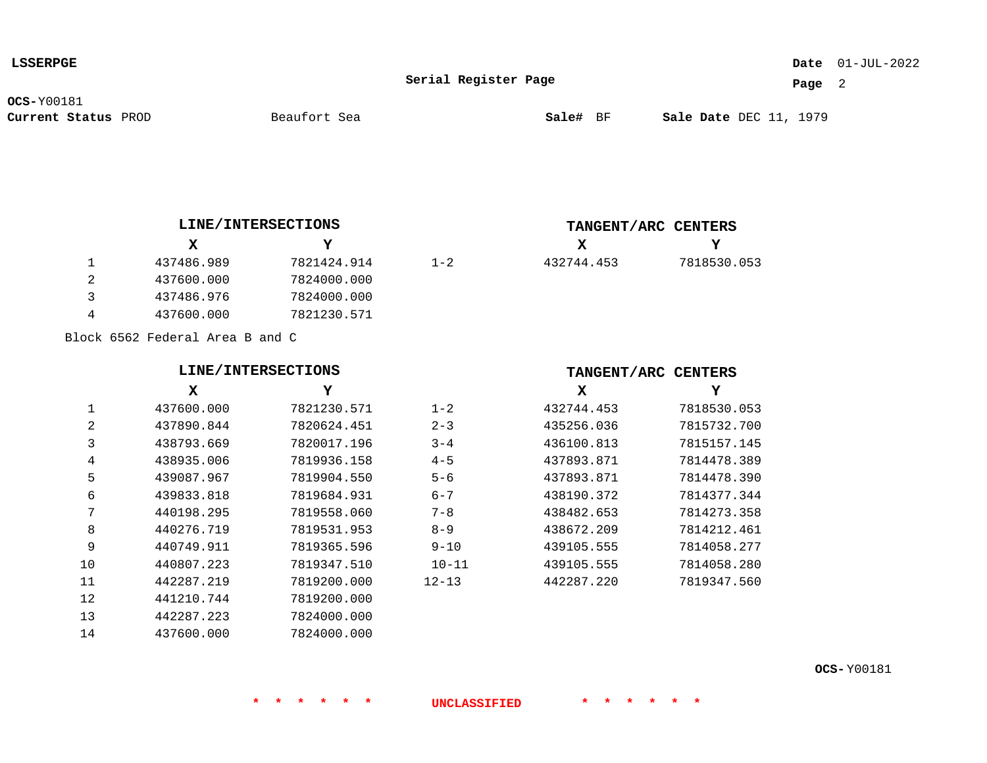### 01-JUL-2022 **Date**

**Serial Register Page**

 $1 - 2$ 

**Page** 2

**OCS-**Y00181

**Current Status** PROD **Sale#** BF DEC 11, 1979

**X**

432744.453

**Y**

7818530.053

### **LINE/INTERSECTIONS**

|   | X          | Y           |  |
|---|------------|-------------|--|
|   | 437486.989 | 7821424.914 |  |
| 2 | 437600.000 | 7824000.000 |  |
| ર | 437486.976 | 7824000.000 |  |
|   | 437600.000 | 7821230.571 |  |

Block 6562 Federal Area B and C

## **LINE/INTERSECTIONS**

|                | x          | Y           |           |
|----------------|------------|-------------|-----------|
| 1              | 437600.000 | 7821230.571 | $1 - 2$   |
| $\overline{2}$ | 437890.844 | 7820624.451 | $2 - 3$   |
| 3              | 438793.669 | 7820017.196 | $3 - 4$   |
| 4              | 438935.006 | 7819936.158 | $4 - 5$   |
| 5              | 439087.967 | 7819904.550 | $5 - 6$   |
| 6              | 439833.818 | 7819684.931 | $6 - 7$   |
| 7              | 440198.295 | 7819558.060 | $7 - 8$   |
| 8              | 440276.719 | 7819531.953 | $8 - 9$   |
| 9              | 440749.911 | 7819365.596 | $9 - 10$  |
| 10             | 440807.223 | 7819347.510 | $10 - 11$ |
| 11             | 442287.219 | 7819200.000 | $12 - 13$ |
| 12             | 441210.744 | 7819200.000 |           |
| 13             | 442287.223 | 7824000.000 |           |
| 14             | 437600.000 | 7824000.000 |           |

#### **TANGENT/ARC CENTERS**

**TANGENT/ARC CENTERS**

| x          | Y           |
|------------|-------------|
| 432744.453 | 7818530.053 |
| 435256.036 | 7815732.700 |
| 436100.813 | 7815157.145 |
| 437893.871 | 7814478.389 |
| 437893.871 | 7814478.390 |
| 438190.372 | 7814377.344 |
| 438482.653 | 7814273.358 |
| 438672.209 | 7814212.461 |
| 439105.555 | 7814058.277 |
| 439105.555 | 7814058.280 |
| 442287.220 | 7819347.560 |
|            |             |

**OCS-** Y00181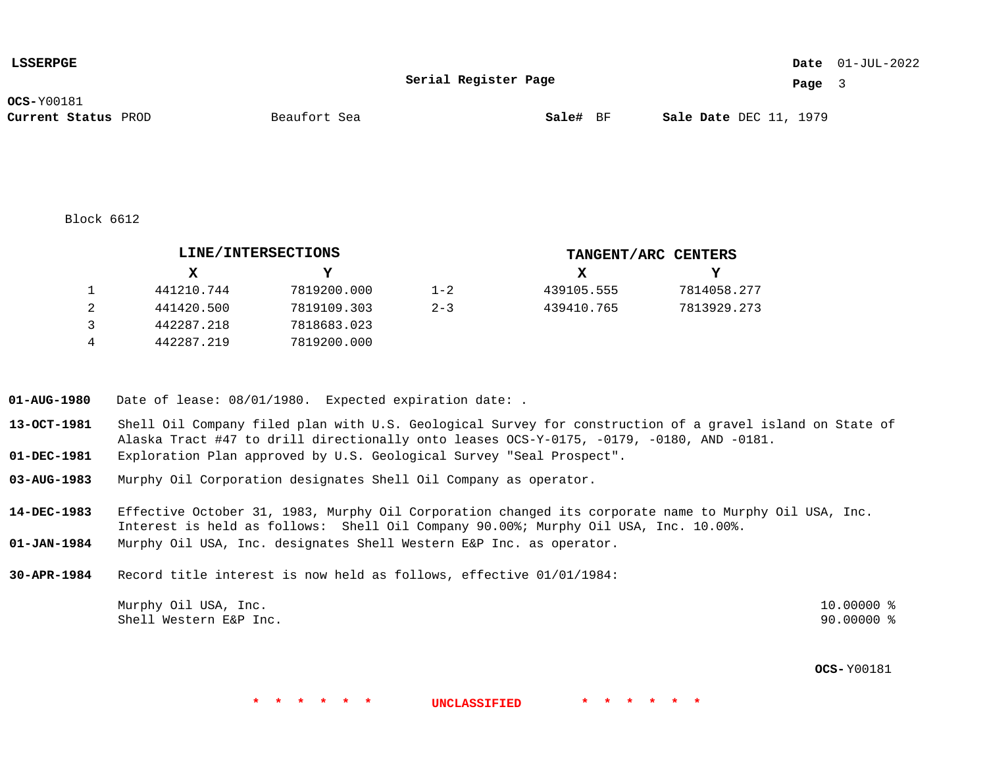| <b>LSSERPGE</b>     |              |                      |                               | <b>Date</b> $01-JUL-2022$ |
|---------------------|--------------|----------------------|-------------------------------|---------------------------|
|                     |              | Serial Register Page | Page                          |                           |
| <b>OCS-</b> Y00181  |              |                      |                               |                           |
| Current Status PROD | Beaufort Sea | Sale# BF             | <b>Sale Date</b> DEC 11, 1979 |                           |

Block 6612

|   |            | LINE/INTERSECTIONS |         |            | TANGENT/ARC CENTERS |
|---|------------|--------------------|---------|------------|---------------------|
|   | X.         |                    |         | x          | Y                   |
|   | 441210.744 | 7819200.000        | $1 - 2$ | 439105.555 | 7814058.277         |
|   | 441420.500 | 7819109.303        | $2 - 3$ | 439410.765 | 7813929.273         |
| 3 | 442287.218 | 7818683.023        |         |            |                     |
| 4 | 442287.219 | 7819200.000        |         |            |                     |

**01-AUG-1980** Date of lease: 08/01/1980. Expected expiration date: .

- **13-OCT-1981** Shell Oil Company filed plan with U.S. Geological Survey for construction of a gravel island on State of Alaska Tract #47 to drill directionally onto leases OCS-Y-0175, -0179, -0180, AND -0181.
- **01-DEC-1981** Exploration Plan approved by U.S. Geological Survey "Seal Prospect".
- **03-AUG-1983** Murphy Oil Corporation designates Shell Oil Company as operator.

**14-DEC-1983** Effective October 31, 1983, Murphy Oil Corporation changed its corporate name to Murphy Oil USA, Inc. Interest is held as follows: Shell Oil Company 90.00%; Murphy Oil USA, Inc. 10.00%.

- **01-JAN-1984** Murphy Oil USA, Inc. designates Shell Western E&P Inc. as operator.
- **30-APR-1984** Record title interest is now held as follows, effective 01/01/1984:

| Murphy Oil USA, Inc.   | 10.00000 % |
|------------------------|------------|
| Shell Western E&P Inc. | 90.00000 % |

**\* \* \* \* \* \* UNCLASSIFIED \* \* \* \* \* \***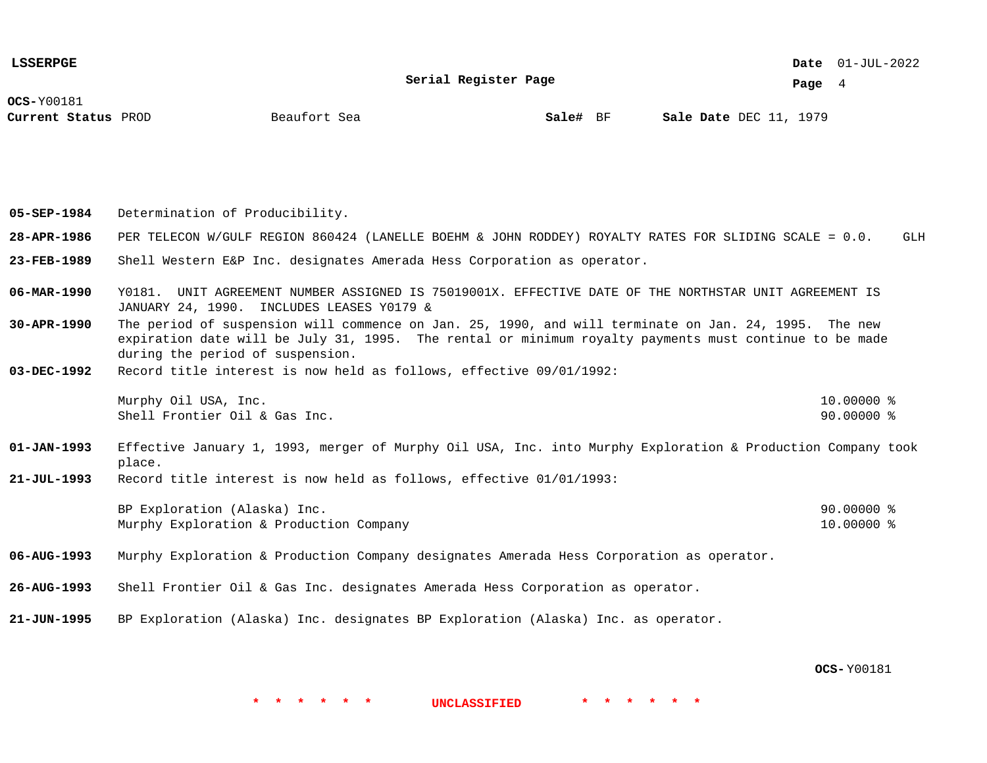01-JUL-2022 **Date**

**Serial Register Page**

**Page** 4

**OCS-**Y00181

**Current Status** PROD **Sale#** BF DEC 11, 1979

**Beaufort** Sea

**05-SEP-1984** Determination of Producibility.

- **28-APR-1986** PER TELECON W/GULF REGION 860424 (LANELLE BOEHM & JOHN RODDEY) ROYALTY RATES FOR SLIDING SCALE = 0.0. GLH
- **23-FEB-1989** Shell Western E&P Inc. designates Amerada Hess Corporation as operator.
- **06-MAR-1990** Y0181. UNIT AGREEMENT NUMBER ASSIGNED IS 75019001X. EFFECTIVE DATE OF THE NORTHSTAR UNIT AGREEMENT IS JANUARY 24, 1990. INCLUDES LEASES Y0179 &
- **30-APR-1990** The period of suspension will commence on Jan. 25, 1990, and will terminate on Jan. 24, 1995. The new expiration date will be July 31, 1995. The rental or minimum royalty payments must continue to be made during the period of suspension.
- **03-DEC-1992** Record title interest is now held as follows, effective 09/01/1992:

| Murphy Oil USA, Inc.          | $10.00000$ % |  |
|-------------------------------|--------------|--|
| Shell Frontier Oil & Gas Inc. | 90.00000 %   |  |

- **01-JAN-1993** Effective January 1, 1993, merger of Murphy Oil USA, Inc. into Murphy Exploration & Production Company took place.
- **21-JUL-1993** Record title interest is now held as follows, effective 01/01/1993:

| BP Exploration (Alaska) Inc.            | $90.00000$ % |
|-----------------------------------------|--------------|
| Murphy Exploration & Production Company | $10.00000$ % |

- **06-AUG-1993** Murphy Exploration & Production Company designates Amerada Hess Corporation as operator.
- **26-AUG-1993** Shell Frontier Oil & Gas Inc. designates Amerada Hess Corporation as operator.
- **21-JUN-1995** BP Exploration (Alaska) Inc. designates BP Exploration (Alaska) Inc. as operator.

**OCS-** Y00181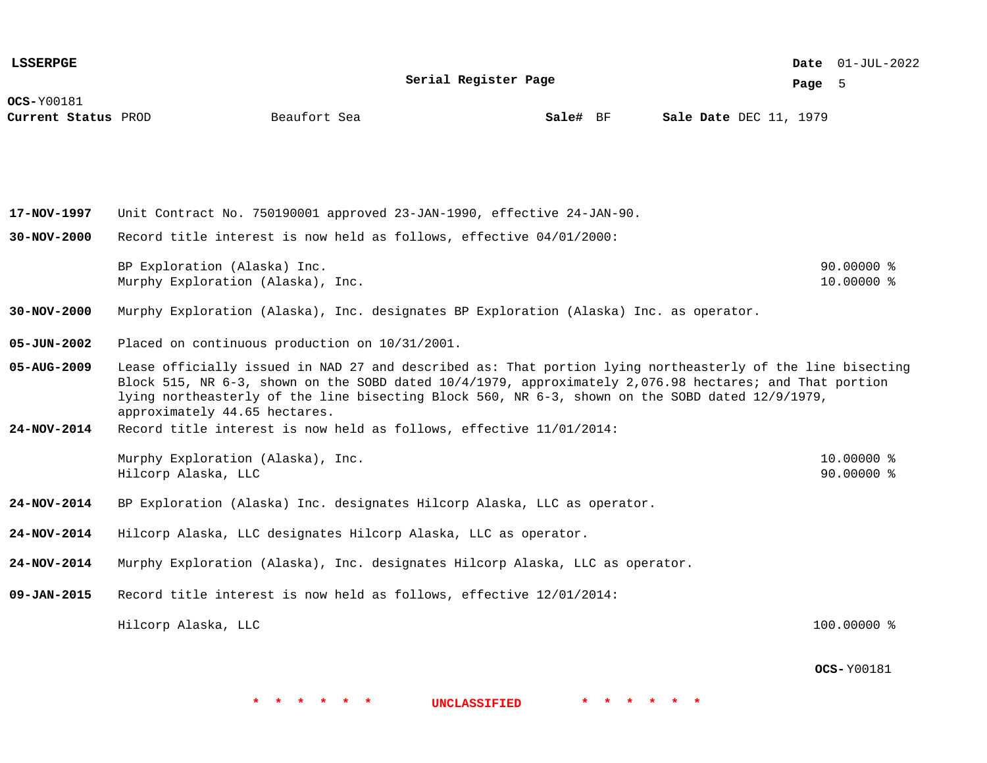**OCS-**Y00181 **Current Status** PROD **Sale#** BF DEC 11, 1979 01-JUL-2022 **Date Page** 5 **Serial Register Page Beaufort** Sea **17-NOV-1997 30-NOV-2000 30-NOV-2000 05-JUN-2002 05-AUG-2009 24-NOV-2014 24-NOV-2014 24-NOV-2014 24-NOV-2014 09-JAN-2015** Unit Contract No. 750190001 approved 23-JAN-1990, effective 24-JAN-90. Record title interest is now held as follows, effective 04/01/2000: BP Exploration (Alaska) Inc. 2012 12:00 12:00 12:00 12:00 12:00 12:00 12:00 12:00 12:00 12:00 12:00 12:00 12:00 12:00 12:00 12:00 12:00 12:00 12:00 12:00 12:00 12:00 12:00 12:00 12:00 12:00 12:00 12:00 12:00 12:00 12:00 12 Murphy Exploration (Alaska), Inc. 10.0000 % Murphy Exploration (Alaska), Inc. designates BP Exploration (Alaska) Inc. as operator. Placed on continuous production on 10/31/2001. Lease officially issued in NAD 27 and described as: That portion lying northeasterly of the line bisecting Block 515, NR 6-3, shown on the SOBD dated 10/4/1979, approximately 2,076.98 hectares; and That portion lying northeasterly of the line bisecting Block 560, NR 6-3, shown on the SOBD dated 12/9/1979, approximately 44.65 hectares. Record title interest is now held as follows, effective 11/01/2014: Murphy Exploration (Alaska), Inc. 10.0000 % Hilcorp Alaska, LLC 90.00000 % BP Exploration (Alaska) Inc. designates Hilcorp Alaska, LLC as operator. Hilcorp Alaska, LLC designates Hilcorp Alaska, LLC as operator. Murphy Exploration (Alaska), Inc. designates Hilcorp Alaska, LLC as operator. Record title interest is now held as follows, effective 12/01/2014: Hilcorp Alaska, LLC 100.00000 % **LSSERPGE**

**OCS-** Y00181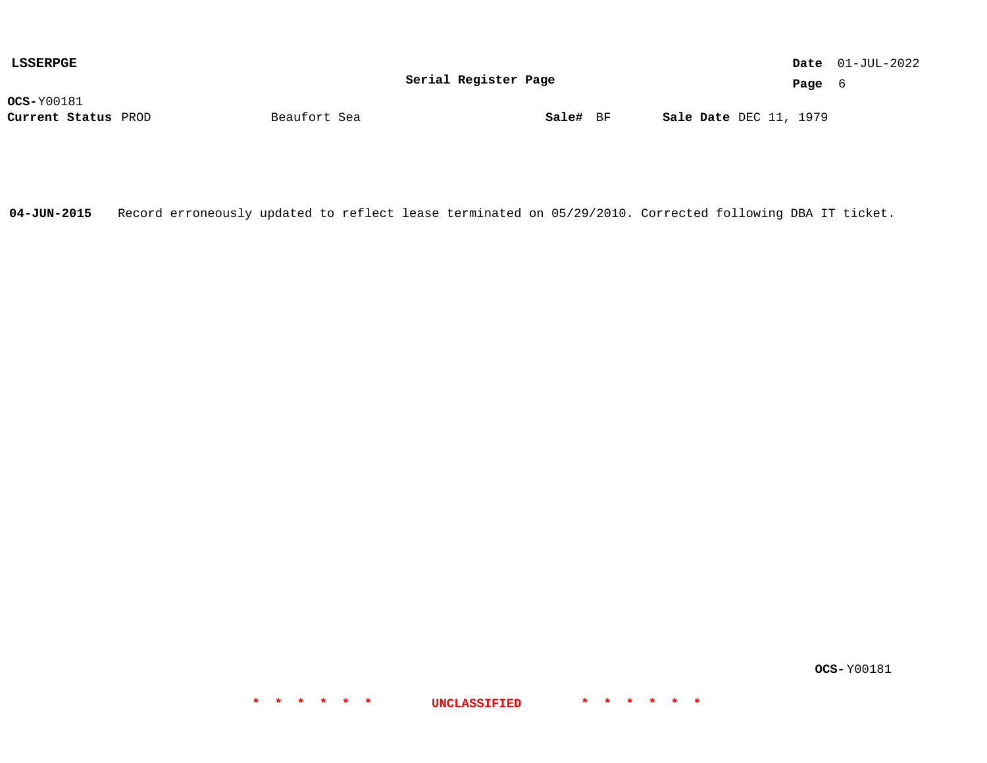| LSSERPGE            |              |                      |                               | <b>Date</b> $01-JUL-2022$ |
|---------------------|--------------|----------------------|-------------------------------|---------------------------|
|                     |              | Serial Register Page | Page                          |                           |
| $OCS-Y00181$        |              |                      |                               |                           |
| Current Status PROD | Beaufort Sea | Sale# BF             | <b>Sale Date</b> DEC 11, 1979 |                           |

**04-JUN-2015** Record erroneously updated to reflect lease terminated on 05/29/2010. Corrected following DBA IT ticket.

**\* \* \* \* \* \* UNCLASSIFIED \* \* \* \* \* \***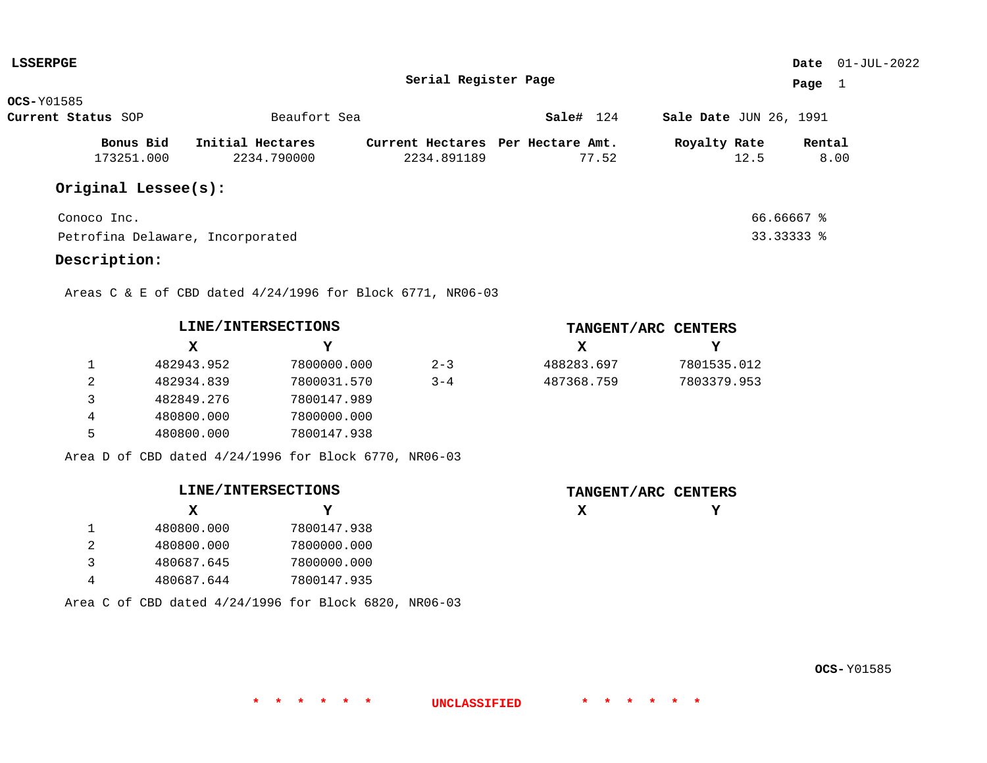| <b>LSSERPGE</b>    |                     |                                  |                                   |           |                        | Date $01$ -JUL-2022 |
|--------------------|---------------------|----------------------------------|-----------------------------------|-----------|------------------------|---------------------|
|                    |                     |                                  | Serial Register Page              |           |                        | Page<br>-1          |
| <b>OCS-Y01585</b>  |                     |                                  |                                   |           |                        |                     |
| Current Status SOP |                     | Beaufort Sea                     |                                   | Sale# 124 | Sale Date JUN 26, 1991 |                     |
|                    | Bonus Bid           | Initial Hectares                 | Current Hectares Per Hectare Amt. |           | Royalty Rate           | Rental              |
|                    | 173251.000          | 2234.790000                      | 2234.891189                       | 77.52     | 12.5                   | 8.00                |
|                    | Original Lessee(s): |                                  |                                   |           |                        |                     |
| Conoco Inc.        |                     |                                  |                                   |           | 66.66667 %             |                     |
|                    |                     | Petrofina Delaware, Incorporated |                                   |           | 33.33333 %             |                     |

**\* \* \* \* \* \* UNCLASSIFIED \* \* \* \* \* \***

# **Description:**

Areas C & E of CBD dated 4/24/1996 for Block 6771, NR06-03

| LINE/INTERSECTIONS |            |             |         |  |
|--------------------|------------|-------------|---------|--|
|                    | x          | Y           |         |  |
|                    | 482943.952 | 7800000.000 | $2 - 3$ |  |
| 2                  | 482934.839 | 7800031.570 | $3 - 4$ |  |
| 3                  | 482849.276 | 7800147.989 |         |  |
| 4                  | 480800.000 | 7800000.000 |         |  |
| 5                  | 480800.000 | 7800147.938 |         |  |

|  |  | Area D of CBD dated $4/24/1996$ for Block 6770, NR06-03 |  |  |  |
|--|--|---------------------------------------------------------|--|--|--|
|  |  |                                                         |  |  |  |

## **LINE/INTERSECTIONS**

|                | X          | Y           |
|----------------|------------|-------------|
|                | 480800.000 | 7800147.938 |
| $\overline{2}$ | 480800.000 | 7800000.000 |
| ्र             | 480687.645 | 7800000.000 |
|                | 480687.644 | 7800147.935 |

| Area C of CBD dated 4/24/1996 for Block 6820, NR06-03 |  |
|-------------------------------------------------------|--|
|-------------------------------------------------------|--|

| TANGENT/ARC CENTERS |             |
|---------------------|-------------|
| X                   | Y           |
| 488283.697          | 7801535.012 |
| 487368.759          | 7803379.953 |

| TANGENT/ARC CENTERS |  |
|---------------------|--|
| х                   |  |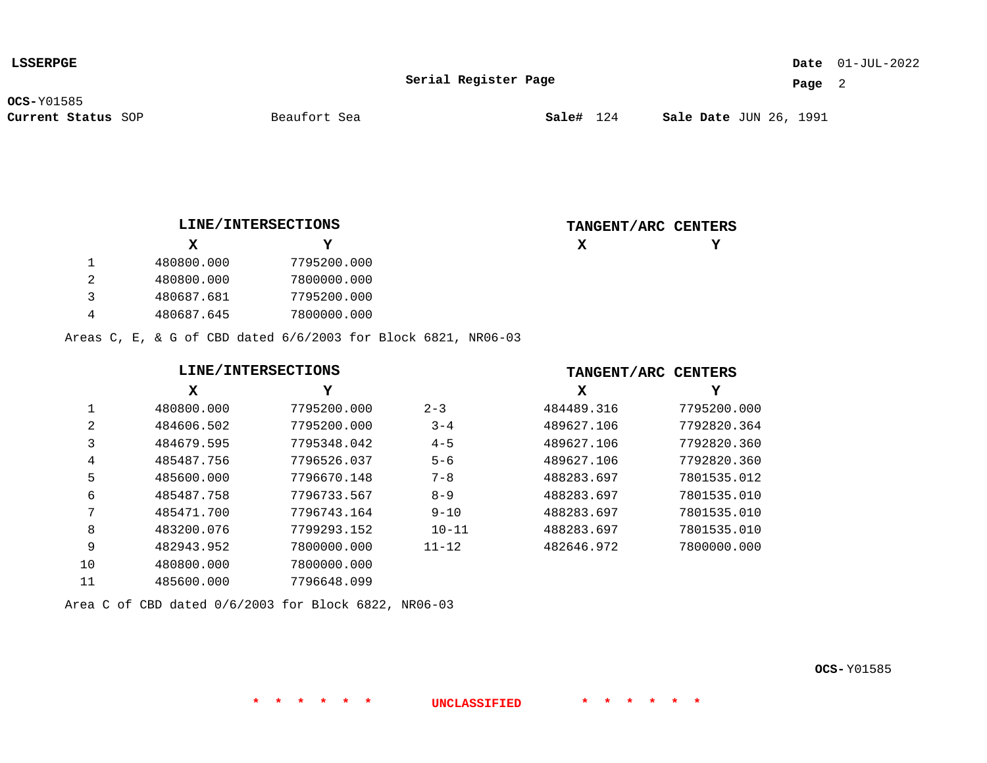| <b>LSSERPGE</b> |
|-----------------|
|-----------------|

### 01-JUL-2022 **Date**

**Serial Register Page**

**Page** 2

**OCS-**Y01585

1 2

**TANGENT/ARC CENTERS**

**X**

**Y**

| LINE/INTERSECTIONS |             |  |  |
|--------------------|-------------|--|--|
| x                  | Y           |  |  |
| 480800.000         | 7795200.000 |  |  |
| 480800.000         | 7800000.000 |  |  |

| 480687.681 | 7795200.000 |
|------------|-------------|
| 480687.645 | 7800000.000 |

Areas C, E, & G of CBD dated 6/6/2003 for Block 6821, NR06-03

|    | LINE/INTERSECTIONS |             |           | TANGENT/ARC CENTERS |             |
|----|--------------------|-------------|-----------|---------------------|-------------|
|    | X                  | Y           |           | х                   | Y           |
|    | 480800.000         | 7795200.000 | $2 - 3$   | 484489.316          | 7795200.000 |
| 2  | 484606.502         | 7795200.000 | $3 - 4$   | 489627.106          | 7792820.364 |
| 3  | 484679.595         | 7795348.042 | $4 - 5$   | 489627.106          | 7792820.360 |
| 4  | 485487.756         | 7796526.037 | $5 - 6$   | 489627.106          | 7792820.360 |
| 5  | 485600.000         | 7796670.148 | $7 - 8$   | 488283.697          | 7801535.012 |
| 6  | 485487.758         | 7796733.567 | $8 - 9$   | 488283.697          | 7801535.010 |
|    | 485471.700         | 7796743.164 | $9 - 10$  | 488283.697          | 7801535.010 |
| 8  | 483200.076         | 7799293.152 | $10 - 11$ | 488283.697          | 7801535.010 |
| 9  | 482943.952         | 7800000.000 | $11 - 12$ | 482646.972          | 7800000.000 |
| 10 | 480800.000         | 7800000.000 |           |                     |             |
| 11 | 485600.000         | 7796648.099 |           |                     |             |

**\* \* \* \* \* \* UNCLASSIFIED \* \* \* \* \* \***

Area C of CBD dated 0/6/2003 for Block 6822, NR06-03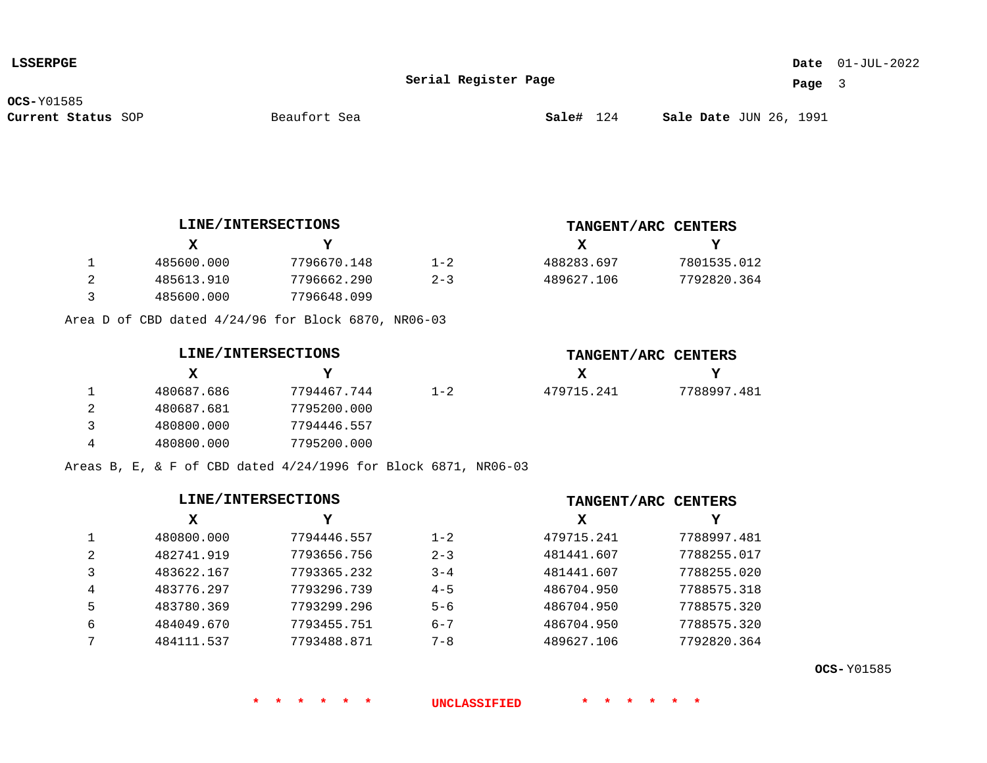### 01-JUL-2022 **Date**

**Serial Register Page**

**Page** 3

**OCS-**Y01585

**TANGENT/ARC CENTERS**

**TANGENT/ARC CENTERS**

**X**

 488283.697 489627.106

**X**

479715.241

**Y**

 7801535.012 7792820.364

**Y**

7788997.481

| 485600.000 | 7796670.148 | $1 - 2$ |
|------------|-------------|---------|
| 485613.910 | 7796662.290 | $2 - 3$ |
| 485600.000 | 7796648.099 |         |

Area D of CBD dated 4/24/96 for Block 6870, NR06-03

|  | <b>LINE/INTERSECTIONS</b> |
|--|---------------------------|
|--|---------------------------|

|   | X.         | Y           |         |
|---|------------|-------------|---------|
| 1 | 480687.686 | 7794467.744 | $1 - 2$ |
| 2 | 480687.681 | 7795200.000 |         |
| 3 | 480800.000 | 7794446.557 |         |
| 4 | 480800.000 | 7795200.000 |         |

Areas B, E, & F of CBD dated 4/24/1996 for Block 6871, NR06-03

| LINE/INTERSECTIONS |            |             | TANGENT/ARC CENTERS |            |             |
|--------------------|------------|-------------|---------------------|------------|-------------|
|                    | х          | Y           |                     | x          | Y           |
|                    | 480800.000 | 7794446.557 | $1 - 2$             | 479715.241 | 7788997.481 |
| 2                  | 482741.919 | 7793656.756 | $2 - 3$             | 481441.607 | 7788255.017 |
|                    | 483622.167 | 7793365.232 | $3 - 4$             | 481441.607 | 7788255.020 |
| 4                  | 483776.297 | 7793296.739 | $4 - 5$             | 486704.950 | 7788575.318 |
| 5                  | 483780.369 | 7793299.296 | $5 - 6$             | 486704.950 | 7788575.320 |
| 6                  | 484049.670 | 7793455.751 | $6 - 7$             | 486704.950 | 7788575.320 |
|                    | 484111.537 | 7793488.871 | $7 - 8$             | 489627.106 | 7792820.364 |

**OCS-** Y01585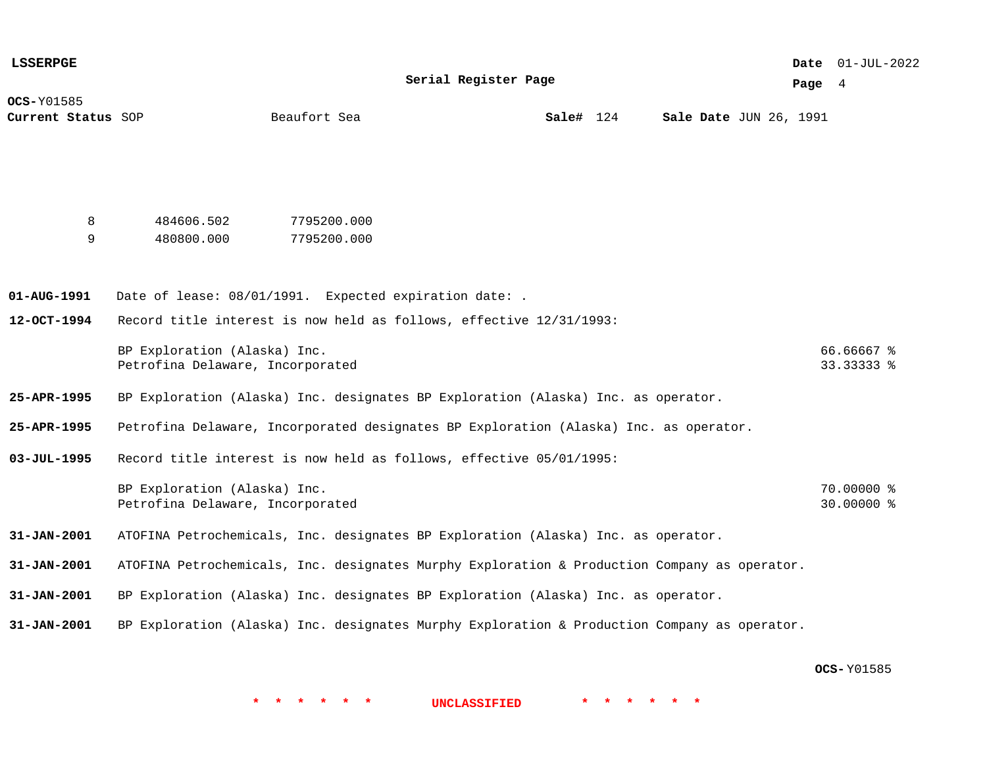| <b>LSSERPGE</b>                  |                                                                                              |                            |                         |  |                        |  |          | Date 01-JUL-2022         |
|----------------------------------|----------------------------------------------------------------------------------------------|----------------------------|-------------------------|--|------------------------|--|----------|--------------------------|
|                                  |                                                                                              |                            | Serial Register Page    |  |                        |  | Page $4$ |                          |
| OCS-Y01585<br>Current Status SOP |                                                                                              | Beaufort Sea               | $\texttt{Sal}$ e# $124$ |  | Sale Date JUN 26, 1991 |  |          |                          |
|                                  |                                                                                              |                            |                         |  |                        |  |          |                          |
| 8<br>9                           | 484606.502<br>480800.000                                                                     | 7795200.000<br>7795200.000 |                         |  |                        |  |          |                          |
| 01-AUG-1991                      | Date of lease: 08/01/1991. Expected expiration date: .                                       |                            |                         |  |                        |  |          |                          |
| $12 - OCT - 1994$                | Record title interest is now held as follows, effective 12/31/1993:                          |                            |                         |  |                        |  |          |                          |
|                                  | BP Exploration (Alaska) Inc.<br>Petrofina Delaware, Incorporated                             |                            |                         |  |                        |  |          | 66.66667 %<br>33.33333 % |
| 25-APR-1995                      | BP Exploration (Alaska) Inc. designates BP Exploration (Alaska) Inc. as operator.            |                            |                         |  |                        |  |          |                          |
| 25-APR-1995                      | Petrofina Delaware, Incorporated designates BP Exploration (Alaska) Inc. as operator.        |                            |                         |  |                        |  |          |                          |
| $03 - JUL - 1995$                | Record title interest is now held as follows, effective 05/01/1995:                          |                            |                         |  |                        |  |          |                          |
|                                  | BP Exploration (Alaska) Inc.<br>Petrofina Delaware, Incorporated                             |                            |                         |  |                        |  |          | 70.00000 %<br>30.00000 % |
| $31 - JAN - 2001$                | ATOFINA Petrochemicals, Inc. designates BP Exploration (Alaska) Inc. as operator.            |                            |                         |  |                        |  |          |                          |
| $31 - JAN - 2001$                | ATOFINA Petrochemicals, Inc. designates Murphy Exploration & Production Company as operator. |                            |                         |  |                        |  |          |                          |
| $31 - JAN - 2001$                | BP Exploration (Alaska) Inc. designates BP Exploration (Alaska) Inc. as operator.            |                            |                         |  |                        |  |          |                          |
| $31 - JAN - 2001$                | BP Exploration (Alaska) Inc. designates Murphy Exploration & Production Company as operator. |                            |                         |  |                        |  |          |                          |

**OCS-** Y01585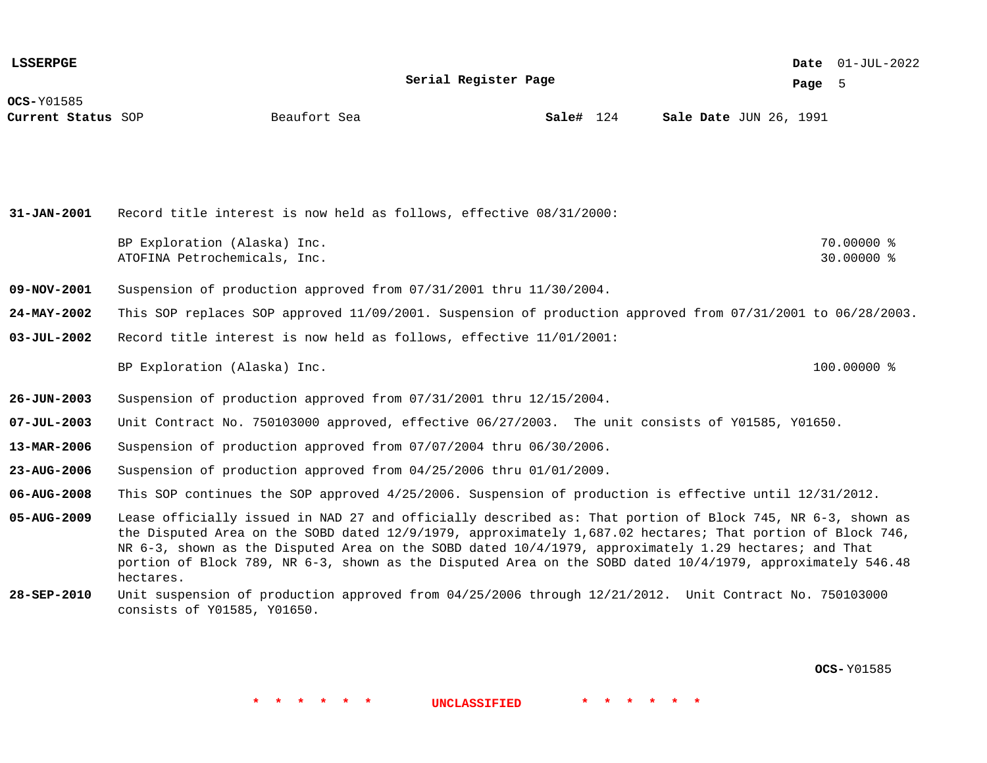**LSSERPGE**

**Serial Register Page**

01-JUL-2022 **Date**

**Page** 5

**OCS-**Y01585

**Current Status** SOP **Sale#** 124 JUN 26, 1991

**Sale#** 124

**31-JAN-2001 09-NOV-2001 24-MAY-2002 03-JUL-2002 26-JUN-2003 07-JUL-2003 13-MAR-2006 23-AUG-2006 06-AUG-2008 05-AUG-2009 28-SEP-2010** Record title interest is now held as follows, effective 08/31/2000: BP Exploration (Alaska) Inc. 200000 % 2010 10:00 10:00 10:00 10:00 10:00 10:00 10:00 10:00 10:00 10:00 10:00 10:00 10:00 10:00 10:00 10:00 10:00 10:00 10:00 10:00 10:00 10:00 10:00 10:00 10:00 10:00 10:00 10:00 10:00 10:00 ATOFINA Petrochemicals, Inc. 30.0000 % Suspension of production approved from 07/31/2001 thru 11/30/2004. This SOP replaces SOP approved 11/09/2001. Suspension of production approved from 07/31/2001 to 06/28/2003. Record title interest is now held as follows, effective 11/01/2001: BP Exploration (Alaska) Inc. 100.0000 % Suspension of production approved from 07/31/2001 thru 12/15/2004. Unit Contract No. 750103000 approved, effective 06/27/2003. The unit consists of Y01585, Y01650. Suspension of production approved from 07/07/2004 thru 06/30/2006. Suspension of production approved from 04/25/2006 thru 01/01/2009. This SOP continues the SOP approved 4/25/2006. Suspension of production is effective until 12/31/2012. Lease officially issued in NAD 27 and officially described as: That portion of Block 745, NR 6-3, shown as the Disputed Area on the SOBD dated 12/9/1979, approximately 1,687.02 hectares; That portion of Block 746, NR 6-3, shown as the Disputed Area on the SOBD dated 10/4/1979, approximately 1.29 hectares; and That portion of Block 789, NR 6-3, shown as the Disputed Area on the SOBD dated 10/4/1979, approximately 546.48 hectares. Unit suspension of production approved from 04/25/2006 through 12/21/2012. Unit Contract No. 750103000 consists of Y01585, Y01650.

**\* \* \* \* \* \* UNCLASSIFIED \* \* \* \* \* \***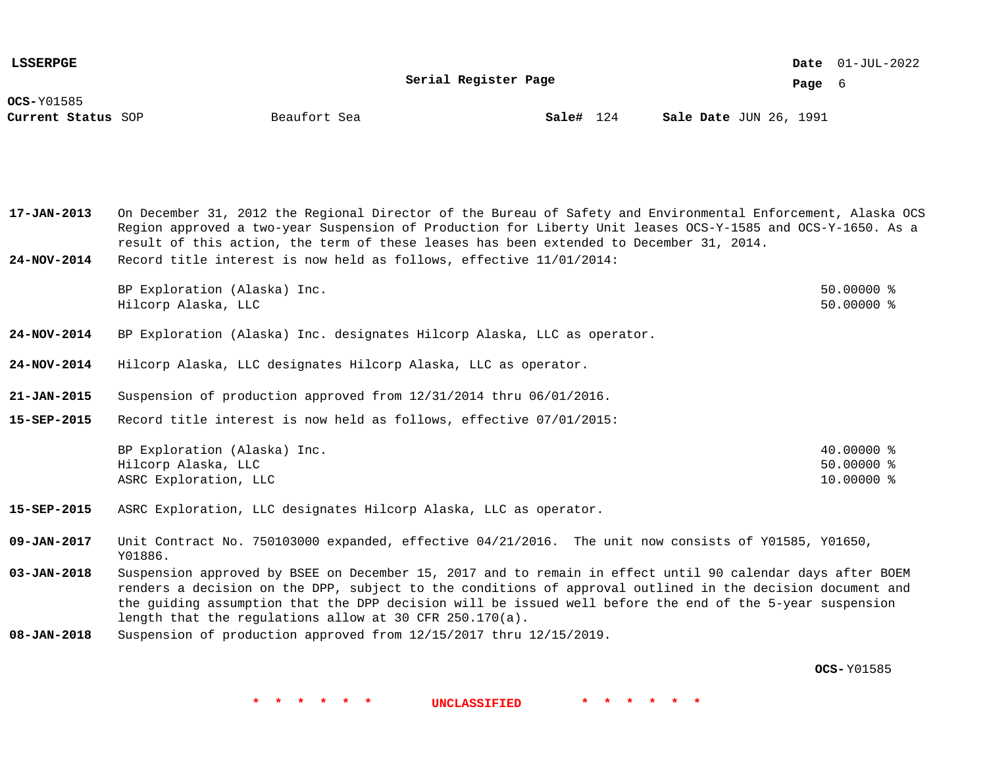**LSSERPGE**

01-JUL-2022 **Date**

**Page** 6

| <b>OCS-Y01585</b>  |              |  |
|--------------------|--------------|--|
| Current Status SOP | Beaufort Sea |  |

| Beaufort Sea<br>Current Status SOP | Sale# 124 | <b>Sale Date JUN 26, 1991</b> |
|------------------------------------|-----------|-------------------------------|
|------------------------------------|-----------|-------------------------------|

**17-JAN-2013** On December 31, 2012 the Regional Director of the Bureau of Safety and Environmental Enforcement, Alaska OCS Region approved a two-year Suspension of Production for Liberty Unit leases OCS-Y-1585 and OCS-Y-1650. As a result of this action, the term of these leases has been extended to December 31, 2014.

**24-NOV-2014** Record title interest is now held as follows, effective 11/01/2014:

BP Exploration (Alaska) Inc. 50.0000 % Hilcorp Alaska, LLC 50.00000 %

- **24-NOV-2014** BP Exploration (Alaska) Inc. designates Hilcorp Alaska, LLC as operator.
- **24-NOV-2014** Hilcorp Alaska, LLC designates Hilcorp Alaska, LLC as operator.
- **21-JAN-2015** Suspension of production approved from 12/31/2014 thru 06/01/2016.
- **15-SEP-2015** Record title interest is now held as follows, effective 07/01/2015:

| BP Exploration (Alaska) Inc. | 40.00000 %   |
|------------------------------|--------------|
| Hilcorp Alaska, LLC          | $50.00000$ % |
| ASRC Exploration, LLC        | $10.00000$ % |

**15-SEP-2015** ASRC Exploration, LLC designates Hilcorp Alaska, LLC as operator.

**09-JAN-2017** Unit Contract No. 750103000 expanded, effective 04/21/2016. The unit now consists of Y01585, Y01650, Y01886.

- **03-JAN-2018** Suspension approved by BSEE on December 15, 2017 and to remain in effect until 90 calendar days after BOEM renders a decision on the DPP, subject to the conditions of approval outlined in the decision document and the guiding assumption that the DPP decision will be issued well before the end of the 5-year suspension length that the regulations allow at 30 CFR 250.170(a).
- **08-JAN-2018** Suspension of production approved from 12/15/2017 thru 12/15/2019.

**OCS-** Y01585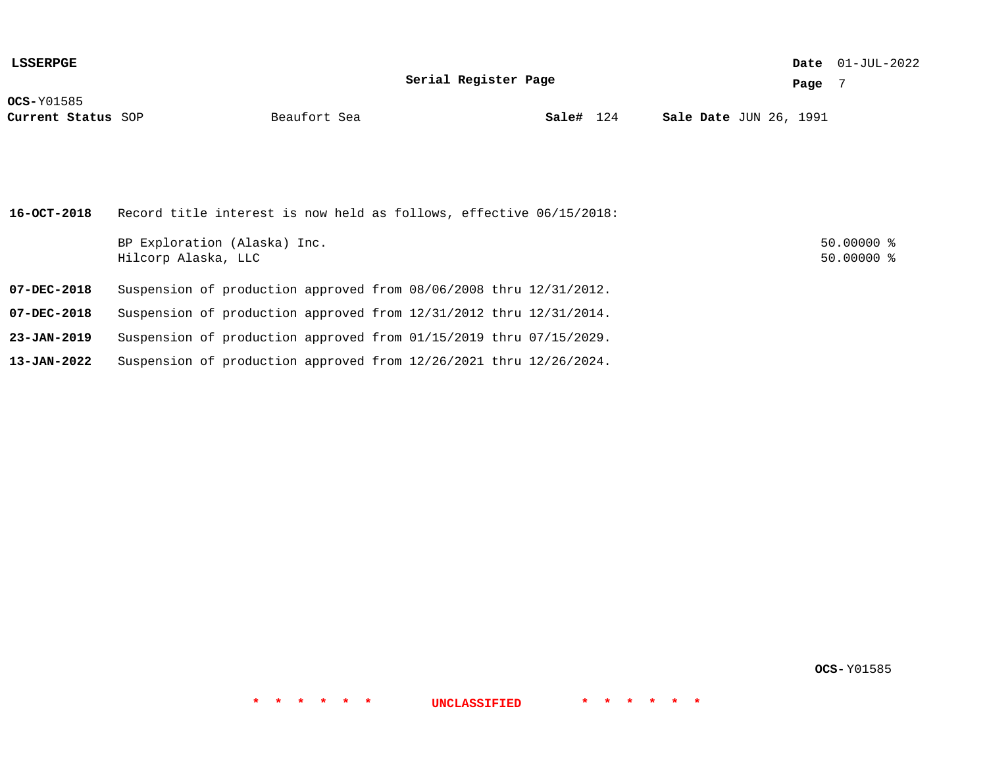| <b>LSSERPGE</b>                         | Serial Register Page                                                    | Page | Date $01-JUL-2022$<br>- 7    |  |
|-----------------------------------------|-------------------------------------------------------------------------|------|------------------------------|--|
| <b>OCS-Y01585</b><br>Current Status SOP | Sale# 124<br><b>Sale Date JUN 26, 1991</b><br>Beaufort Sea              |      |                              |  |
| 16-OCT-2018                             | Record title interest is now held as follows, effective 06/15/2018:     |      |                              |  |
|                                         | BP Exploration (Alaska) Inc.<br>Hilcorp Alaska, LLC                     |      | $50.00000$ %<br>$50.00000$ % |  |
| 07-DEC-2018                             | Suspension of production approved from 08/06/2008 thru 12/31/2012.      |      |                              |  |
| $07 - DEC - 2018$                       | Suspension of production approved from $12/31/2012$ thru $12/31/2014$ . |      |                              |  |

- **23-JAN-2019** Suspension of production approved from 01/15/2019 thru 07/15/2029.
- **13-JAN-2022** Suspension of production approved from 12/26/2021 thru 12/26/2024.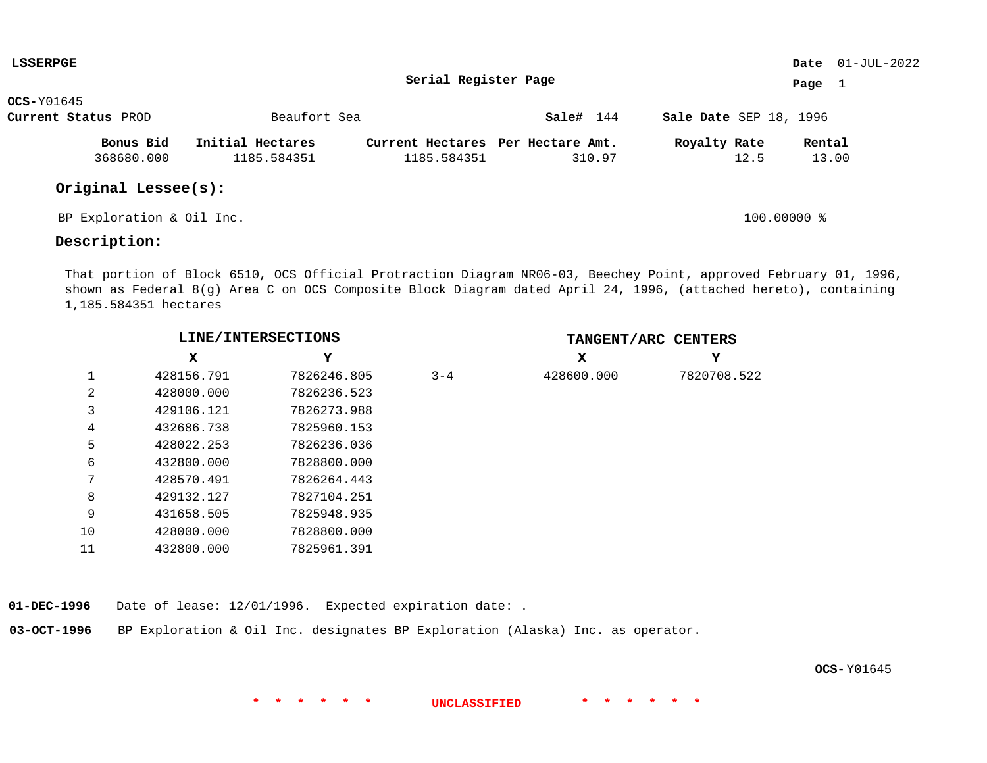| <b>LSSERPGE</b>           |                  |                                   |           |                        | <b>Date</b> $01-JUL-2022$ |  |
|---------------------------|------------------|-----------------------------------|-----------|------------------------|---------------------------|--|
|                           |                  | Serial Register Page              |           |                        | Page<br>1                 |  |
| $OCS-Y01645$              |                  |                                   |           |                        |                           |  |
| Current Status PROD       | Beaufort Sea     |                                   | Sale# 144 | Sale Date SEP 18, 1996 |                           |  |
| Bonus Bid                 | Initial Hectares | Current Hectares Per Hectare Amt. |           | Royalty Rate           | Rental                    |  |
| 368680.000                | 1185.584351      | 1185.584351                       | 310.97    | 12.5                   | 13.00                     |  |
| Original Lessee(s):       |                  |                                   |           |                        |                           |  |
| BP Exploration & Oil Inc. |                  |                                   |           | $100.00000$ %          |                           |  |

## **Description:**

That portion of Block 6510, OCS Official Protraction Diagram NR06-03, Beechey Point, approved February 01, 1996, shown as Federal 8(g) Area C on OCS Composite Block Diagram dated April 24, 1996, (attached hereto), containing 1,185.584351 hectares

|    | LINE/INTERSECTIONS |             |         | TANGENT/ARC CENTERS |             |  |  |
|----|--------------------|-------------|---------|---------------------|-------------|--|--|
|    | x                  | Y           |         | X                   | Y           |  |  |
|    | 428156.791         | 7826246.805 | $3 - 4$ | 428600.000          | 7820708.522 |  |  |
| 2  | 428000.000         | 7826236.523 |         |                     |             |  |  |
| 3  | 429106.121         | 7826273.988 |         |                     |             |  |  |
| 4  | 432686.738         | 7825960.153 |         |                     |             |  |  |
| 5  | 428022.253         | 7826236.036 |         |                     |             |  |  |
| 6  | 432800.000         | 7828800.000 |         |                     |             |  |  |
| 7  | 428570.491         | 7826264.443 |         |                     |             |  |  |
| 8  | 429132.127         | 7827104.251 |         |                     |             |  |  |
| 9  | 431658.505         | 7825948.935 |         |                     |             |  |  |
| 10 | 428000.000         | 7828800.000 |         |                     |             |  |  |
| 11 | 432800.000         | 7825961.391 |         |                     |             |  |  |

**01-DEC-1996** Date of lease: 12/01/1996. Expected expiration date: .

**03-OCT-1996** BP Exploration & Oil Inc. designates BP Exploration (Alaska) Inc. as operator.

**OCS-** Y01645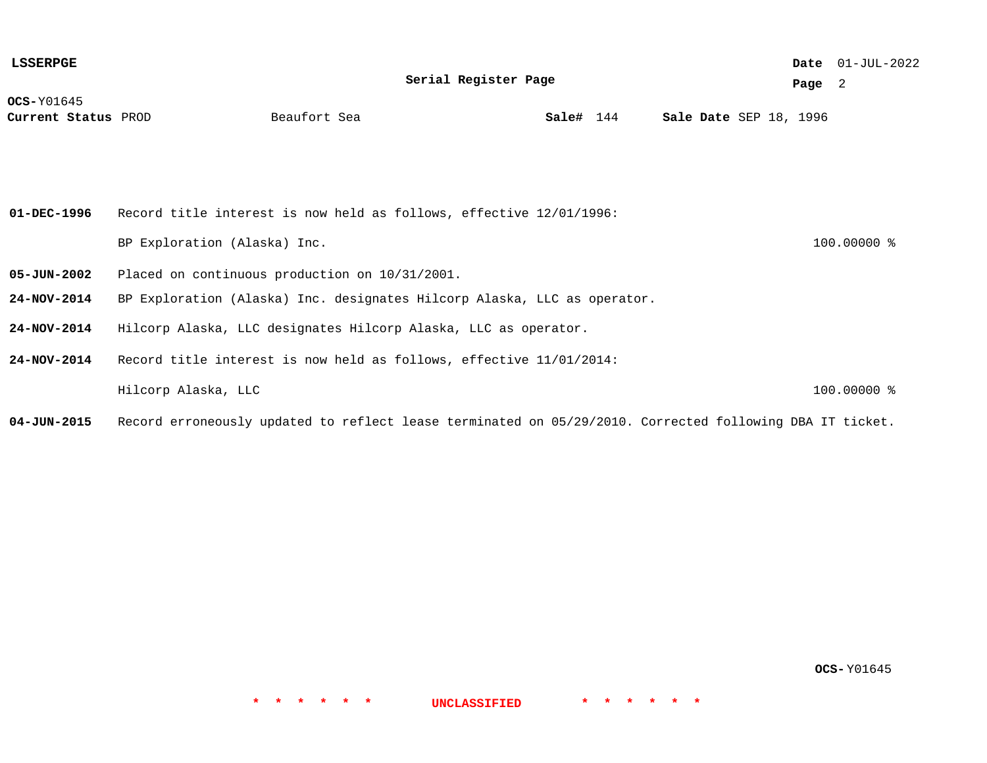**OCS-**Y01645 **Current Status** PROD **Sale#** 144 SEP 18, 1996 01-JUL-2022 **Date Page** 2 **Serial Register Page Sale#** 144 **01-DEC-1996 05-JUN-2002 24-NOV-2014 24-NOV-2014 24-NOV-2014** Record title interest is now held as follows, effective 12/01/1996: BP Exploration (Alaska) Inc. 100.0000 % Placed on continuous production on 10/31/2001. BP Exploration (Alaska) Inc. designates Hilcorp Alaska, LLC as operator. Hilcorp Alaska, LLC designates Hilcorp Alaska, LLC as operator. Record title interest is now held as follows, effective 11/01/2014: Hilcorp Alaska, LLC 100.00000 % **LSSERPGE**

**04-JUN-2015** Record erroneously updated to reflect lease terminated on 05/29/2010. Corrected following DBA IT ticket.

**OCS-** Y01645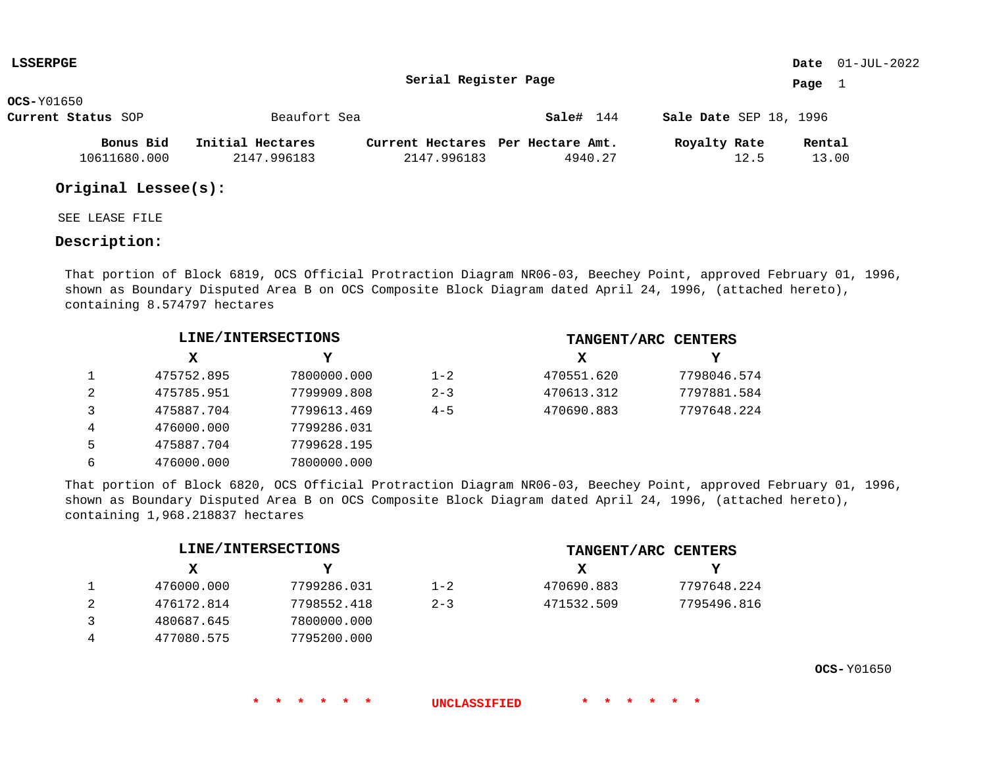| <b>LSSERPGE</b>    |                  |                                   |           |                        | <b>Date</b> $01-JUL-2022$ |
|--------------------|------------------|-----------------------------------|-----------|------------------------|---------------------------|
|                    |                  | Serial Register Page              |           |                        | Page                      |
| <b>OCS-</b> Y01650 |                  |                                   |           |                        |                           |
| Current Status SOP | Beaufort Sea     |                                   | Sale# 144 | Sale Date SEP 18, 1996 |                           |
| Bonus Bid          | Initial Hectares | Current Hectares Per Hectare Amt. |           | Royalty Rate           | Rental                    |
| 10611680.000       | 2147.996183      | 2147.996183                       | 4940.27   | 12.5                   | 13.00                     |

## **Original Lessee(s):**

SEE LEASE FILE

## **Description:**

That portion of Block 6819, OCS Official Protraction Diagram NR06-03, Beechey Point, approved February 01, 1996, shown as Boundary Disputed Area B on OCS Composite Block Diagram dated April 24, 1996, (attached hereto), containing 8.574797 hectares

|   |            | LINE/INTERSECTIONS |         |            | TANGENT/ARC CENTERS |
|---|------------|--------------------|---------|------------|---------------------|
|   | x          |                    |         | x          | Y                   |
|   | 475752.895 | 7800000.000        | $1 - 2$ | 470551.620 | 7798046.574         |
|   | 475785.951 | 7799909.808        | $2 - 3$ | 470613.312 | 7797881.584         |
|   | 475887.704 | 7799613.469        | $4 - 5$ | 470690.883 | 7797648.224         |
| 4 | 476000.000 | 7799286.031        |         |            |                     |
| 5 | 475887.704 | 7799628.195        |         |            |                     |
| 6 | 476000.000 | 7800000.000        |         |            |                     |

That portion of Block 6820, OCS Official Protraction Diagram NR06-03, Beechey Point, approved February 01, 1996, shown as Boundary Disputed Area B on OCS Composite Block Diagram dated April 24, 1996, (attached hereto), containing 1,968.218837 hectares

|            | LINE/INTERSECTIONS |         |            | TANGENT/ARC CENTERS |
|------------|--------------------|---------|------------|---------------------|
| x          | v                  |         | х          |                     |
| 476000.000 | 7799286.031        | $1 - 2$ | 470690.883 | 7797648.224         |
| 476172.814 | 7798552.418        | $2 - 3$ | 471532.509 | 7795496.816         |
| 480687.645 | 7800000.000        |         |            |                     |
| 477080.575 | 7795200.000        |         |            |                     |

**OCS-** Y01650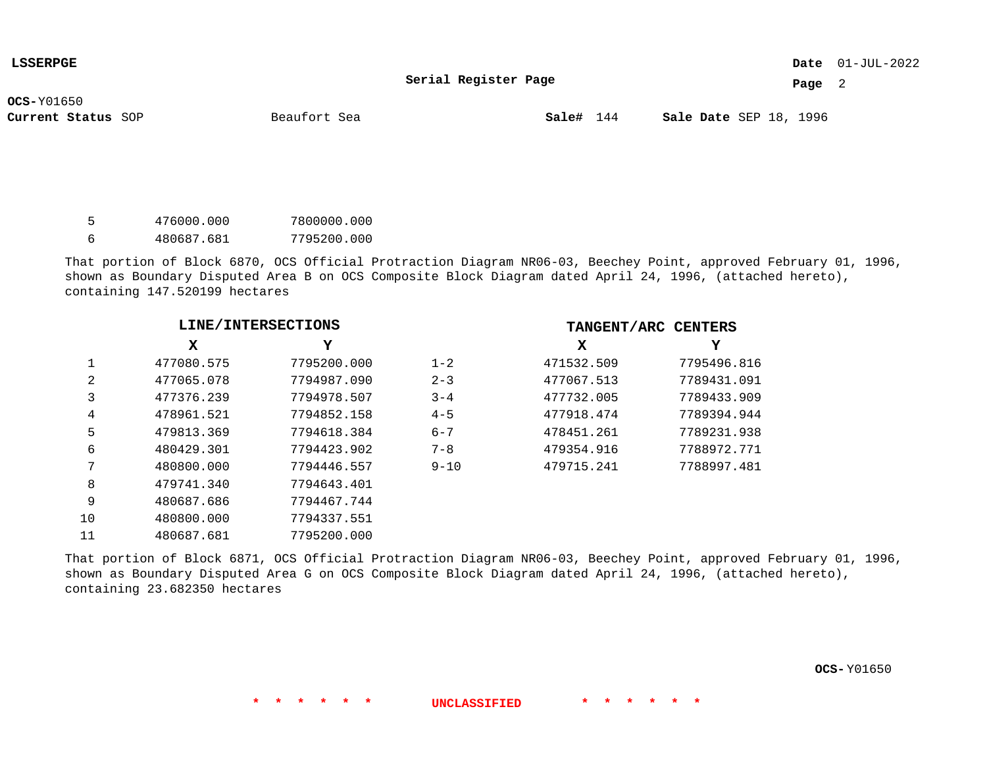**Serial Register Page**

**Page** 2

**OCS-**Y01650

**Current Status** SOP **Sale#** 144 SEP 18, 1996

**Sale#** 144

| - 5 | 476000.000 | 7800000.000 |
|-----|------------|-------------|
| - 6 | 480687.681 | 7795200.000 |

That portion of Block 6870, OCS Official Protraction Diagram NR06-03, Beechey Point, approved February 01, 1996, shown as Boundary Disputed Area B on OCS Composite Block Diagram dated April 24, 1996, (attached hereto), containing 147.520199 hectares

|    | LINE/INTERSECTIONS |             |          |            | TANGENT/ARC CENTERS |
|----|--------------------|-------------|----------|------------|---------------------|
|    | x                  | Y           |          | X          | Y                   |
|    | 477080.575         | 7795200.000 | $1 - 2$  | 471532.509 | 7795496.816         |
| 2  | 477065.078         | 7794987.090 | $2 - 3$  | 477067.513 | 7789431.091         |
| 3  | 477376.239         | 7794978.507 | $3 - 4$  | 477732.005 | 7789433.909         |
| 4  | 478961.521         | 7794852.158 | $4 - 5$  | 477918.474 | 7789394.944         |
| 5  | 479813.369         | 7794618.384 | $6 - 7$  | 478451.261 | 7789231.938         |
| 6  | 480429.301         | 7794423.902 | $7 - 8$  | 479354.916 | 7788972.771         |
| 7  | 480800.000         | 7794446.557 | $9 - 10$ | 479715.241 | 7788997.481         |
| 8  | 479741.340         | 7794643.401 |          |            |                     |
| 9  | 480687.686         | 7794467.744 |          |            |                     |
| 10 | 480800.000         | 7794337.551 |          |            |                     |
| 11 | 480687.681         | 7795200.000 |          |            |                     |

That portion of Block 6871, OCS Official Protraction Diagram NR06-03, Beechey Point, approved February 01, 1996, shown as Boundary Disputed Area G on OCS Composite Block Diagram dated April 24, 1996, (attached hereto), containing 23.682350 hectares

**OCS-** Y01650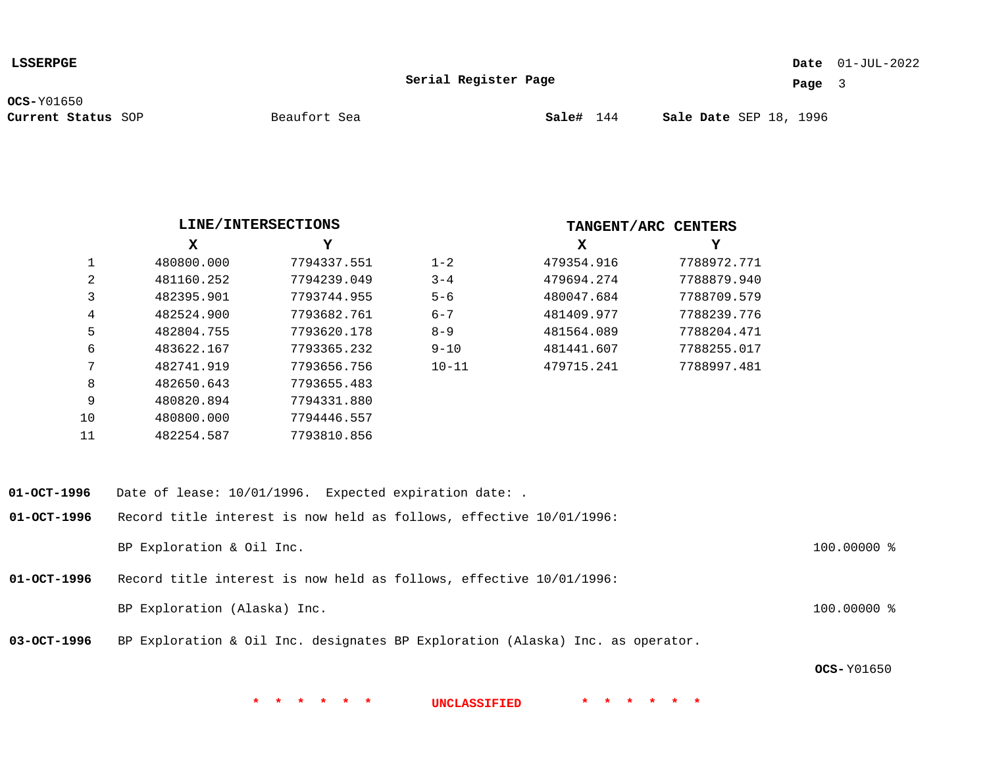**LSSERPGE**

01-JUL-2022 **Date**

**Serial Register Page**

**Page** 3

**OCS-**Y01650

|                   | LINE/INTERSECTIONS                                                  |             |           |                                                                                | TANGENT/ARC CENTERS |             |
|-------------------|---------------------------------------------------------------------|-------------|-----------|--------------------------------------------------------------------------------|---------------------|-------------|
|                   | X                                                                   | Y           |           | X                                                                              | Υ                   |             |
| $\mathbf{1}$      | 480800.000                                                          | 7794337.551 | $1 - 2$   | 479354.916                                                                     | 7788972.771         |             |
| 2                 | 481160.252                                                          | 7794239.049 | $3 - 4$   | 479694.274                                                                     | 7788879.940         |             |
| 3                 | 482395.901                                                          | 7793744.955 | $5 - 6$   | 480047.684                                                                     | 7788709.579         |             |
| 4                 | 482524.900                                                          | 7793682.761 | $6 - 7$   | 481409.977                                                                     | 7788239.776         |             |
| 5                 | 482804.755                                                          | 7793620.178 | $8 - 9$   | 481564.089                                                                     | 7788204.471         |             |
| 6                 | 483622.167                                                          | 7793365.232 | $9 - 10$  | 481441.607                                                                     | 7788255.017         |             |
| 7                 | 482741.919                                                          | 7793656.756 | $10 - 11$ | 479715.241                                                                     | 7788997.481         |             |
| 8                 | 482650.643                                                          | 7793655.483 |           |                                                                                |                     |             |
| 9                 | 480820.894                                                          | 7794331.880 |           |                                                                                |                     |             |
| 10                | 480800.000                                                          | 7794446.557 |           |                                                                                |                     |             |
| 11                | 482254.587                                                          | 7793810.856 |           |                                                                                |                     |             |
|                   |                                                                     |             |           |                                                                                |                     |             |
| $01 - OCT - 1996$ | Date of lease: 10/01/1996. Expected expiration date: .              |             |           |                                                                                |                     |             |
| $01-OCT-1996$     | Record title interest is now held as follows, effective 10/01/1996: |             |           |                                                                                |                     |             |
|                   | BP Exploration & Oil Inc.                                           |             |           |                                                                                |                     | 100.00000 % |
| $01-OCT-1996$     | Record title interest is now held as follows, effective 10/01/1996: |             |           |                                                                                |                     |             |
|                   | BP Exploration (Alaska) Inc.                                        |             |           |                                                                                |                     | 100.00000 % |
| $03-OCT-1996$     |                                                                     |             |           | BP Exploration & Oil Inc. designates BP Exploration (Alaska) Inc. as operator. |                     |             |

**OCS-** Y01650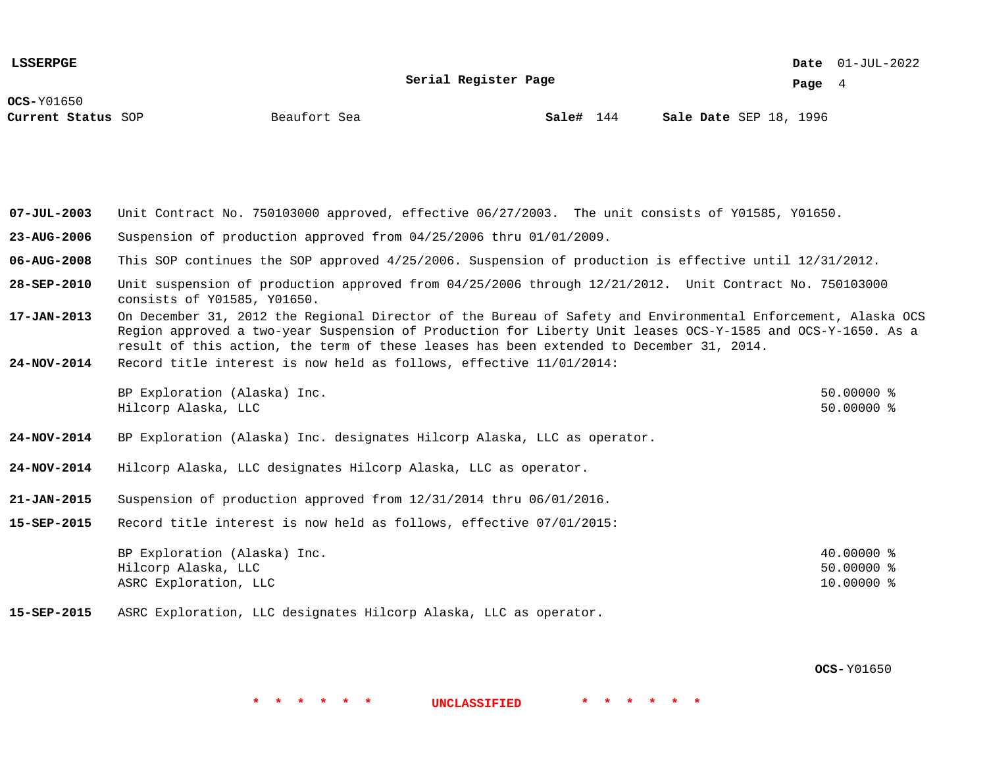**Serial Register Page**

01-JUL-2022 **Date**

**Page** 4

**OCS-**Y01650

**Sale#** 144

**Current Status** SOP **Sale#** 144 SEP 18, 1996

**07-JUL-2003** Unit Contract No. 750103000 approved, effective 06/27/2003. The unit consists of Y01585, Y01650.

- **23-AUG-2006** Suspension of production approved from 04/25/2006 thru 01/01/2009.
- **06-AUG-2008** This SOP continues the SOP approved 4/25/2006. Suspension of production is effective until 12/31/2012.
- **28-SEP-2010** Unit suspension of production approved from 04/25/2006 through 12/21/2012. Unit Contract No. 750103000 consists of Y01585, Y01650.
- **17-JAN-2013** On December 31, 2012 the Regional Director of the Bureau of Safety and Environmental Enforcement, Alaska OCS Region approved a two-year Suspension of Production for Liberty Unit leases OCS-Y-1585 and OCS-Y-1650. As a result of this action, the term of these leases has been extended to December 31, 2014.
- **24-NOV-2014** Record title interest is now held as follows, effective 11/01/2014:

| BP Exploration (Alaska) Inc. | $50.00000$ % |
|------------------------------|--------------|
| Hilcorp Alaska, LLC          | $50.00000$ % |

- **24-NOV-2014** BP Exploration (Alaska) Inc. designates Hilcorp Alaska, LLC as operator.
- **24-NOV-2014** Hilcorp Alaska, LLC designates Hilcorp Alaska, LLC as operator.
- **21-JAN-2015** Suspension of production approved from 12/31/2014 thru 06/01/2016.
- **15-SEP-2015** Record title interest is now held as follows, effective 07/01/2015:

| BP Exploration (Alaska) Inc. | 40.00000 % |
|------------------------------|------------|
| Hilcorp Alaska, LLC          | 50.00000 % |
| ASRC Exploration, LLC        | 10.00000 % |

**\* \* \* \* \* \* UNCLASSIFIED \* \* \* \* \* \***

**15-SEP-2015** ASRC Exploration, LLC designates Hilcorp Alaska, LLC as operator.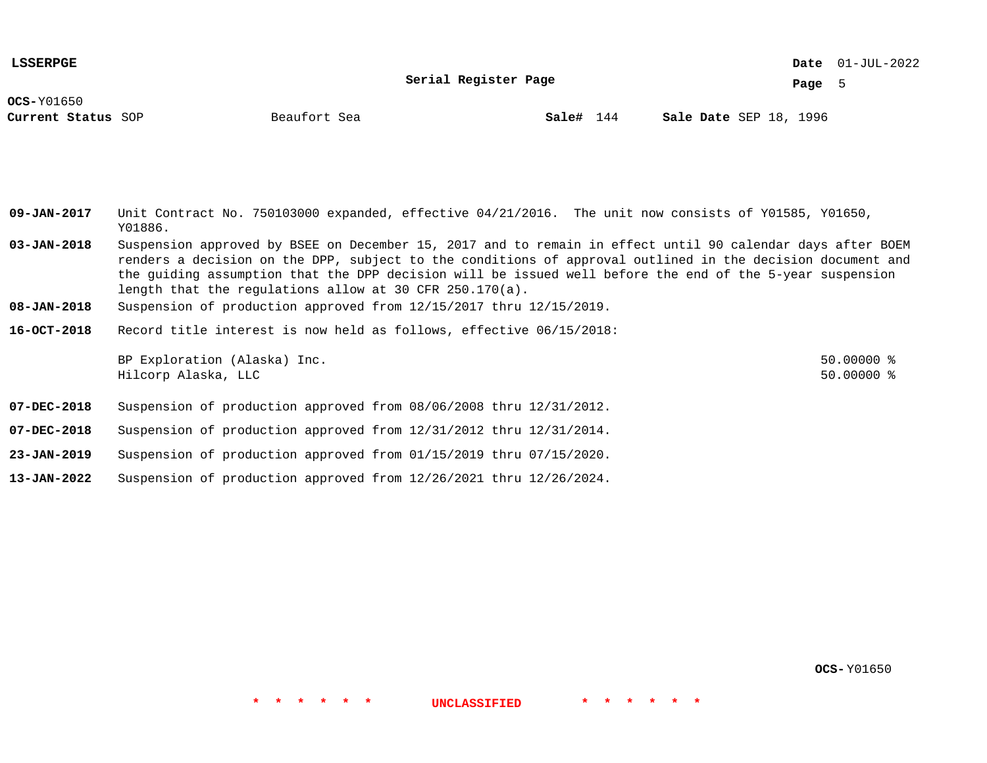**LSSERPGE**

**Serial Register Page**

01-JUL-2022 **Date**

**Page** 5

**OCS-**Y01650

**Current Status** SOP **Sale#** 144 SEP 18, 1996

**Sale#** 144

**09-JAN-2017** Unit Contract No. 750103000 expanded, effective 04/21/2016. The unit now consists of Y01585, Y01650, Y01886.

**03-JAN-2018** Suspension approved by BSEE on December 15, 2017 and to remain in effect until 90 calendar days after BOEM renders a decision on the DPP, subject to the conditions of approval outlined in the decision document and the guiding assumption that the DPP decision will be issued well before the end of the 5-year suspension length that the regulations allow at 30 CFR 250.170(a).

**\* \* \* \* \* \* UNCLASSIFIED \* \* \* \* \* \***

- **08-JAN-2018** Suspension of production approved from 12/15/2017 thru 12/15/2019.
- **16-OCT-2018** Record title interest is now held as follows, effective 06/15/2018:

BP Exploration (Alaska) Inc. 50.0000 % Hilcorp Alaska, LLC 50.00000 %

**07-DEC-2018** Suspension of production approved from 08/06/2008 thru 12/31/2012.

**07-DEC-2018** Suspension of production approved from 12/31/2012 thru 12/31/2014.

- **23-JAN-2019** Suspension of production approved from 01/15/2019 thru 07/15/2020.
- **13-JAN-2022** Suspension of production approved from 12/26/2021 thru 12/26/2024.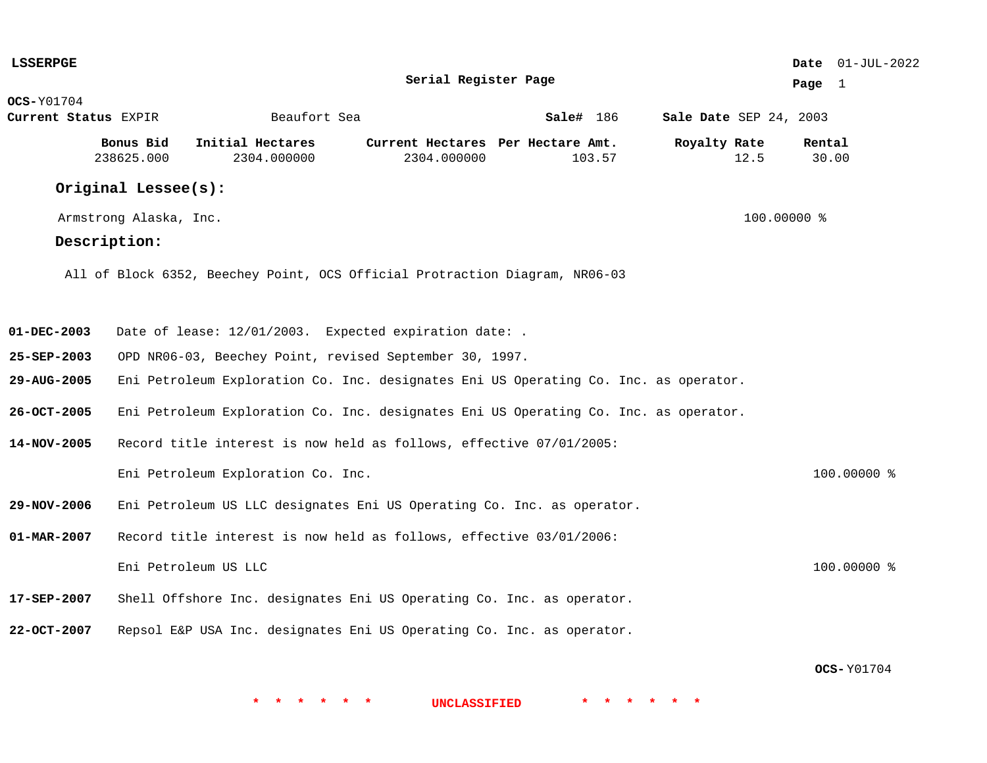| <b>LSSERPGE</b>          |                         |                                                                                      |                                                  |                      |                        |             |                 | Date 01-JUL-2022 |
|--------------------------|-------------------------|--------------------------------------------------------------------------------------|--------------------------------------------------|----------------------|------------------------|-------------|-----------------|------------------|
|                          |                         |                                                                                      | Serial Register Page                             |                      |                        |             | Page 1          |                  |
| $OCS-Y01704$             |                         |                                                                                      |                                                  |                      |                        |             |                 |                  |
| Current Status EXPIR     |                         | Beaufort Sea                                                                         |                                                  | $\texttt{Sale#}$ 186 | Sale Date SEP 24, 2003 |             |                 |                  |
|                          | Bonus Bid<br>238625.000 | Initial Hectares<br>2304.000000                                                      | Current Hectares Per Hectare Amt.<br>2304.000000 | 103.57               | Royalty Rate           | 12.5        | Rental<br>30.00 |                  |
|                          | Original Lessee(s):     |                                                                                      |                                                  |                      |                        |             |                 |                  |
|                          | Armstrong Alaska, Inc.  |                                                                                      |                                                  |                      |                        | 100.00000 % |                 |                  |
|                          | Description:            |                                                                                      |                                                  |                      |                        |             |                 |                  |
|                          |                         | All of Block 6352, Beechey Point, OCS Official Protraction Diagram, NR06-03          |                                                  |                      |                        |             |                 |                  |
| 01-DEC-2003              |                         | Date of lease: 12/01/2003. Expected expiration date: .                               |                                                  |                      |                        |             |                 |                  |
|                          |                         |                                                                                      |                                                  |                      |                        |             |                 |                  |
| $25 - SEP - 2003$        |                         | OPD NR06-03, Beechey Point, revised September 30, 1997.                              |                                                  |                      |                        |             |                 |                  |
| 29-AUG-2005              |                         | Eni Petroleum Exploration Co. Inc. designates Eni US Operating Co. Inc. as operator. |                                                  |                      |                        |             |                 |                  |
| 26-OCT-2005              |                         | Eni Petroleum Exploration Co. Inc. designates Eni US Operating Co. Inc. as operator. |                                                  |                      |                        |             |                 |                  |
| 14-NOV-2005              |                         | Record title interest is now held as follows, effective 07/01/2005:                  |                                                  |                      |                        |             |                 |                  |
|                          |                         | Eni Petroleum Exploration Co. Inc.                                                   |                                                  |                      |                        |             |                 | $100.00000$ %    |
| 29-NOV-2006              |                         | Eni Petroleum US LLC designates Eni US Operating Co. Inc. as operator.               |                                                  |                      |                        |             |                 |                  |
| $01 - \text{MAR} - 2007$ |                         | Record title interest is now held as follows, effective 03/01/2006:                  |                                                  |                      |                        |             |                 |                  |
|                          |                         | Eni Petroleum US LLC                                                                 |                                                  |                      |                        |             |                 | 100.00000 %      |
| 17-SEP-2007              |                         | Shell Offshore Inc. designates Eni US Operating Co. Inc. as operator.                |                                                  |                      |                        |             |                 |                  |
| 22-OCT-2007              |                         | Repsol E&P USA Inc. designates Eni US Operating Co. Inc. as operator.                |                                                  |                      |                        |             |                 |                  |
|                          |                         |                                                                                      |                                                  |                      |                        |             |                 |                  |

**OCS-** Y01704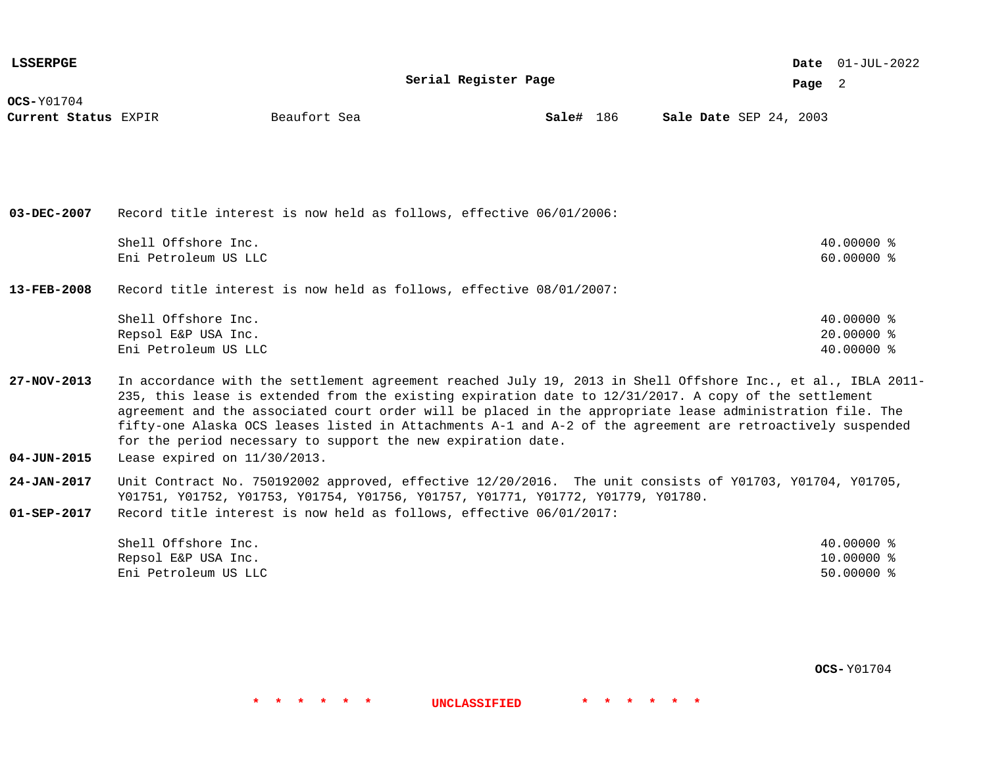| <b>LSSERPGE</b>                      |                                                                                                                                                                                                                       |              |                      |           |                        |  |        | Date $01$ -JUL-2022 |  |
|--------------------------------------|-----------------------------------------------------------------------------------------------------------------------------------------------------------------------------------------------------------------------|--------------|----------------------|-----------|------------------------|--|--------|---------------------|--|
|                                      |                                                                                                                                                                                                                       |              | Serial Register Page |           |                        |  | Page 2 |                     |  |
| $OCS-Y01704$<br>Current Status EXPIR |                                                                                                                                                                                                                       | Beaufort Sea |                      | Sale# 186 | Sale Date SEP 24, 2003 |  |        |                     |  |
|                                      |                                                                                                                                                                                                                       |              |                      |           |                        |  |        |                     |  |
|                                      |                                                                                                                                                                                                                       |              |                      |           |                        |  |        |                     |  |
|                                      |                                                                                                                                                                                                                       |              |                      |           |                        |  |        |                     |  |
|                                      |                                                                                                                                                                                                                       |              |                      |           |                        |  |        |                     |  |
| 03-DEC-2007                          | Record title interest is now held as follows, effective 06/01/2006:                                                                                                                                                   |              |                      |           |                        |  |        |                     |  |
|                                      | Shell Offshore Inc.                                                                                                                                                                                                   |              |                      |           |                        |  |        | 40.00000 %          |  |
|                                      | Eni Petroleum US LLC                                                                                                                                                                                                  |              |                      |           |                        |  |        | $60.00000$ %        |  |
| $13 - FEB - 2008$                    | Record title interest is now held as follows, effective 08/01/2007:                                                                                                                                                   |              |                      |           |                        |  |        |                     |  |
|                                      |                                                                                                                                                                                                                       |              |                      |           |                        |  |        |                     |  |
|                                      | Shell Offshore Inc.                                                                                                                                                                                                   |              |                      |           |                        |  |        | $40.00000$ %        |  |
|                                      | Repsol E&P USA Inc.                                                                                                                                                                                                   |              |                      |           |                        |  |        | $20.00000$ %        |  |
|                                      | Eni Petroleum US LLC                                                                                                                                                                                                  |              |                      |           |                        |  |        | 40.00000 %          |  |
| $27 - NOV - 2013$                    | In accordance with the settlement agreement reached July 19, 2013 in Shell Offshore Inc., et al., IBLA 2011-<br>235, this lease is extended from the existing expiration date to 12/31/2017. A copy of the settlement |              |                      |           |                        |  |        |                     |  |
|                                      | agreement and the associated court order will be placed in the appropriate lease administration file. The                                                                                                             |              |                      |           |                        |  |        |                     |  |
|                                      | fifty-one Alaska OCS leases listed in Attachments A-1 and A-2 of the agreement are retroactively suspended                                                                                                            |              |                      |           |                        |  |        |                     |  |
|                                      | for the period necessary to support the new expiration date.                                                                                                                                                          |              |                      |           |                        |  |        |                     |  |
| $04 - JUN - 2015$                    | Lease expired on $11/30/2013$ .                                                                                                                                                                                       |              |                      |           |                        |  |        |                     |  |
| $24 - JAN - 2017$                    | Unit Contract No. 750192002 approved, effective 12/20/2016. The unit consists of Y01703, Y01704, Y01705,                                                                                                              |              |                      |           |                        |  |        |                     |  |

Y01751, Y01752, Y01753, Y01754, Y01756, Y01757, Y01771, Y01772, Y01779, Y01780.

**01-SEP-2017** Record title interest is now held as follows, effective 06/01/2017:

| Shell Offshore Inc.  | 40.00000 % |
|----------------------|------------|
| Repsol E&P USA Inc.  | 10.00000 % |
| Eni Petroleum US LLC | 50.00000 % |

**OCS-** Y01704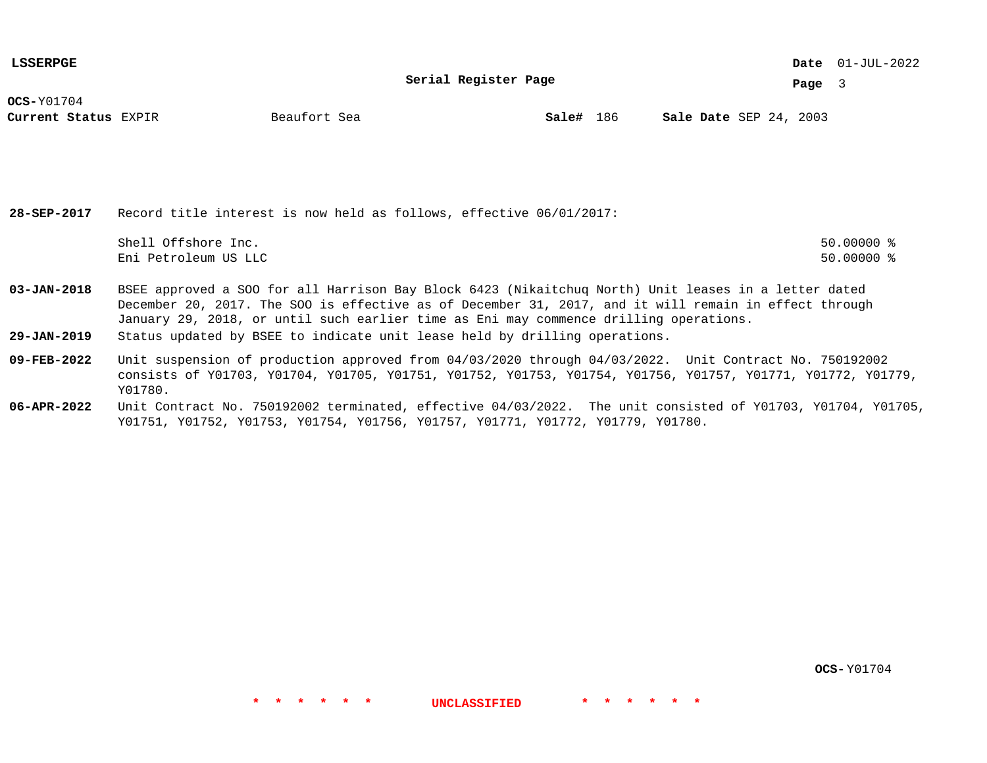**LSSERPGE**

**Serial Register Page**

01-JUL-2022 **Date**

**Page** 3

**OCS-**Y01704

**Current Status** EXPIR **Sale#** 186 SEP 24, 2003

**Sale#** 186

**28-SEP-2017** Record title interest is now held as follows, effective 06/01/2017: Shell Offshore Inc. 50.00000 % Eni Petroleum US LLC 50.00000 %

**03-JAN-2018** BSEE approved a SOO for all Harrison Bay Block 6423 (Nikaitchuq North) Unit leases in a letter dated December 20, 2017. The SOO is effective as of December 31, 2017, and it will remain in effect through January 29, 2018, or until such earlier time as Eni may commence drilling operations.

**29-JAN-2019** Status updated by BSEE to indicate unit lease held by drilling operations.

**09-FEB-2022** Unit suspension of production approved from 04/03/2020 through 04/03/2022. Unit Contract No. 750192002 consists of Y01703, Y01704, Y01705, Y01751, Y01752, Y01753, Y01754, Y01756, Y01757, Y01771, Y01772, Y01779, Y01780.

**06-APR-2022** Unit Contract No. 750192002 terminated, effective 04/03/2022. The unit consisted of Y01703, Y01704, Y01705, Y01751, Y01752, Y01753, Y01754, Y01756, Y01757, Y01771, Y01772, Y01779, Y01780.

**\* \* \* \* \* \* UNCLASSIFIED \* \* \* \* \* \***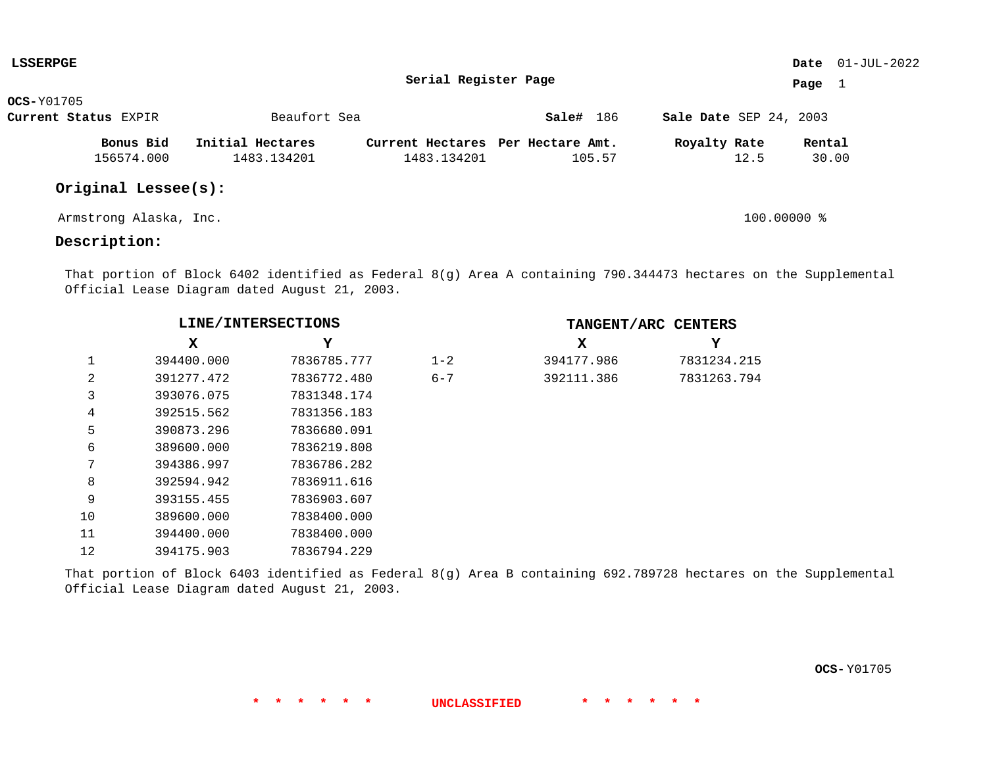| LSSERPGE             |                        |                  |                                   |           |                        | <b>Date</b> $01-JUL-2022$ |
|----------------------|------------------------|------------------|-----------------------------------|-----------|------------------------|---------------------------|
|                      |                        |                  | Serial Register Page              |           |                        | Page $1$                  |
| <b>OCS-Y01705</b>    |                        |                  |                                   |           |                        |                           |
| Current Status EXPIR |                        | Beaufort Sea     |                                   | Sale# 186 | Sale Date SEP 24, 2003 |                           |
|                      | Bonus Bid              | Initial Hectares | Current Hectares Per Hectare Amt. |           | Royalty Rate           | Rental                    |
|                      | 156574.000             | 1483.134201      | 1483.134201                       | 105.57    | 12.5                   | 30.00                     |
|                      | Original Lessee(s):    |                  |                                   |           |                        |                           |
|                      | Armstrong Alaska, Inc. |                  |                                   |           | 100.00000 %            |                           |

# **Description:**

That portion of Block 6402 identified as Federal 8(g) Area A containing 790.344473 hectares on the Supplemental Official Lease Diagram dated August 21, 2003.

|    | LINE/INTERSECTIONS |             |         | TANGENT/ARC CENTERS |             |
|----|--------------------|-------------|---------|---------------------|-------------|
|    | x                  | Y           |         | x                   | Y           |
|    | 394400.000         | 7836785.777 | $1 - 2$ | 394177.986          | 7831234.215 |
| 2  | 391277.472         | 7836772.480 | $6 - 7$ | 392111.386          | 7831263.794 |
| 3  | 393076.075         | 7831348.174 |         |                     |             |
| 4  | 392515.562         | 7831356.183 |         |                     |             |
| 5  | 390873.296         | 7836680.091 |         |                     |             |
| 6  | 389600.000         | 7836219.808 |         |                     |             |
| 7  | 394386.997         | 7836786.282 |         |                     |             |
| 8  | 392594.942         | 7836911.616 |         |                     |             |
| 9  | 393155.455         | 7836903.607 |         |                     |             |
| 10 | 389600.000         | 7838400.000 |         |                     |             |
| 11 | 394400.000         | 7838400.000 |         |                     |             |
| 12 | 394175.903         | 7836794.229 |         |                     |             |

That portion of Block 6403 identified as Federal 8(g) Area B containing 692.789728 hectares on the Supplemental Official Lease Diagram dated August 21, 2003.

**\* \* \* \* \* \* UNCLASSIFIED \* \* \* \* \* \***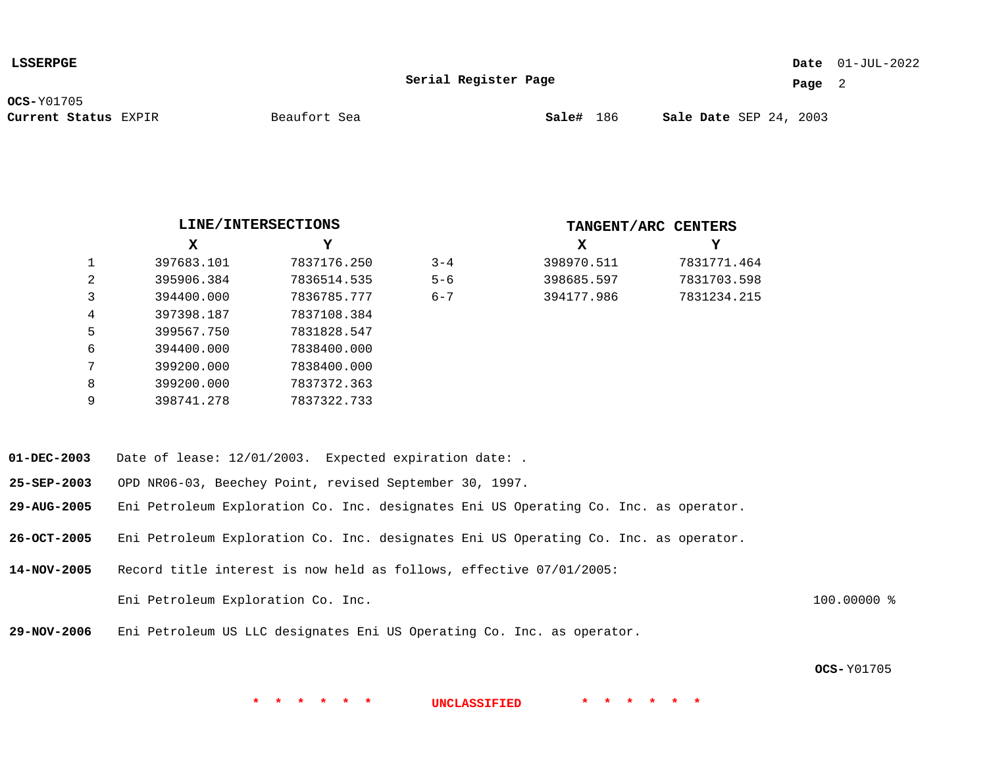### 01-JUL-2022 **Date**

**Serial Register Page**

**Page** 2

**OCS-**Y01705

**Current Status** EXPIR **Sale#** 186 SEP 24, 2003

|                |            | LINE/INTERSECTIONS |         | TANGENT/ARC CENTERS |          |
|----------------|------------|--------------------|---------|---------------------|----------|
|                | х          | Y                  |         | x                   | Y        |
| 1              | 397683.101 | 7837176.250        | $3 - 4$ | 398970.511          | 7831771. |
| 2              | 395906.384 | 7836514.535        | $5 - 6$ | 398685.597          | 7831703. |
| 3              | 394400.000 | 7836785.777        | $6 - 7$ | 394177.986          | 7831234. |
| $\overline{4}$ | 397398.187 | 7837108.384        |         |                     |          |
| 5              | 399567.750 | 7831828.547        |         |                     |          |
| 6              | 394400.000 | 7838400.000        |         |                     |          |
| 7              | 399200.000 | 7838400.000        |         |                     |          |
| 8              | 399200.000 | 7837372.363        |         |                     |          |
| 9              | 398741.278 | 7837322.733        |         |                     |          |

| X          | Y           |
|------------|-------------|
| 398970.511 | 7831771.464 |
| 398685.597 | 7831703.598 |
| 394177.986 | 7831234.215 |

- **01-DEC-2003** Date of lease: 12/01/2003. Expected expiration date: .
- **25-SEP-2003** OPD NR06-03, Beechey Point, revised September 30, 1997.
- **29-AUG-2005** Eni Petroleum Exploration Co. Inc. designates Eni US Operating Co. Inc. as operator.
- **26-OCT-2005** Eni Petroleum Exploration Co. Inc. designates Eni US Operating Co. Inc. as operator.
- **14-NOV-2005** Record title interest is now held as follows, effective 07/01/2005: Eni Petroleum Exploration Co. Inc. 100.0000 %
- **29-NOV-2006** Eni Petroleum US LLC designates Eni US Operating Co. Inc. as operator.

**OCS-** Y01705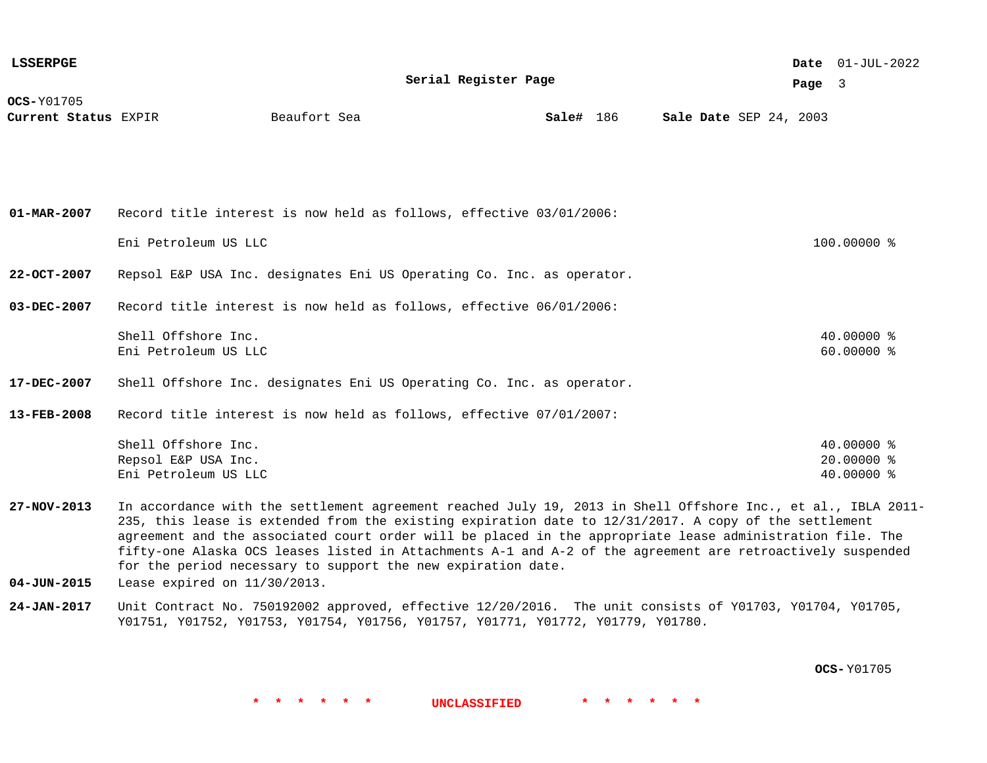| <b>LSSERPGE</b>                      |                                                                                                                                                                                                                                                                                                                                                                                                                                                                                                                  |              |                      |           |  |  |                        | Date $01$ -JUL-2022                    |  |
|--------------------------------------|------------------------------------------------------------------------------------------------------------------------------------------------------------------------------------------------------------------------------------------------------------------------------------------------------------------------------------------------------------------------------------------------------------------------------------------------------------------------------------------------------------------|--------------|----------------------|-----------|--|--|------------------------|----------------------------------------|--|
|                                      |                                                                                                                                                                                                                                                                                                                                                                                                                                                                                                                  |              | Serial Register Page |           |  |  | Page 3                 |                                        |  |
| $OCS-Y01705$<br>Current Status EXPIR |                                                                                                                                                                                                                                                                                                                                                                                                                                                                                                                  | Beaufort Sea |                      | Sale# 186 |  |  | Sale Date SEP 24, 2003 |                                        |  |
| $01 - \text{MAR} - 2007$             | Record title interest is now held as follows, effective 03/01/2006:                                                                                                                                                                                                                                                                                                                                                                                                                                              |              |                      |           |  |  |                        |                                        |  |
|                                      |                                                                                                                                                                                                                                                                                                                                                                                                                                                                                                                  |              |                      |           |  |  |                        |                                        |  |
|                                      | Eni Petroleum US LLC                                                                                                                                                                                                                                                                                                                                                                                                                                                                                             |              |                      |           |  |  |                        | 100.00000 %                            |  |
| $22 - OCT - 2007$                    | Repsol E&P USA Inc. designates Eni US Operating Co. Inc. as operator.                                                                                                                                                                                                                                                                                                                                                                                                                                            |              |                      |           |  |  |                        |                                        |  |
| 03-DEC-2007                          | Record title interest is now held as follows, effective 06/01/2006:                                                                                                                                                                                                                                                                                                                                                                                                                                              |              |                      |           |  |  |                        |                                        |  |
|                                      | Shell Offshore Inc.<br>Eni Petroleum US LLC                                                                                                                                                                                                                                                                                                                                                                                                                                                                      |              |                      |           |  |  |                        | 40.00000 %<br>60.00000 %               |  |
| 17-DEC-2007                          | Shell Offshore Inc. designates Eni US Operating Co. Inc. as operator.                                                                                                                                                                                                                                                                                                                                                                                                                                            |              |                      |           |  |  |                        |                                        |  |
| 13-FEB-2008                          | Record title interest is now held as follows, effective 07/01/2007:                                                                                                                                                                                                                                                                                                                                                                                                                                              |              |                      |           |  |  |                        |                                        |  |
|                                      | Shell Offshore Inc.<br>Repsol E&P USA Inc.<br>Eni Petroleum US LLC                                                                                                                                                                                                                                                                                                                                                                                                                                               |              |                      |           |  |  |                        | 40.00000 %<br>20.00000 %<br>40.00000 % |  |
| 27-NOV-2013                          | In accordance with the settlement agreement reached July 19, 2013 in Shell Offshore Inc., et al., IBLA 2011-<br>235, this lease is extended from the existing expiration date to 12/31/2017. A copy of the settlement<br>agreement and the associated court order will be placed in the appropriate lease administration file. The<br>fifty-one Alaska OCS leases listed in Attachments A-1 and A-2 of the agreement are retroactively suspended<br>for the period necessary to support the new expiration date. |              |                      |           |  |  |                        |                                        |  |
| $04 - JUN - 2015$                    | Lease expired on 11/30/2013.                                                                                                                                                                                                                                                                                                                                                                                                                                                                                     |              |                      |           |  |  |                        |                                        |  |

**24-JAN-2017** Unit Contract No. 750192002 approved, effective 12/20/2016. The unit consists of Y01703, Y01704, Y01705, Y01751, Y01752, Y01753, Y01754, Y01756, Y01757, Y01771, Y01772, Y01779, Y01780.

**OCS-** Y01705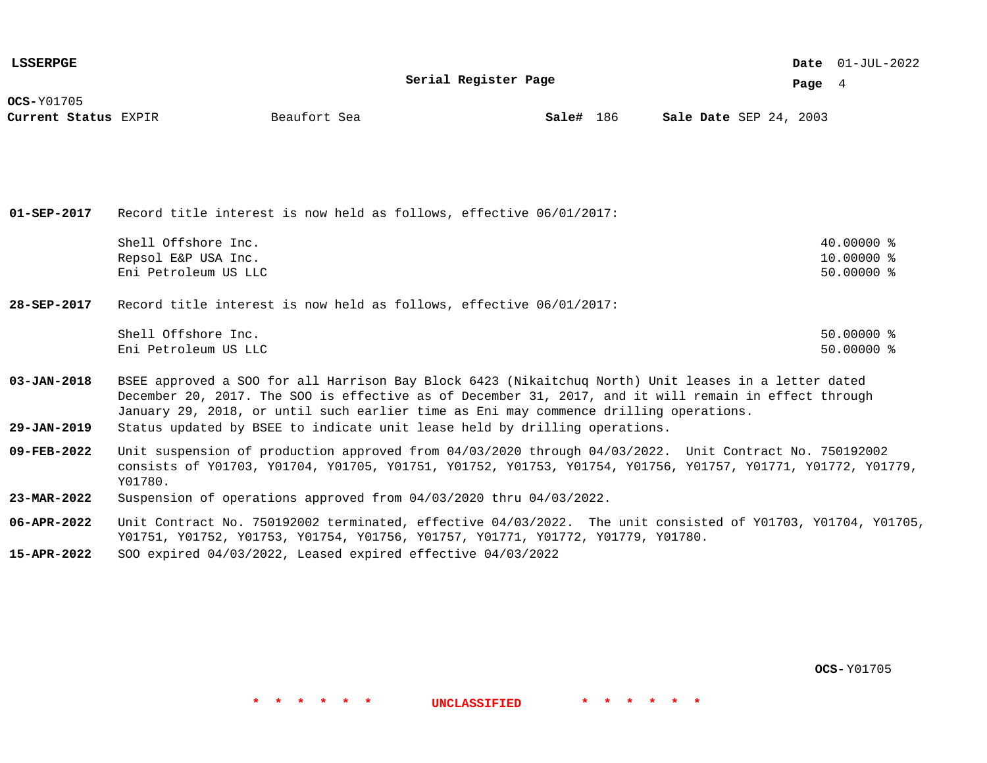| <b>LSSERPGE</b>      |                                                                                                                                                                                                                                                                                                                              |              |                      |           |  |                        |  |          | Date $01$ -JUL-2022 |  |
|----------------------|------------------------------------------------------------------------------------------------------------------------------------------------------------------------------------------------------------------------------------------------------------------------------------------------------------------------------|--------------|----------------------|-----------|--|------------------------|--|----------|---------------------|--|
|                      |                                                                                                                                                                                                                                                                                                                              |              | Serial Register Page |           |  |                        |  | Page $4$ |                     |  |
| <b>OCS-Y01705</b>    |                                                                                                                                                                                                                                                                                                                              |              |                      |           |  |                        |  |          |                     |  |
| Current Status EXPIR |                                                                                                                                                                                                                                                                                                                              | Beaufort Sea |                      | Sale# 186 |  | Sale Date SEP 24, 2003 |  |          |                     |  |
|                      |                                                                                                                                                                                                                                                                                                                              |              |                      |           |  |                        |  |          |                     |  |
|                      |                                                                                                                                                                                                                                                                                                                              |              |                      |           |  |                        |  |          |                     |  |
|                      |                                                                                                                                                                                                                                                                                                                              |              |                      |           |  |                        |  |          |                     |  |
|                      |                                                                                                                                                                                                                                                                                                                              |              |                      |           |  |                        |  |          |                     |  |
| $01 - SEP - 2017$    | Record title interest is now held as follows, effective 06/01/2017:                                                                                                                                                                                                                                                          |              |                      |           |  |                        |  |          |                     |  |
|                      | Shell Offshore Inc.                                                                                                                                                                                                                                                                                                          |              |                      |           |  |                        |  |          | $40.00000$ %        |  |
|                      | Repsol E&P USA Inc.                                                                                                                                                                                                                                                                                                          |              |                      |           |  |                        |  |          | 10.00000 %          |  |
|                      | Eni Petroleum US LLC                                                                                                                                                                                                                                                                                                         |              |                      |           |  |                        |  |          | 50.00000 %          |  |
| 28-SEP-2017          | Record title interest is now held as follows, effective 06/01/2017:                                                                                                                                                                                                                                                          |              |                      |           |  |                        |  |          |                     |  |
|                      |                                                                                                                                                                                                                                                                                                                              |              |                      |           |  |                        |  |          |                     |  |
|                      | Shell Offshore Inc.                                                                                                                                                                                                                                                                                                          |              |                      |           |  |                        |  |          | $50.00000$ %        |  |
|                      | Eni Petroleum US LLC                                                                                                                                                                                                                                                                                                         |              |                      |           |  |                        |  |          | $50.00000$ %        |  |
| $03 - JAN - 2018$    | BSEE approved a SOO for all Harrison Bay Block 6423 (Nikaitchuq North) Unit leases in a letter dated                                                                                                                                                                                                                         |              |                      |           |  |                        |  |          |                     |  |
|                      | December 20, 2017. The SOO is effective as of December 31, 2017, and it will remain in effect through                                                                                                                                                                                                                        |              |                      |           |  |                        |  |          |                     |  |
|                      | January 29, 2018, or until such earlier time as Eni may commence drilling operations.                                                                                                                                                                                                                                        |              |                      |           |  |                        |  |          |                     |  |
| $29 - JAN - 2019$    | Status updated by BSEE to indicate unit lease held by drilling operations.                                                                                                                                                                                                                                                   |              |                      |           |  |                        |  |          |                     |  |
|                      | $\overline{100}$ == 0.000 == 1; $\overline{111}$ = $\overline{111}$ = $\overline{111}$ = $\overline{111}$ = $\overline{111}$ = $\overline{111}$ = $\overline{111}$ = $\overline{111}$ = $\overline{111}$ = $\overline{111}$ = $\overline{111}$ = $\overline{111}$ = $\overline{111}$ = $\overline{111}$ = $\overline{111}$ = |              |                      |           |  |                        |  |          |                     |  |

- **09-FEB-2022** Unit suspension of production approved from 04/03/2020 through 04/03/2022. Unit Contract No. 750192002 consists of Y01703, Y01704, Y01705, Y01751, Y01752, Y01753, Y01754, Y01756, Y01757, Y01771, Y01772, Y01779, Y01780.
- **23-MAR-2022** Suspension of operations approved from 04/03/2020 thru 04/03/2022.
- **06-APR-2022** Unit Contract No. 750192002 terminated, effective 04/03/2022. The unit consisted of Y01703, Y01704, Y01705, Y01751, Y01752, Y01753, Y01754, Y01756, Y01757, Y01771, Y01772, Y01779, Y01780.

**\* \* \* \* \* \* UNCLASSIFIED \* \* \* \* \* \***

**15-APR-2022** SOO expired 04/03/2022, Leased expired effective 04/03/2022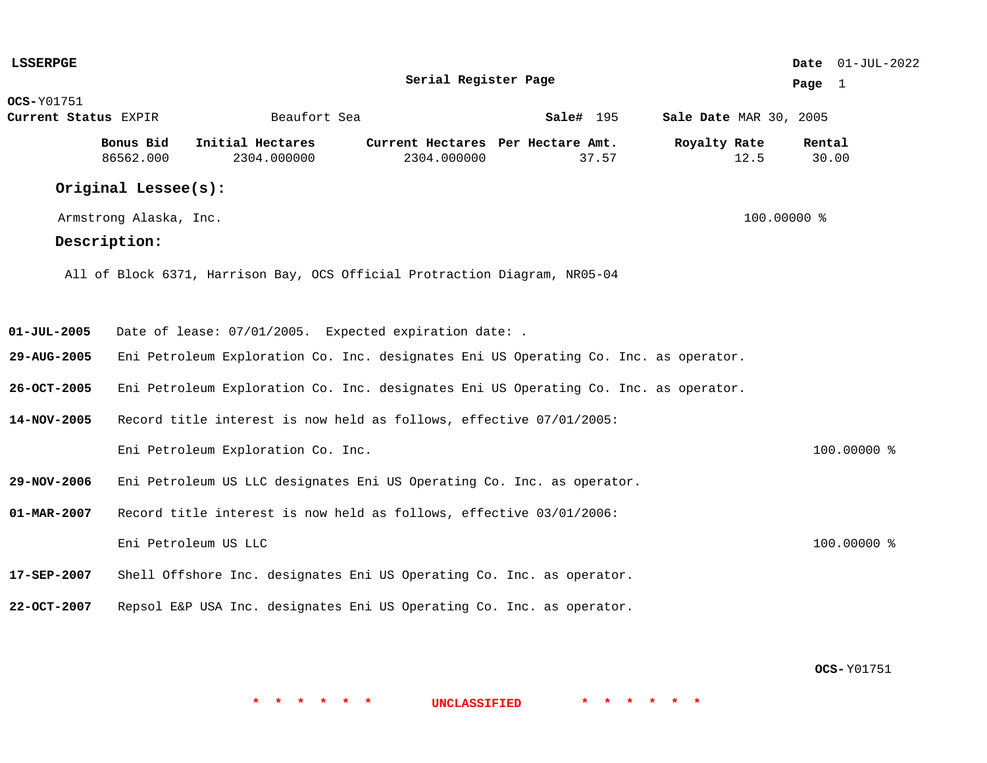| <b>LSSERPGE</b>      |                        |                                                                                      |                                   |           |                        | Date 01-JUL-2022 |
|----------------------|------------------------|--------------------------------------------------------------------------------------|-----------------------------------|-----------|------------------------|------------------|
|                      |                        |                                                                                      | Serial Register Page              |           |                        | Page 1           |
| <b>OCS-</b> Y01751   |                        |                                                                                      |                                   |           |                        |                  |
| Current Status EXPIR |                        | Beaufort Sea                                                                         |                                   | Sale# 195 | Sale Date MAR 30, 2005 |                  |
|                      | Bonus Bid              | Initial Hectares                                                                     | Current Hectares Per Hectare Amt. |           | Royalty Rate           | Rental           |
|                      | 86562.000              | 2304.000000                                                                          | 2304.000000                       | 37.57     | 12.5                   | 30.00            |
|                      | Original Lessee(s):    |                                                                                      |                                   |           |                        |                  |
|                      | Armstrong Alaska, Inc. |                                                                                      |                                   |           | 100.00000 %            |                  |
|                      | Description:           |                                                                                      |                                   |           |                        |                  |
|                      |                        | All of Block 6371, Harrison Bay, OCS Official Protraction Diagram, NR05-04           |                                   |           |                        |                  |
| $01 - JUL - 2005$    |                        | Date of lease: 07/01/2005. Expected expiration date: .                               |                                   |           |                        |                  |
| 29-AUG-2005          |                        | Eni Petroleum Exploration Co. Inc. designates Eni US Operating Co. Inc. as operator. |                                   |           |                        |                  |
| 26-OCT-2005          |                        | Eni Petroleum Exploration Co. Inc. designates Eni US Operating Co. Inc. as operator. |                                   |           |                        |                  |
| 14-NOV-2005          |                        | Record title interest is now held as follows, effective 07/01/2005:                  |                                   |           |                        |                  |
|                      |                        | Eni Petroleum Exploration Co. Inc.                                                   |                                   |           |                        | 100.00000 %      |
| 29-NOV-2006          |                        | Eni Petroleum US LLC designates Eni US Operating Co. Inc. as operator.               |                                   |           |                        |                  |
| $01 - MAR - 2007$    |                        | Record title interest is now held as follows, effective 03/01/2006:                  |                                   |           |                        |                  |
|                      |                        | Eni Petroleum US LLC                                                                 |                                   |           |                        | 100.00000 %      |
| 17-SEP-2007          |                        | Shell Offshore Inc. designates Eni US Operating Co. Inc. as operator.                |                                   |           |                        |                  |
| 22-OCT-2007          |                        | Repsol E&P USA Inc. designates Eni US Operating Co. Inc. as operator.                |                                   |           |                        |                  |
|                      |                        |                                                                                      |                                   |           |                        |                  |

**OCS-** Y01751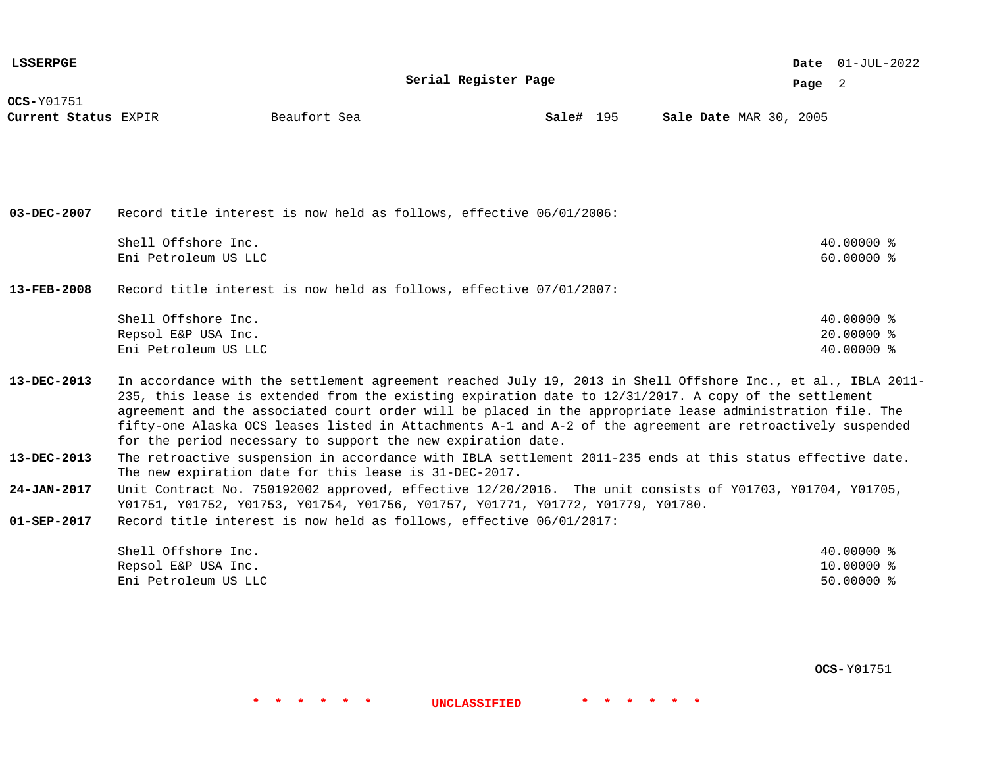| <b>LSSERPGE</b>                           |                                                                                                                                                                                                                                                                                                                                                                                                                                                                                                                  |              |                      |           |  |                        |          | Date $01$ -JUL-2022                    |  |
|-------------------------------------------|------------------------------------------------------------------------------------------------------------------------------------------------------------------------------------------------------------------------------------------------------------------------------------------------------------------------------------------------------------------------------------------------------------------------------------------------------------------------------------------------------------------|--------------|----------------------|-----------|--|------------------------|----------|----------------------------------------|--|
|                                           |                                                                                                                                                                                                                                                                                                                                                                                                                                                                                                                  |              | Serial Register Page |           |  |                        | Page $2$ |                                        |  |
| <b>OCS-Y01751</b><br>Current Status EXPIR |                                                                                                                                                                                                                                                                                                                                                                                                                                                                                                                  | Beaufort Sea |                      | Sale# 195 |  | Sale Date MAR 30, 2005 |          |                                        |  |
|                                           |                                                                                                                                                                                                                                                                                                                                                                                                                                                                                                                  |              |                      |           |  |                        |          |                                        |  |
| 03-DEC-2007                               | Record title interest is now held as follows, effective $06/01/2006$ :                                                                                                                                                                                                                                                                                                                                                                                                                                           |              |                      |           |  |                        |          |                                        |  |
|                                           | Shell Offshore Inc.                                                                                                                                                                                                                                                                                                                                                                                                                                                                                              |              |                      |           |  |                        |          | 40.00000 %                             |  |
|                                           | Eni Petroleum US LLC                                                                                                                                                                                                                                                                                                                                                                                                                                                                                             |              |                      |           |  |                        |          | 60.00000 %                             |  |
| $13 - FEB - 2008$                         | Record title interest is now held as follows, effective 07/01/2007:                                                                                                                                                                                                                                                                                                                                                                                                                                              |              |                      |           |  |                        |          |                                        |  |
|                                           | Shell Offshore Inc.                                                                                                                                                                                                                                                                                                                                                                                                                                                                                              |              |                      |           |  |                        |          | 40.00000 %                             |  |
|                                           | Repsol E&P USA Inc.<br>Eni Petroleum US LLC                                                                                                                                                                                                                                                                                                                                                                                                                                                                      |              |                      |           |  |                        |          | 20,00000 %<br>40.00000 %               |  |
|                                           |                                                                                                                                                                                                                                                                                                                                                                                                                                                                                                                  |              |                      |           |  |                        |          |                                        |  |
| 13-DEC-2013                               | In accordance with the settlement agreement reached July 19, 2013 in Shell Offshore Inc., et al., IBLA 2011-<br>235, this lease is extended from the existing expiration date to 12/31/2017. A copy of the settlement<br>agreement and the associated court order will be placed in the appropriate lease administration file. The<br>fifty-one Alaska OCS leases listed in Attachments A-1 and A-2 of the agreement are retroactively suspended<br>for the period necessary to support the new expiration date. |              |                      |           |  |                        |          |                                        |  |
| 13-DEC-2013                               | The retroactive suspension in accordance with IBLA settlement 2011-235 ends at this status effective date.<br>The new expiration date for this lease is 31-DEC-2017.                                                                                                                                                                                                                                                                                                                                             |              |                      |           |  |                        |          |                                        |  |
| 24-JAN-2017                               | Unit Contract No. 750192002 approved, effective 12/20/2016. The unit consists of Y01703, Y01704, Y01705,<br>Y01751, Y01752, Y01753, Y01754, Y01756, Y01757, Y01771, Y01772, Y01779, Y01780.                                                                                                                                                                                                                                                                                                                      |              |                      |           |  |                        |          |                                        |  |
| $01 - SEP - 2017$                         | Record title interest is now held as follows, effective 06/01/2017:                                                                                                                                                                                                                                                                                                                                                                                                                                              |              |                      |           |  |                        |          |                                        |  |
|                                           | Shell Offshore Inc.<br>Repsol E&P USA Inc.<br>Eni Petroleum US LLC                                                                                                                                                                                                                                                                                                                                                                                                                                               |              |                      |           |  |                        |          | 40.00000 %<br>10.00000 %<br>50.00000 % |  |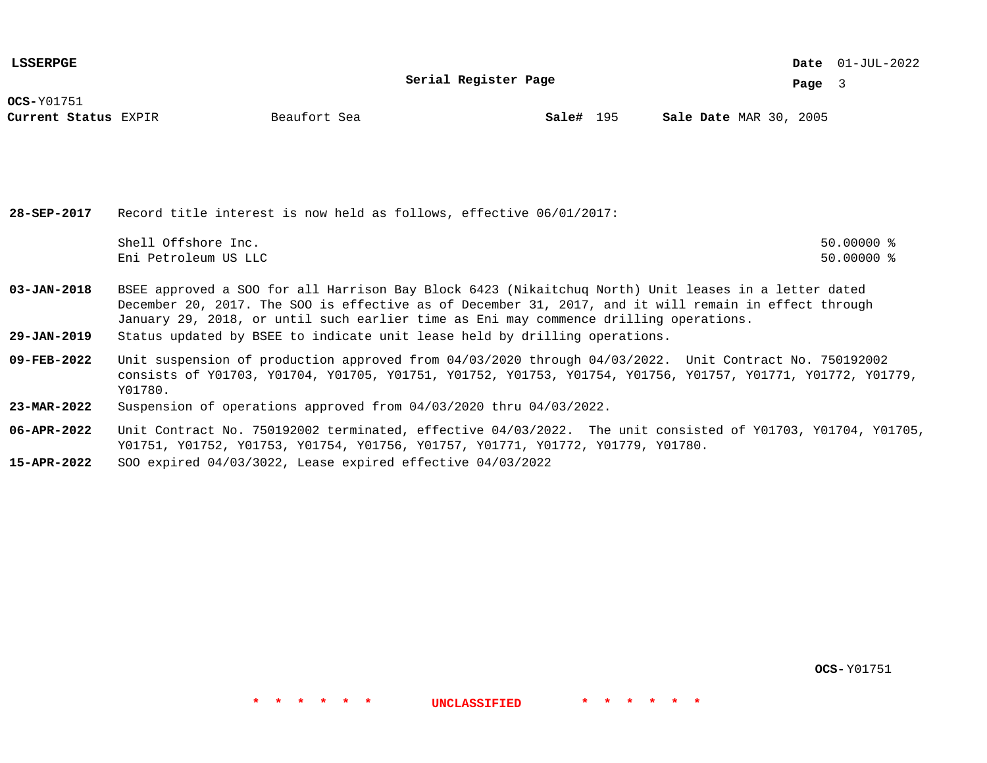**LSSERPGE**

**Serial Register Page**

01-JUL-2022 **Date**

**Page** 3

**OCS-**Y01751

**Current Status** EXPIR **Sale#** 195 MAR 30, 2005

**Sale#** 195

**28-SEP-2017** Record title interest is now held as follows, effective 06/01/2017: Shell Offshore Inc. 50.00000 % Eni Petroleum US LLC 50.00000 %

**03-JAN-2018** BSEE approved a SOO for all Harrison Bay Block 6423 (Nikaitchuq North) Unit leases in a letter dated December 20, 2017. The SOO is effective as of December 31, 2017, and it will remain in effect through

- January 29, 2018, or until such earlier time as Eni may commence drilling operations.
- **29-JAN-2019** Status updated by BSEE to indicate unit lease held by drilling operations.
- **09-FEB-2022** Unit suspension of production approved from 04/03/2020 through 04/03/2022. Unit Contract No. 750192002 consists of Y01703, Y01704, Y01705, Y01751, Y01752, Y01753, Y01754, Y01756, Y01757, Y01771, Y01772, Y01779, Y01780.
- **23-MAR-2022** Suspension of operations approved from 04/03/2020 thru 04/03/2022.
- **06-APR-2022** Unit Contract No. 750192002 terminated, effective 04/03/2022. The unit consisted of Y01703, Y01704, Y01705, Y01751, Y01752, Y01753, Y01754, Y01756, Y01757, Y01771, Y01772, Y01779, Y01780.

**\* \* \* \* \* \* UNCLASSIFIED \* \* \* \* \* \***

**15-APR-2022** SOO expired 04/03/3022, Lease expired effective 04/03/2022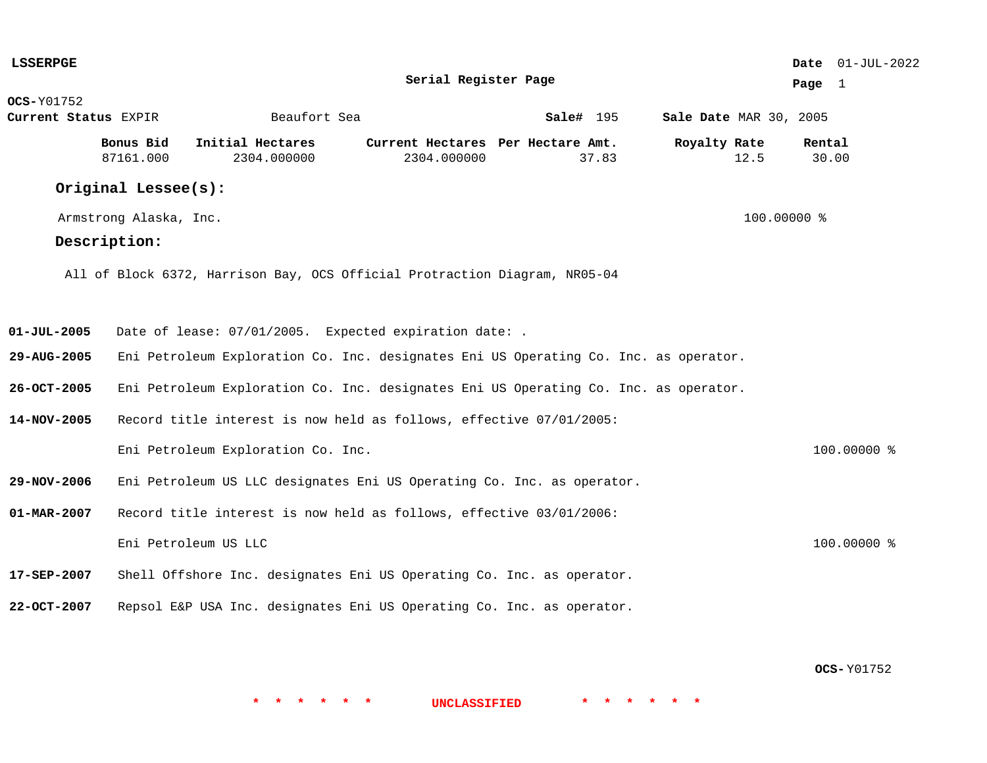| <b>LSSERPGE</b>      |                        |                                                                                      |                                   |           |                        | Date 01-JUL-2022 |
|----------------------|------------------------|--------------------------------------------------------------------------------------|-----------------------------------|-----------|------------------------|------------------|
|                      |                        |                                                                                      | Serial Register Page              |           |                        | Page 1           |
| <b>OCS-</b> Y01752   |                        |                                                                                      |                                   |           |                        |                  |
| Current Status EXPIR |                        | Beaufort Sea                                                                         |                                   | Sale# 195 | Sale Date MAR 30, 2005 |                  |
|                      | Bonus Bid              | Initial Hectares                                                                     | Current Hectares Per Hectare Amt. |           | Royalty Rate           | Rental           |
|                      | 87161.000              | 2304.000000                                                                          | 2304.000000                       | 37.83     | 12.5                   | 30.00            |
|                      | Original Lessee(s):    |                                                                                      |                                   |           |                        |                  |
|                      | Armstrong Alaska, Inc. |                                                                                      |                                   |           | 100.00000 %            |                  |
|                      | Description:           |                                                                                      |                                   |           |                        |                  |
|                      |                        | All of Block 6372, Harrison Bay, OCS Official Protraction Diagram, NR05-04           |                                   |           |                        |                  |
| $01 - JUL - 2005$    |                        | Date of lease: 07/01/2005. Expected expiration date: .                               |                                   |           |                        |                  |
| 29-AUG-2005          |                        | Eni Petroleum Exploration Co. Inc. designates Eni US Operating Co. Inc. as operator. |                                   |           |                        |                  |
| 26-OCT-2005          |                        | Eni Petroleum Exploration Co. Inc. designates Eni US Operating Co. Inc. as operator. |                                   |           |                        |                  |
| 14-NOV-2005          |                        | Record title interest is now held as follows, effective 07/01/2005:                  |                                   |           |                        |                  |
|                      |                        | Eni Petroleum Exploration Co. Inc.                                                   |                                   |           |                        | 100.00000 %      |
| 29-NOV-2006          |                        | Eni Petroleum US LLC designates Eni US Operating Co. Inc. as operator.               |                                   |           |                        |                  |
| 01-MAR-2007          |                        | Record title interest is now held as follows, effective 03/01/2006:                  |                                   |           |                        |                  |
|                      |                        | Eni Petroleum US LLC                                                                 |                                   |           |                        | 100.00000 %      |
| 17-SEP-2007          |                        | Shell Offshore Inc. designates Eni US Operating Co. Inc. as operator.                |                                   |           |                        |                  |
| 22-OCT-2007          |                        | Repsol E&P USA Inc. designates Eni US Operating Co. Inc. as operator.                |                                   |           |                        |                  |

**OCS-** Y01752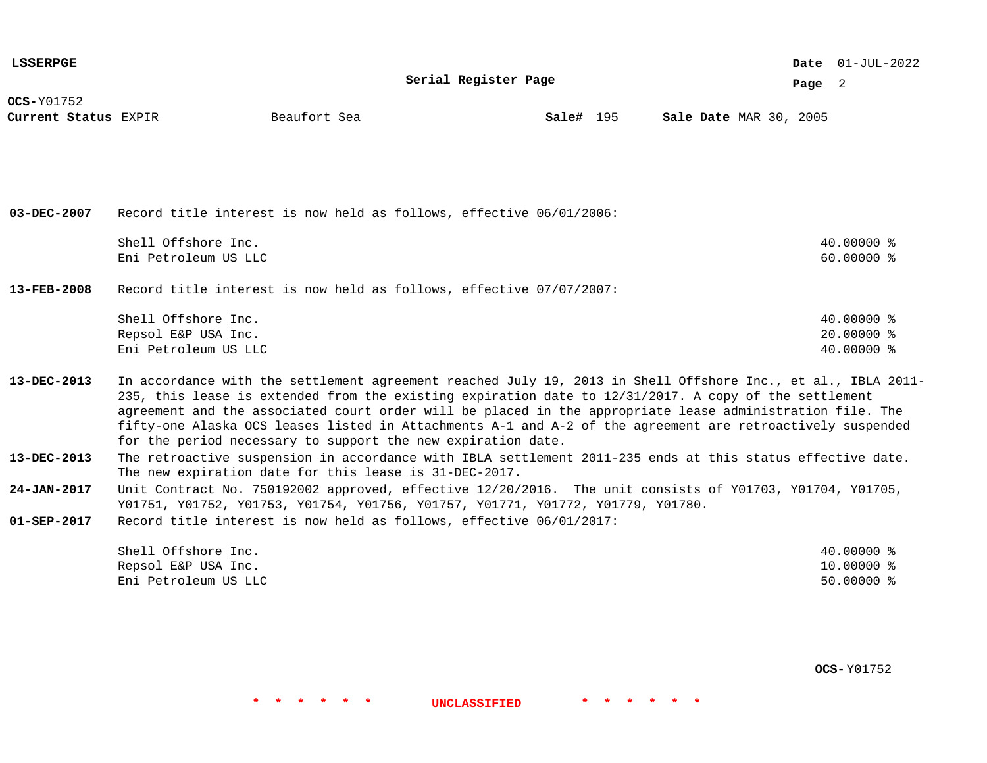| <b>LSSERPGE</b>                           | Serial Register Page                                                                                                                                                                                                                                                                                                                                                                                                                                                                                             |              |  |           |  |  |  |  |                        |  | <b>Date</b> $01-JUL-2022$                |  |
|-------------------------------------------|------------------------------------------------------------------------------------------------------------------------------------------------------------------------------------------------------------------------------------------------------------------------------------------------------------------------------------------------------------------------------------------------------------------------------------------------------------------------------------------------------------------|--------------|--|-----------|--|--|--|--|------------------------|--|------------------------------------------|--|
|                                           |                                                                                                                                                                                                                                                                                                                                                                                                                                                                                                                  |              |  |           |  |  |  |  | Page 2                 |  |                                          |  |
| <b>OCS-Y01752</b><br>Current Status EXPIR |                                                                                                                                                                                                                                                                                                                                                                                                                                                                                                                  | Beaufort Sea |  | Sale# 195 |  |  |  |  | Sale Date MAR 30, 2005 |  |                                          |  |
|                                           |                                                                                                                                                                                                                                                                                                                                                                                                                                                                                                                  |              |  |           |  |  |  |  |                        |  |                                          |  |
| $03 - DEC - 2007$                         | Record title interest is now held as follows, effective 06/01/2006:                                                                                                                                                                                                                                                                                                                                                                                                                                              |              |  |           |  |  |  |  |                        |  |                                          |  |
|                                           | Shell Offshore Inc.<br>Eni Petroleum US LLC                                                                                                                                                                                                                                                                                                                                                                                                                                                                      |              |  |           |  |  |  |  |                        |  | 40.00000 %<br>60.00000 %                 |  |
| $13 - FEB - 2008$                         | Record title interest is now held as follows, effective 07/07/2007:                                                                                                                                                                                                                                                                                                                                                                                                                                              |              |  |           |  |  |  |  |                        |  |                                          |  |
|                                           | Shell Offshore Inc.<br>Repsol E&P USA Inc.<br>Eni Petroleum US LLC                                                                                                                                                                                                                                                                                                                                                                                                                                               |              |  |           |  |  |  |  |                        |  | 40.00000 %<br>$20.00000$ %<br>40.00000 % |  |
| 13-DEC-2013                               | In accordance with the settlement agreement reached July 19, 2013 in Shell Offshore Inc., et al., IBLA 2011-<br>235, this lease is extended from the existing expiration date to 12/31/2017. A copy of the settlement<br>agreement and the associated court order will be placed in the appropriate lease administration file. The<br>fifty-one Alaska OCS leases listed in Attachments A-1 and A-2 of the agreement are retroactively suspended<br>for the period necessary to support the new expiration date. |              |  |           |  |  |  |  |                        |  |                                          |  |
| 13-DEC-2013                               | The retroactive suspension in accordance with IBLA settlement 2011-235 ends at this status effective date.<br>The new expiration date for this lease is 31-DEC-2017.                                                                                                                                                                                                                                                                                                                                             |              |  |           |  |  |  |  |                        |  |                                          |  |
| 24-JAN-2017                               | Unit Contract No. 750192002 approved, effective 12/20/2016. The unit consists of Y01703, Y01704, Y01705,<br>Y01751, Y01752, Y01753, Y01754, Y01756, Y01757, Y01771, Y01772, Y01779, Y01780.                                                                                                                                                                                                                                                                                                                      |              |  |           |  |  |  |  |                        |  |                                          |  |
| $01 - SEP - 2017$                         | Record title interest is now held as follows, effective 06/01/2017:                                                                                                                                                                                                                                                                                                                                                                                                                                              |              |  |           |  |  |  |  |                        |  |                                          |  |
|                                           | Shell Offshore Inc.<br>Repsol E&P USA Inc.<br>Eni Petroleum US LLC                                                                                                                                                                                                                                                                                                                                                                                                                                               |              |  |           |  |  |  |  |                        |  | 40.00000 %<br>10.00000 %<br>$50.00000$ % |  |

**OCS-** Y01752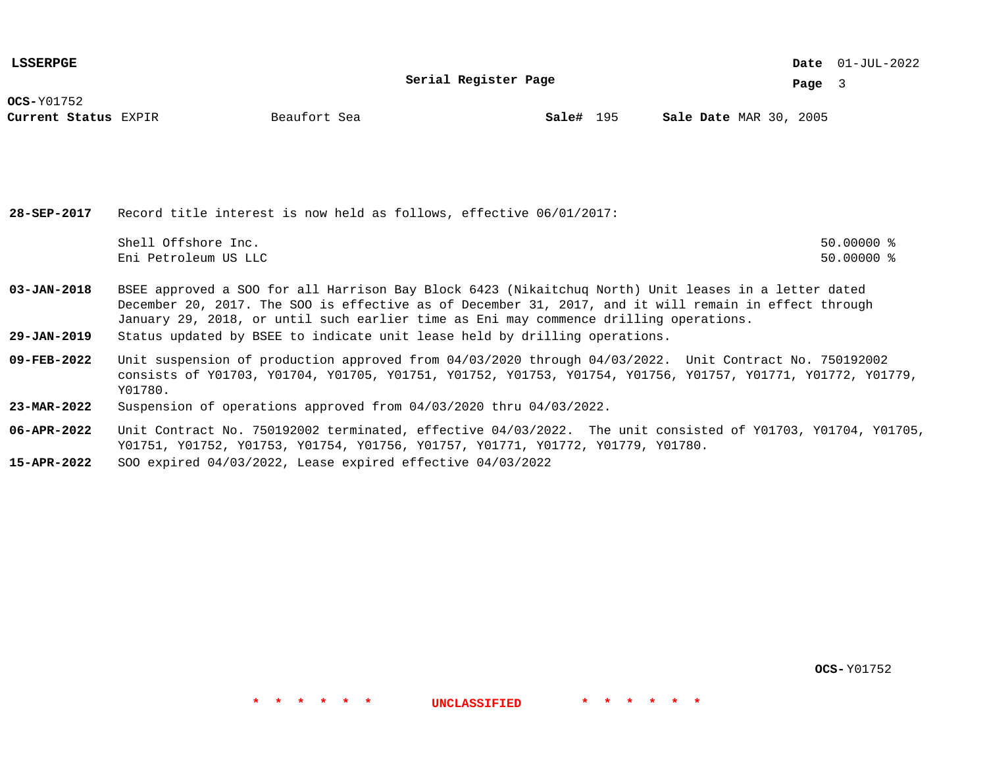**Serial Register Page**

01-JUL-2022 **Date**

**Page** 3

**OCS-**Y01752

**Current Status** EXPIR **Sale#** 195 MAR 30, 2005

**Sale#** 195

**28-SEP-2017** Record title interest is now held as follows, effective 06/01/2017: Shell Offshore Inc. 50.00000 % Eni Petroleum US LLC 50.00000 %

**03-JAN-2018** BSEE approved a SOO for all Harrison Bay Block 6423 (Nikaitchuq North) Unit leases in a letter dated December 20, 2017. The SOO is effective as of December 31, 2017, and it will remain in effect through January 29, 2018, or until such earlier time as Eni may commence drilling operations.

- **29-JAN-2019** Status updated by BSEE to indicate unit lease held by drilling operations.
- **09-FEB-2022** Unit suspension of production approved from 04/03/2020 through 04/03/2022. Unit Contract No. 750192002 consists of Y01703, Y01704, Y01705, Y01751, Y01752, Y01753, Y01754, Y01756, Y01757, Y01771, Y01772, Y01779, Y01780.
- **23-MAR-2022** Suspension of operations approved from 04/03/2020 thru 04/03/2022.
- **06-APR-2022** Unit Contract No. 750192002 terminated, effective 04/03/2022. The unit consisted of Y01703, Y01704, Y01705, Y01751, Y01752, Y01753, Y01754, Y01756, Y01757, Y01771, Y01772, Y01779, Y01780.

**\* \* \* \* \* \* UNCLASSIFIED \* \* \* \* \* \***

**15-APR-2022** SOO expired 04/03/2022, Lease expired effective 04/03/2022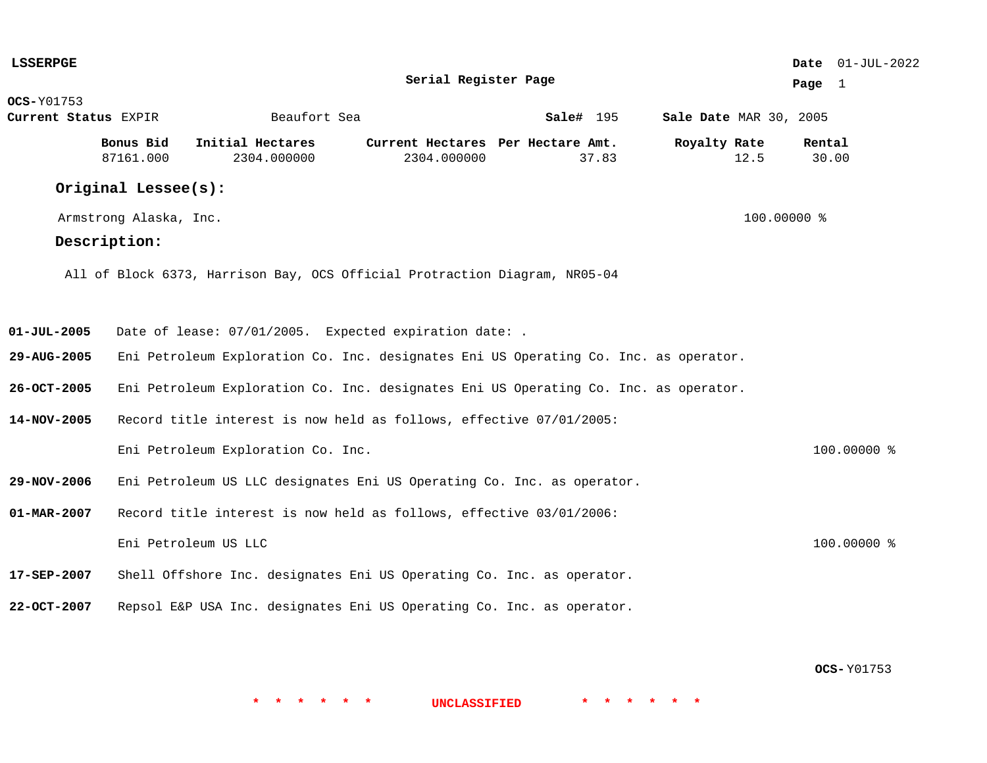| <b>LSSERPGE</b>      |                        |                                                                                      |                                   |           |                        | Date 01-JUL-2022 |
|----------------------|------------------------|--------------------------------------------------------------------------------------|-----------------------------------|-----------|------------------------|------------------|
|                      |                        |                                                                                      | Serial Register Page              |           |                        | Page 1           |
| <b>OCS-</b> Y01753   |                        |                                                                                      |                                   |           |                        |                  |
| Current Status EXPIR |                        | Beaufort Sea                                                                         |                                   | Sale# 195 | Sale Date MAR 30, 2005 |                  |
|                      | Bonus Bid              | Initial Hectares                                                                     | Current Hectares Per Hectare Amt. |           | Royalty Rate           | Rental           |
|                      | 87161.000              | 2304.000000                                                                          | 2304.000000                       | 37.83     | 12.5                   | 30.00            |
|                      | Original Lessee(s):    |                                                                                      |                                   |           |                        |                  |
|                      | Armstrong Alaska, Inc. |                                                                                      |                                   |           | 100.00000 %            |                  |
|                      | Description:           |                                                                                      |                                   |           |                        |                  |
|                      |                        | All of Block 6373, Harrison Bay, OCS Official Protraction Diagram, NR05-04           |                                   |           |                        |                  |
| $01 - JUL - 2005$    |                        | Date of lease: 07/01/2005. Expected expiration date: .                               |                                   |           |                        |                  |
| 29-AUG-2005          |                        | Eni Petroleum Exploration Co. Inc. designates Eni US Operating Co. Inc. as operator. |                                   |           |                        |                  |
| 26-OCT-2005          |                        | Eni Petroleum Exploration Co. Inc. designates Eni US Operating Co. Inc. as operator. |                                   |           |                        |                  |
| 14-NOV-2005          |                        | Record title interest is now held as follows, effective 07/01/2005:                  |                                   |           |                        |                  |
|                      |                        | Eni Petroleum Exploration Co. Inc.                                                   |                                   |           |                        | 100.00000 %      |
| 29-NOV-2006          |                        | Eni Petroleum US LLC designates Eni US Operating Co. Inc. as operator.               |                                   |           |                        |                  |
| 01-MAR-2007          |                        | Record title interest is now held as follows, effective 03/01/2006:                  |                                   |           |                        |                  |
|                      |                        | Eni Petroleum US LLC                                                                 |                                   |           |                        | 100.00000 %      |
| 17-SEP-2007          |                        | Shell Offshore Inc. designates Eni US Operating Co. Inc. as operator.                |                                   |           |                        |                  |
| 22-OCT-2007          |                        | Repsol E&P USA Inc. designates Eni US Operating Co. Inc. as operator.                |                                   |           |                        |                  |
|                      |                        |                                                                                      |                                   |           |                        |                  |

**OCS-** Y01753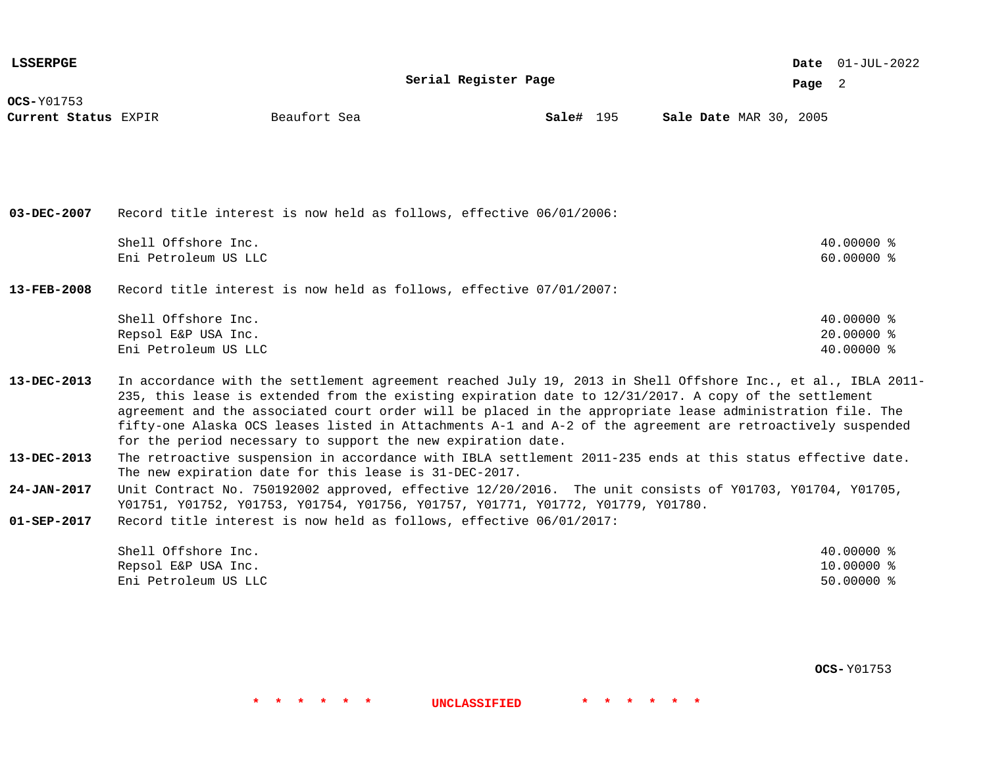| <b>LSSERPGE</b>                           |                                                                    |                                                                                                                                                                                                                                                                                                                                                                                                                                                                                                                  |                      |           |  |                        |        | Date $01$ -JUL-2022                      |  |
|-------------------------------------------|--------------------------------------------------------------------|------------------------------------------------------------------------------------------------------------------------------------------------------------------------------------------------------------------------------------------------------------------------------------------------------------------------------------------------------------------------------------------------------------------------------------------------------------------------------------------------------------------|----------------------|-----------|--|------------------------|--------|------------------------------------------|--|
|                                           |                                                                    |                                                                                                                                                                                                                                                                                                                                                                                                                                                                                                                  | Serial Register Page |           |  |                        | Page 2 |                                          |  |
| <b>OCS-Y01753</b><br>Current Status EXPIR |                                                                    | Beaufort Sea                                                                                                                                                                                                                                                                                                                                                                                                                                                                                                     |                      | Sale# 195 |  | Sale Date MAR 30, 2005 |        |                                          |  |
|                                           |                                                                    |                                                                                                                                                                                                                                                                                                                                                                                                                                                                                                                  |                      |           |  |                        |        |                                          |  |
| $03 - DEC - 2007$                         |                                                                    | Record title interest is now held as follows, effective 06/01/2006:                                                                                                                                                                                                                                                                                                                                                                                                                                              |                      |           |  |                        |        |                                          |  |
|                                           | Shell Offshore Inc.<br>Eni Petroleum US LLC                        |                                                                                                                                                                                                                                                                                                                                                                                                                                                                                                                  |                      |           |  |                        |        | 40.00000 %<br>$60.00000$ %               |  |
| $13 - FEB - 2008$                         |                                                                    | Record title interest is now held as follows, effective 07/01/2007:                                                                                                                                                                                                                                                                                                                                                                                                                                              |                      |           |  |                        |        |                                          |  |
|                                           | Shell Offshore Inc.<br>Repsol E&P USA Inc.<br>Eni Petroleum US LLC |                                                                                                                                                                                                                                                                                                                                                                                                                                                                                                                  |                      |           |  |                        |        | 40.00000 %<br>20.00000 %<br>40.00000 %   |  |
| 13-DEC-2013                               |                                                                    | In accordance with the settlement agreement reached July 19, 2013 in Shell Offshore Inc., et al., IBLA 2011-<br>235, this lease is extended from the existing expiration date to 12/31/2017. A copy of the settlement<br>agreement and the associated court order will be placed in the appropriate lease administration file. The<br>fifty-one Alaska OCS leases listed in Attachments A-1 and A-2 of the agreement are retroactively suspended<br>for the period necessary to support the new expiration date. |                      |           |  |                        |        |                                          |  |
| $13 - DEC - 2013$                         |                                                                    | The retroactive suspension in accordance with IBLA settlement 2011-235 ends at this status effective date.<br>The new expiration date for this lease is 31-DEC-2017.                                                                                                                                                                                                                                                                                                                                             |                      |           |  |                        |        |                                          |  |
| $24 - JAN - 2017$                         |                                                                    | Unit Contract No. 750192002 approved, effective 12/20/2016. The unit consists of Y01703, Y01704, Y01705,<br>Y01751, Y01752, Y01753, Y01754, Y01756, Y01757, Y01771, Y01772, Y01779, Y01780.                                                                                                                                                                                                                                                                                                                      |                      |           |  |                        |        |                                          |  |
| $01 - SEP - 2017$                         |                                                                    | Record title interest is now held as follows, effective 06/01/2017:                                                                                                                                                                                                                                                                                                                                                                                                                                              |                      |           |  |                        |        |                                          |  |
|                                           | Shell Offshore Inc.<br>Repsol E&P USA Inc.<br>Eni Petroleum US LLC |                                                                                                                                                                                                                                                                                                                                                                                                                                                                                                                  |                      |           |  |                        |        | 40.00000 %<br>10.00000 %<br>$50.00000$ % |  |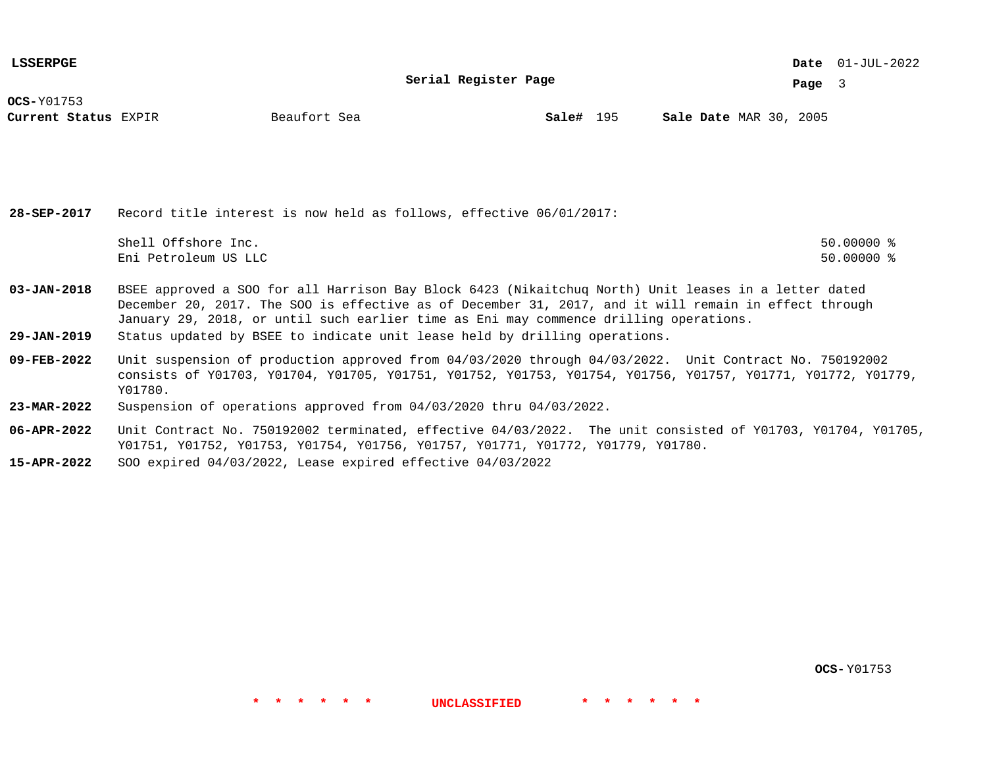**Serial Register Page**

01-JUL-2022 **Date**

**Page** 3

**OCS-**Y01753

**Current Status** EXPIR **Sale#** 195 MAR 30, 2005

**Sale#** 195

**28-SEP-2017** Record title interest is now held as follows, effective 06/01/2017: Shell Offshore Inc. 50.00000 % Eni Petroleum US LLC 50.00000 %

- **03-JAN-2018** BSEE approved a SOO for all Harrison Bay Block 6423 (Nikaitchuq North) Unit leases in a letter dated December 20, 2017. The SOO is effective as of December 31, 2017, and it will remain in effect through January 29, 2018, or until such earlier time as Eni may commence drilling operations.
- **29-JAN-2019** Status updated by BSEE to indicate unit lease held by drilling operations.
- **09-FEB-2022** Unit suspension of production approved from 04/03/2020 through 04/03/2022. Unit Contract No. 750192002 consists of Y01703, Y01704, Y01705, Y01751, Y01752, Y01753, Y01754, Y01756, Y01757, Y01771, Y01772, Y01779, Y01780.
- **23-MAR-2022** Suspension of operations approved from 04/03/2020 thru 04/03/2022.
- **06-APR-2022** Unit Contract No. 750192002 terminated, effective 04/03/2022. The unit consisted of Y01703, Y01704, Y01705, Y01751, Y01752, Y01753, Y01754, Y01756, Y01757, Y01771, Y01772, Y01779, Y01780.

**\* \* \* \* \* \* UNCLASSIFIED \* \* \* \* \* \***

**15-APR-2022** SOO expired 04/03/2022, Lease expired effective 04/03/2022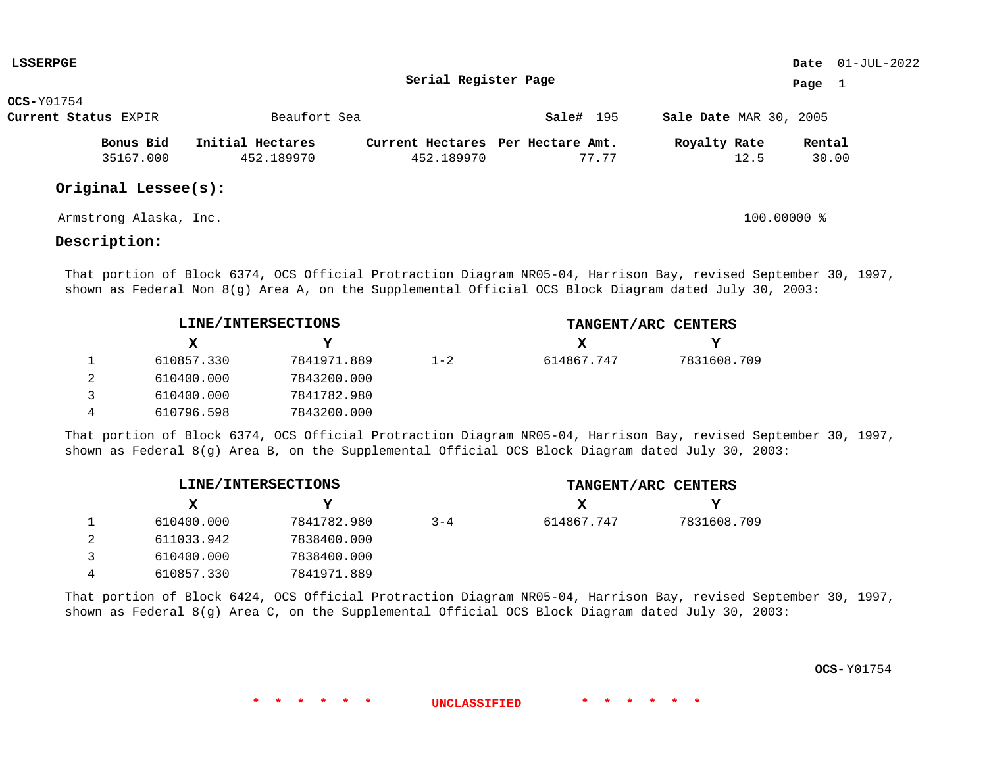| <b>LSSERPGE</b> |                        |                  |                                   |           |                               |        | Date $01$ -JUL-2022 |
|-----------------|------------------------|------------------|-----------------------------------|-----------|-------------------------------|--------|---------------------|
|                 |                        |                  | Serial Register Page              |           |                               | Page   |                     |
| $OCS-Y01754$    |                        |                  |                                   |           |                               |        |                     |
|                 | Current Status EXPIR   | Beaufort Sea     |                                   | Sale# 195 | <b>Sale Date MAR 30, 2005</b> |        |                     |
|                 | Bonus Bid              | Initial Hectares | Current Hectares Per Hectare Amt. |           | Royalty Rate                  | Rental |                     |
|                 | 35167.000              | 452.189970       | 452.189970                        | 77.77     | 12.5                          | 30.00  |                     |
|                 | Original Lessee(s):    |                  |                                   |           |                               |        |                     |
|                 | Armstrong Alaska, Inc. |                  |                                   |           | $100.00000$ %                 |        |                     |

## **Description:**

That portion of Block 6374, OCS Official Protraction Diagram NR05-04, Harrison Bay, revised September 30, 1997, shown as Federal Non 8(g) Area A, on the Supplemental Official OCS Block Diagram dated July 30, 2003:

| LINE/INTERSECTIONS |             |         | TANGENT/ARC CENTERS |             |  |  |  |
|--------------------|-------------|---------|---------------------|-------------|--|--|--|
| x                  | v           |         | X                   |             |  |  |  |
| 610857.330         | 7841971.889 | $1 - 2$ | 614867.747          | 7831608.709 |  |  |  |
| 610400.000         | 7843200.000 |         |                     |             |  |  |  |
| 610400.000         | 7841782.980 |         |                     |             |  |  |  |
| 610796.598         | 7843200.000 |         |                     |             |  |  |  |

That portion of Block 6374, OCS Official Protraction Diagram NR05-04, Harrison Bay, revised September 30, 1997, shown as Federal 8(g) Area B, on the Supplemental Official OCS Block Diagram dated July 30, 2003:

| LINE/INTERSECTIONS |             |         | TANGENT/ARC CENTERS |             |  |  |  |
|--------------------|-------------|---------|---------------------|-------------|--|--|--|
| x                  | v           |         | x                   | v.          |  |  |  |
| 610400.000         | 7841782.980 | $3 - 4$ | 614867.747          | 7831608.709 |  |  |  |
| 611033.942         | 7838400.000 |         |                     |             |  |  |  |
| 610400.000         | 7838400.000 |         |                     |             |  |  |  |
| 610857.330         | 7841971.889 |         |                     |             |  |  |  |

That portion of Block 6424, OCS Official Protraction Diagram NR05-04, Harrison Bay, revised September 30, 1997, shown as Federal 8(g) Area C, on the Supplemental Official OCS Block Diagram dated July 30, 2003: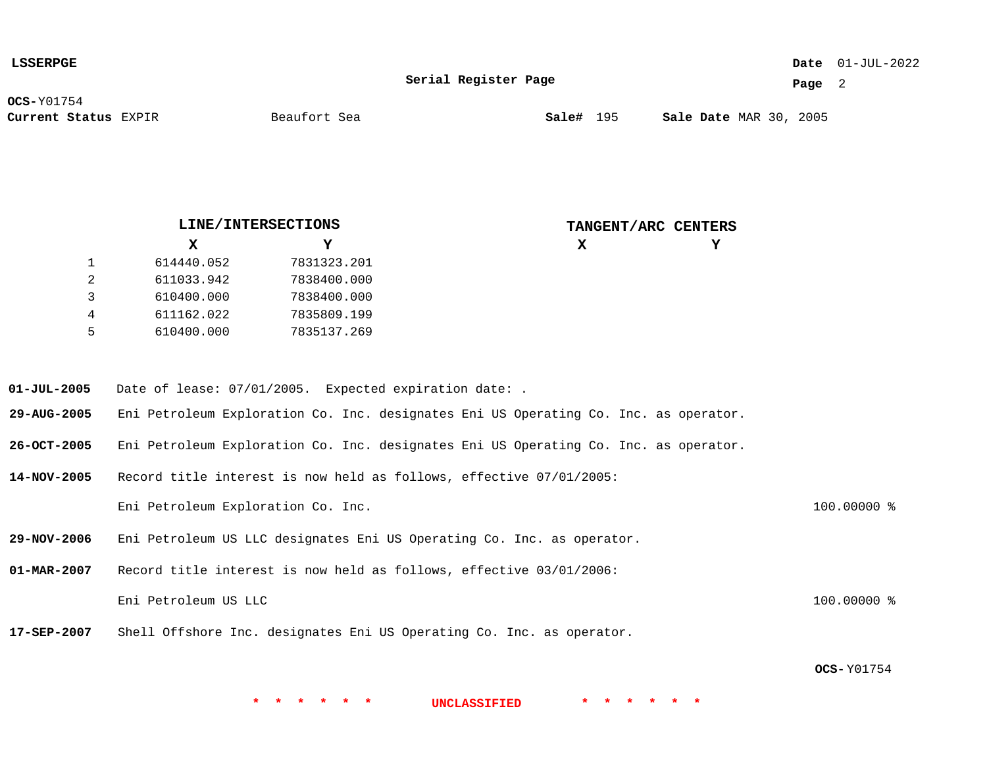| <b>LSSERPGE</b>      |              |                  |                        | <b>Date</b> $01-JUL-2022$ |
|----------------------|--------------|------------------|------------------------|---------------------------|
|                      | Page 2       |                  |                        |                           |
| <b>OCS-</b> Y01754   |              |                  |                        |                           |
| Current Status EXPIR | Beaufort Sea | <b>Sale#</b> 195 | Sale Date MAR 30, 2005 |                           |
|                      |              |                  |                        |                           |
|                      |              |                  |                        |                           |
|                      |              |                  |                        |                           |
|                      |              |                  |                        |                           |

|   | LINE/INTERSECTIONS |             | TANGENT/ARC CENTERS |   |
|---|--------------------|-------------|---------------------|---|
|   | x                  | Y           | x                   | Y |
|   | 614440.052         | 7831323.201 |                     |   |
|   | 611033.942         | 7838400.000 |                     |   |
|   | 610400.000         | 7838400.000 |                     |   |
| 4 | 611162.022         | 7835809.199 |                     |   |
| 5 | 610400.000         | 7835137.269 |                     |   |

- **01-JUL-2005** Date of lease: 07/01/2005. Expected expiration date: .
- **29-AUG-2005** Eni Petroleum Exploration Co. Inc. designates Eni US Operating Co. Inc. as operator.
- **26-OCT-2005** Eni Petroleum Exploration Co. Inc. designates Eni US Operating Co. Inc. as operator.
- **14-NOV-2005** Record title interest is now held as follows, effective 07/01/2005: Eni Petroleum Exploration Co. Inc. 100.0000 %
- **29-NOV-2006** Eni Petroleum US LLC designates Eni US Operating Co. Inc. as operator.
- **01-MAR-2007** Record title interest is now held as follows, effective 03/01/2006: Eni Petroleum US LLC 100.00000 %
- **17-SEP-2007** Shell Offshore Inc. designates Eni US Operating Co. Inc. as operator.

**OCS-** Y01754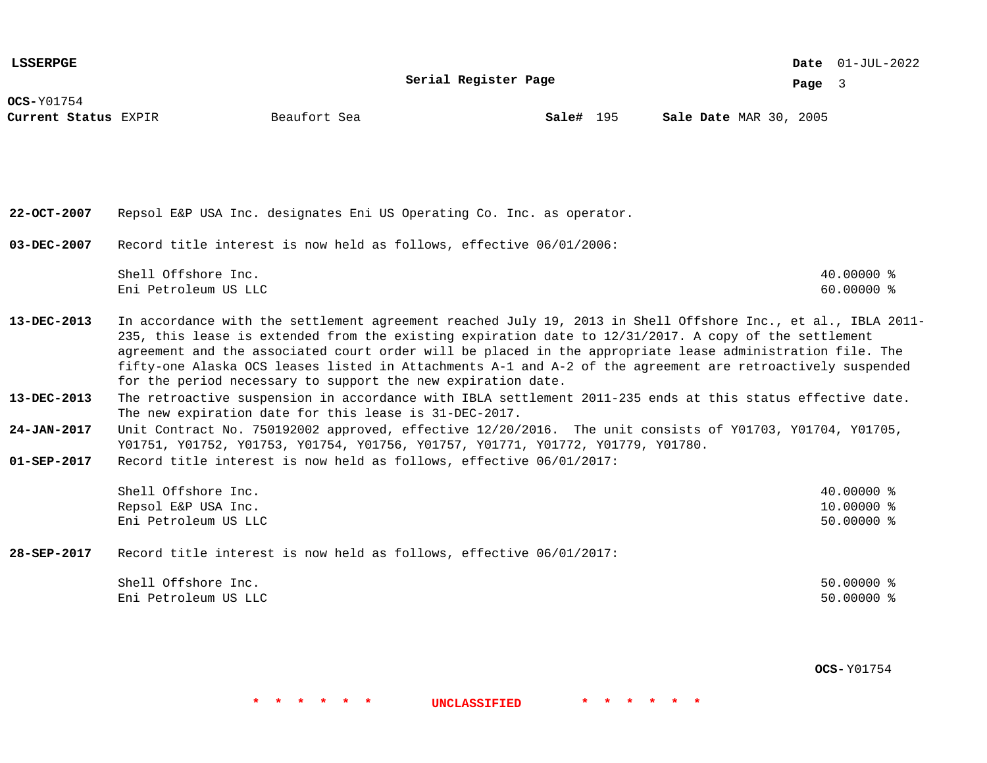**Serial Register Page**

01-JUL-2022 **Date**

**Page** 3

**OCS-**Y01754

**Current Status** EXPIR **Sale#** 195 MAR 30, 2005

**Sale#** 195

**22-OCT-2007 03-DEC-2007 13-DEC-2013 13-DEC-2013 24-JAN-2017 01-SEP-2017** Repsol E&P USA Inc. designates Eni US Operating Co. Inc. as operator. Record title interest is now held as follows, effective 06/01/2006: Shell Offshore Inc. 40.00000 % Eni Petroleum US LLC 60.00000 % In accordance with the settlement agreement reached July 19, 2013 in Shell Offshore Inc., et al., IBLA 2011- 235, this lease is extended from the existing expiration date to 12/31/2017. A copy of the settlement agreement and the associated court order will be placed in the appropriate lease administration file. The fifty-one Alaska OCS leases listed in Attachments A-1 and A-2 of the agreement are retroactively suspended for the period necessary to support the new expiration date. The retroactive suspension in accordance with IBLA settlement 2011-235 ends at this status effective date. The new expiration date for this lease is 31-DEC-2017. Unit Contract No. 750192002 approved, effective 12/20/2016. The unit consists of Y01703, Y01704, Y01705, Y01751, Y01752, Y01753, Y01754, Y01756, Y01757, Y01771, Y01772, Y01779, Y01780. Record title interest is now held as follows, effective 06/01/2017: Shell Offshore Inc. 40.00000 % Repsol E&P USA Inc. 10.00000 % Eni Petroleum US LLC 50.00000 %

**28-SEP-2017** Record title interest is now held as follows, effective 06/01/2017:

| Shell Offshore Inc.  | $50.00000$ % |
|----------------------|--------------|
| Eni Petroleum US LLC | $50.00000$ % |

**\* \* \* \* \* \* UNCLASSIFIED \* \* \* \* \* \***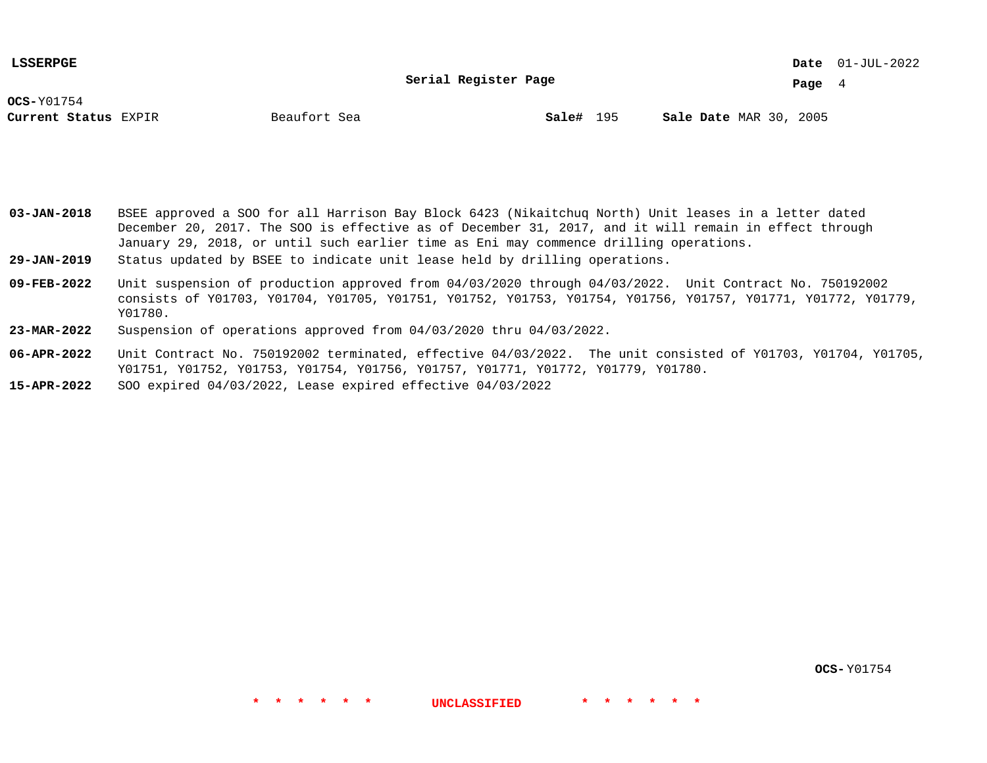**Serial Register Page**

01-JUL-2022 **Date**

**Page** 4

**OCS-**Y01754

**Current Status** EXPIR **Sale#** 195 MAR 30, 2005

**Sale#** 195

**03-JAN-2018** BSEE approved a SOO for all Harrison Bay Block 6423 (Nikaitchuq North) Unit leases in a letter dated December 20, 2017. The SOO is effective as of December 31, 2017, and it will remain in effect through January 29, 2018, or until such earlier time as Eni may commence drilling operations.

**29-JAN-2019** Status updated by BSEE to indicate unit lease held by drilling operations.

- **09-FEB-2022** Unit suspension of production approved from 04/03/2020 through 04/03/2022. Unit Contract No. 750192002 consists of Y01703, Y01704, Y01705, Y01751, Y01752, Y01753, Y01754, Y01756, Y01757, Y01771, Y01772, Y01779, Y01780.
- **23-MAR-2022** Suspension of operations approved from 04/03/2020 thru 04/03/2022.
- **06-APR-2022** Unit Contract No. 750192002 terminated, effective 04/03/2022. The unit consisted of Y01703, Y01704, Y01705, Y01751, Y01752, Y01753, Y01754, Y01756, Y01757, Y01771, Y01772, Y01779, Y01780.

**\* \* \* \* \* \* UNCLASSIFIED \* \* \* \* \* \***

**15-APR-2022** SOO expired 04/03/2022, Lease expired effective 04/03/2022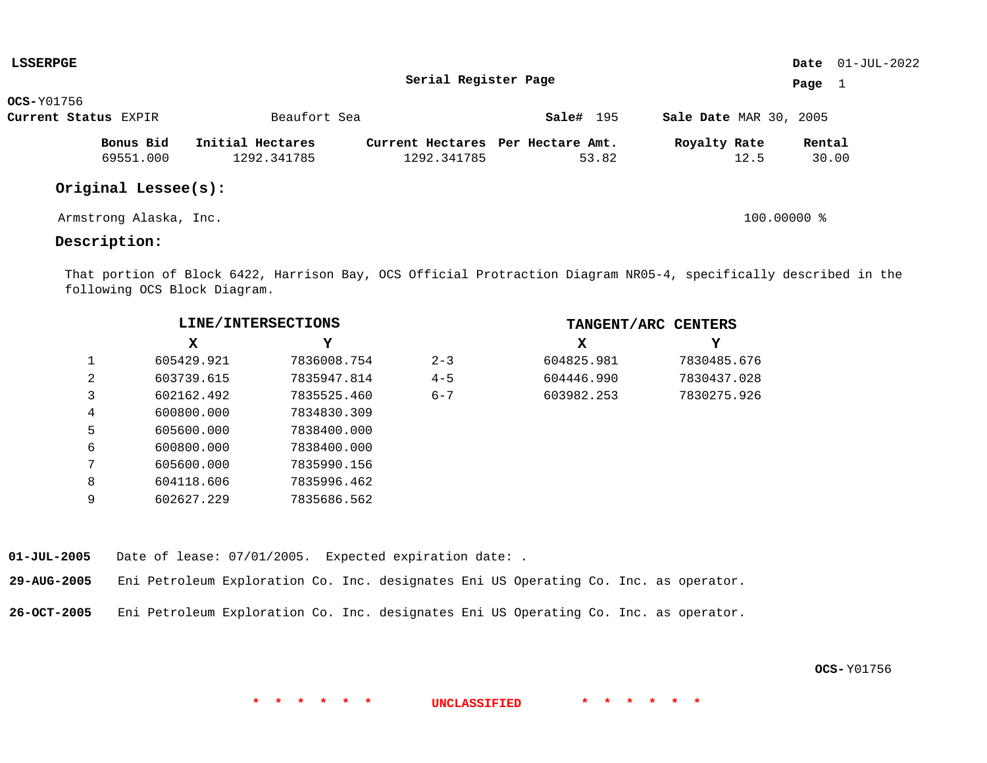| <b>LSSERPGE</b>      |                        |                  |                                   |           |                               | Date $01$ -JUL-2022 |
|----------------------|------------------------|------------------|-----------------------------------|-----------|-------------------------------|---------------------|
|                      |                        |                  | Serial Register Page              |           |                               | Page<br>1           |
| $OCS-Y01756$         |                        |                  |                                   |           |                               |                     |
| Current Status EXPIR |                        | Beaufort Sea     |                                   | Sale# 195 | <b>Sale Date MAR 30, 2005</b> |                     |
|                      | Bonus Bid              | Initial Hectares | Current Hectares Per Hectare Amt. |           | Royalty Rate                  | Rental              |
|                      | 69551.000              | 1292.341785      | 1292.341785                       | 53.82     | 12.5                          | 30.00               |
|                      | Original Lessee(s):    |                  |                                   |           |                               |                     |
|                      | Armstrong Alaska, Inc. |                  |                                   |           | $100.00000$ %                 |                     |

# **Description:**

That portion of Block 6422, Harrison Bay, OCS Official Protraction Diagram NR05-4, specifically described in the following OCS Block Diagram.

|   | LINE/INTERSECTIONS |             |         | TANGENT/ARC CENTERS |             |  |  |
|---|--------------------|-------------|---------|---------------------|-------------|--|--|
|   | x                  | Y           |         | х                   | Y           |  |  |
| 1 | 605429.921         | 7836008.754 | $2 - 3$ | 604825.981          | 7830485.676 |  |  |
| 2 | 603739.615         | 7835947.814 | $4 - 5$ | 604446.990          | 7830437.028 |  |  |
| 3 | 602162.492         | 7835525.460 | $6 - 7$ | 603982.253          | 7830275.926 |  |  |
| 4 | 600800.000         | 7834830.309 |         |                     |             |  |  |
| 5 | 605600.000         | 7838400.000 |         |                     |             |  |  |
| 6 | 600800.000         | 7838400.000 |         |                     |             |  |  |
| 7 | 605600.000         | 7835990.156 |         |                     |             |  |  |
| 8 | 604118.606         | 7835996.462 |         |                     |             |  |  |
| 9 | 602627.229         | 7835686.562 |         |                     |             |  |  |

**01-JUL-2005** Date of lease: 07/01/2005. Expected expiration date: .

**29-AUG-2005** Eni Petroleum Exploration Co. Inc. designates Eni US Operating Co. Inc. as operator.

**26-OCT-2005** Eni Petroleum Exploration Co. Inc. designates Eni US Operating Co. Inc. as operator.

**OCS-** Y01756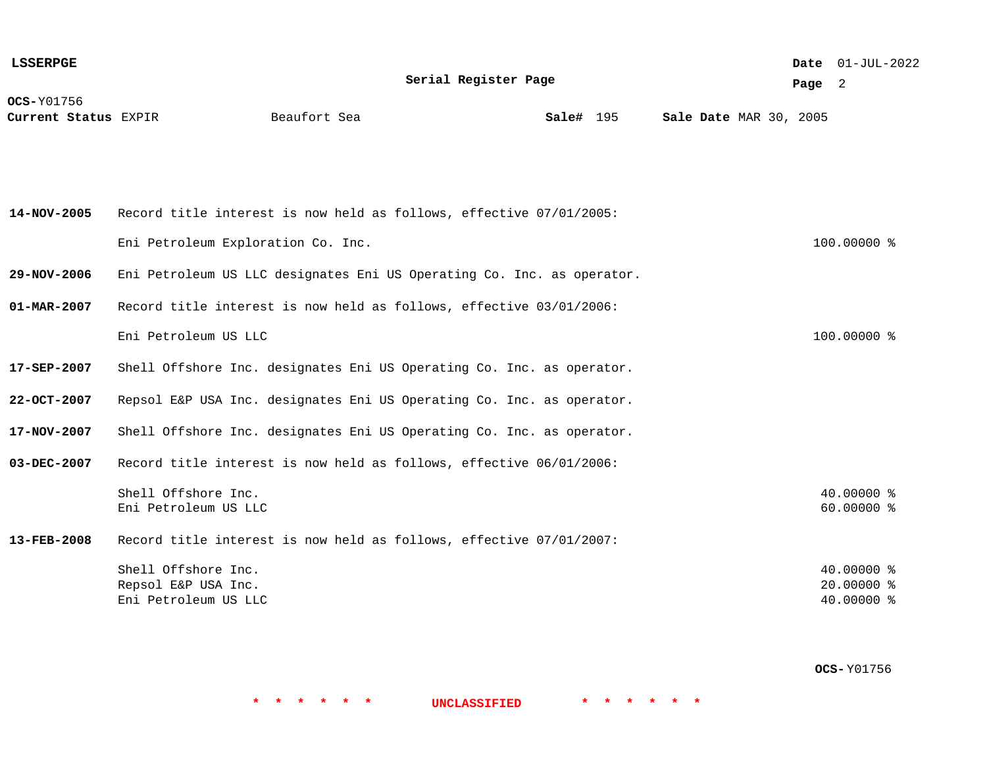| <b>LSSERPGE</b>                           |                                                                        |              |                      |           |  |  |                        | Date 01-JUL-2022 |                                        |  |
|-------------------------------------------|------------------------------------------------------------------------|--------------|----------------------|-----------|--|--|------------------------|------------------|----------------------------------------|--|
|                                           |                                                                        |              | Serial Register Page |           |  |  |                        | Page $2$         |                                        |  |
| <b>OCS-Y01756</b><br>Current Status EXPIR |                                                                        | Beaufort Sea |                      | Sale# 195 |  |  | Sale Date MAR 30, 2005 |                  |                                        |  |
| 14-NOV-2005                               | Record title interest is now held as follows, effective 07/01/2005:    |              |                      |           |  |  |                        |                  |                                        |  |
|                                           |                                                                        |              |                      |           |  |  |                        |                  |                                        |  |
|                                           | Eni Petroleum Exploration Co. Inc.                                     |              |                      |           |  |  |                        |                  | 100.00000 %                            |  |
| 29-NOV-2006                               | Eni Petroleum US LLC designates Eni US Operating Co. Inc. as operator. |              |                      |           |  |  |                        |                  |                                        |  |
| 01-MAR-2007                               | Record title interest is now held as follows, effective 03/01/2006:    |              |                      |           |  |  |                        |                  |                                        |  |
|                                           | Eni Petroleum US LLC                                                   |              |                      |           |  |  |                        |                  | 100.00000 %                            |  |
| 17-SEP-2007                               | Shell Offshore Inc. designates Eni US Operating Co. Inc. as operator.  |              |                      |           |  |  |                        |                  |                                        |  |
| 22-OCT-2007                               | Repsol E&P USA Inc. designates Eni US Operating Co. Inc. as operator.  |              |                      |           |  |  |                        |                  |                                        |  |
| 17-NOV-2007                               | Shell Offshore Inc. designates Eni US Operating Co. Inc. as operator.  |              |                      |           |  |  |                        |                  |                                        |  |
| 03-DEC-2007                               | Record title interest is now held as follows, effective 06/01/2006:    |              |                      |           |  |  |                        |                  |                                        |  |
|                                           | Shell Offshore Inc.<br>Eni Petroleum US LLC                            |              |                      |           |  |  |                        |                  | 40.00000 %<br>60.00000 %               |  |
| 13-FEB-2008                               | Record title interest is now held as follows, effective 07/01/2007:    |              |                      |           |  |  |                        |                  |                                        |  |
|                                           | Shell Offshore Inc.<br>Repsol E&P USA Inc.<br>Eni Petroleum US LLC     |              |                      |           |  |  |                        |                  | 40.00000 %<br>20.00000 %<br>40.00000 % |  |

**OCS-** Y01756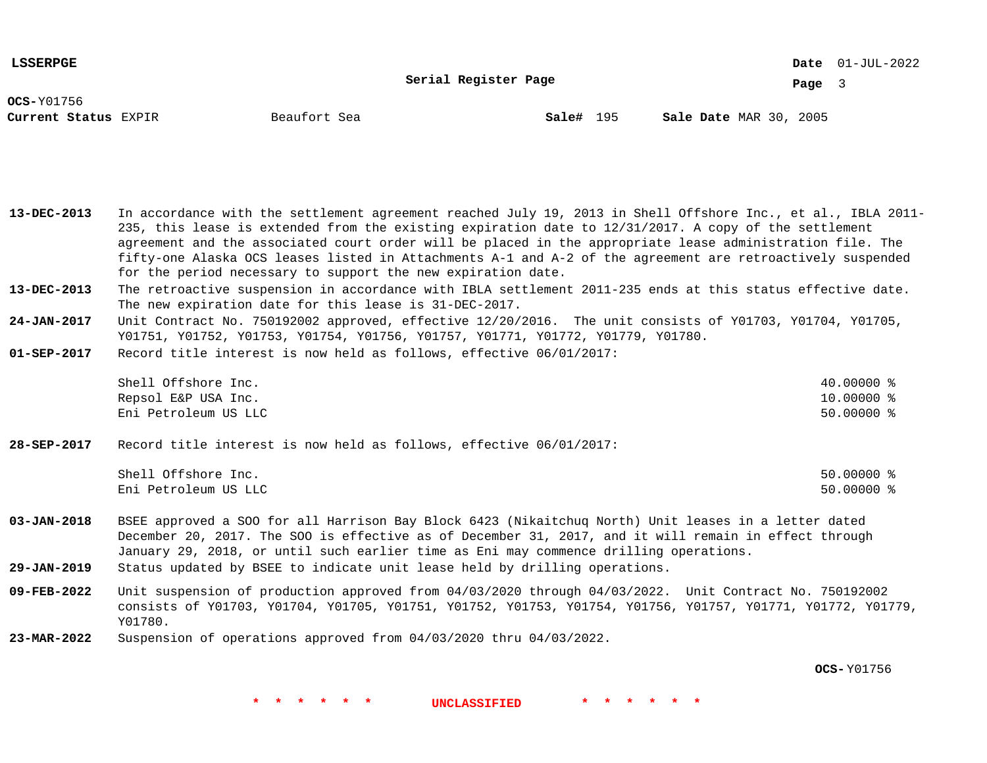**Serial Register Page**

01-JUL-2022 **Date**

**Page** 3

**OCS-**Y01756

**Current Status** EXPIR **Sale#** 195 MAR 30, 2005

**Sale#** 195

**13-DEC-2013** In accordance with the settlement agreement reached July 19, 2013 in Shell Offshore Inc., et al., IBLA 2011- 235, this lease is extended from the existing expiration date to 12/31/2017. A copy of the settlement agreement and the associated court order will be placed in the appropriate lease administration file. The fifty-one Alaska OCS leases listed in Attachments A-1 and A-2 of the agreement are retroactively suspended for the period necessary to support the new expiration date.

**13-DEC-2013** The retroactive suspension in accordance with IBLA settlement 2011-235 ends at this status effective date. The new expiration date for this lease is 31-DEC-2017.

**24-JAN-2017** Unit Contract No. 750192002 approved, effective 12/20/2016. The unit consists of Y01703, Y01704, Y01705, Y01751, Y01752, Y01753, Y01754, Y01756, Y01757, Y01771, Y01772, Y01779, Y01780.

**01-SEP-2017** Record title interest is now held as follows, effective 06/01/2017:

> Shell Offshore Inc. 40.00000 % Repsol E&P USA Inc. 10.00000 % Eni Petroleum US LLC 50.00000 %

**28-SEP-2017** Record title interest is now held as follows, effective 06/01/2017:

| Shell Offshore Inc.  | 50.00000 |  |
|----------------------|----------|--|
| Eni Petroleum US LLC | 50.00000 |  |

**03-JAN-2018** BSEE approved a SOO for all Harrison Bay Block 6423 (Nikaitchuq North) Unit leases in a letter dated December 20, 2017. The SOO is effective as of December 31, 2017, and it will remain in effect through January 29, 2018, or until such earlier time as Eni may commence drilling operations.

**29-JAN-2019** Status updated by BSEE to indicate unit lease held by drilling operations.

**09-FEB-2022** Unit suspension of production approved from 04/03/2020 through 04/03/2022. Unit Contract No. 750192002 consists of Y01703, Y01704, Y01705, Y01751, Y01752, Y01753, Y01754, Y01756, Y01757, Y01771, Y01772, Y01779, Y01780.

**23-MAR-2022** Suspension of operations approved from 04/03/2020 thru 04/03/2022.

**OCS-** Y01756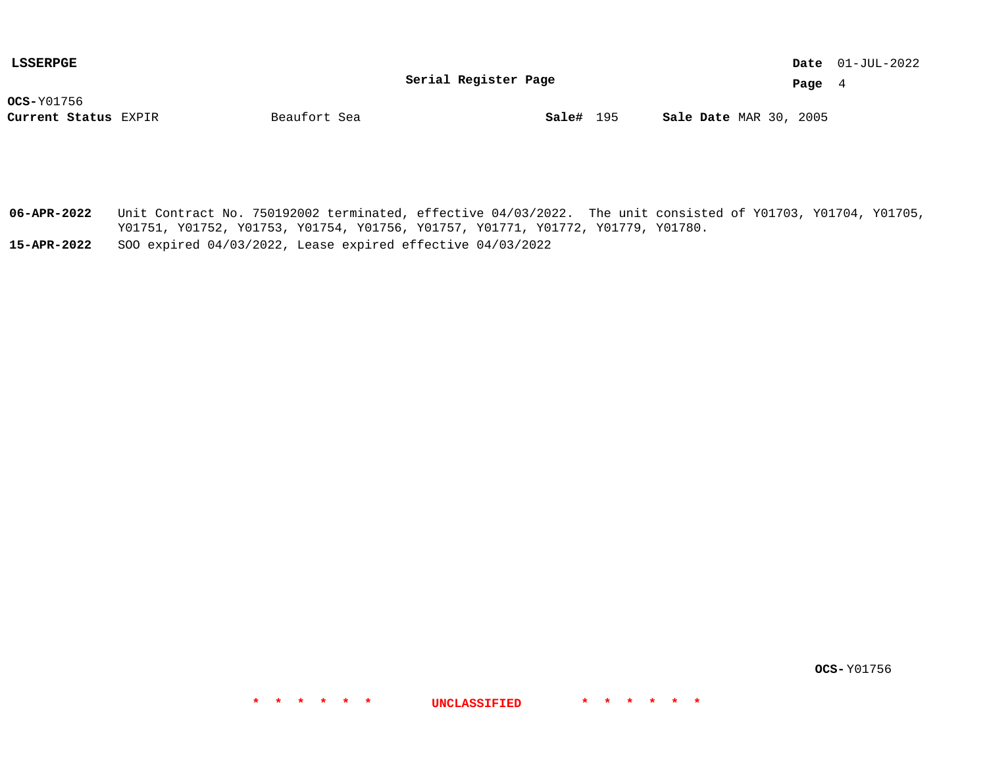**Serial Register Page**

01-JUL-2022 **Date**

**Page** 4

**OCS-**Y01756

**Current Status** EXPIR **Sale#** 195 MAR 30, 2005

**Sale#** 195

**06-APR-2022** Unit Contract No. 750192002 terminated, effective 04/03/2022. The unit consisted of Y01703, Y01704, Y01705, Y01751, Y01752, Y01753, Y01754, Y01756, Y01757, Y01771, Y01772, Y01779, Y01780.

**\* \* \* \* \* \* UNCLASSIFIED \* \* \* \* \* \***

**15-APR-2022** SOO expired 04/03/2022, Lease expired effective 04/03/2022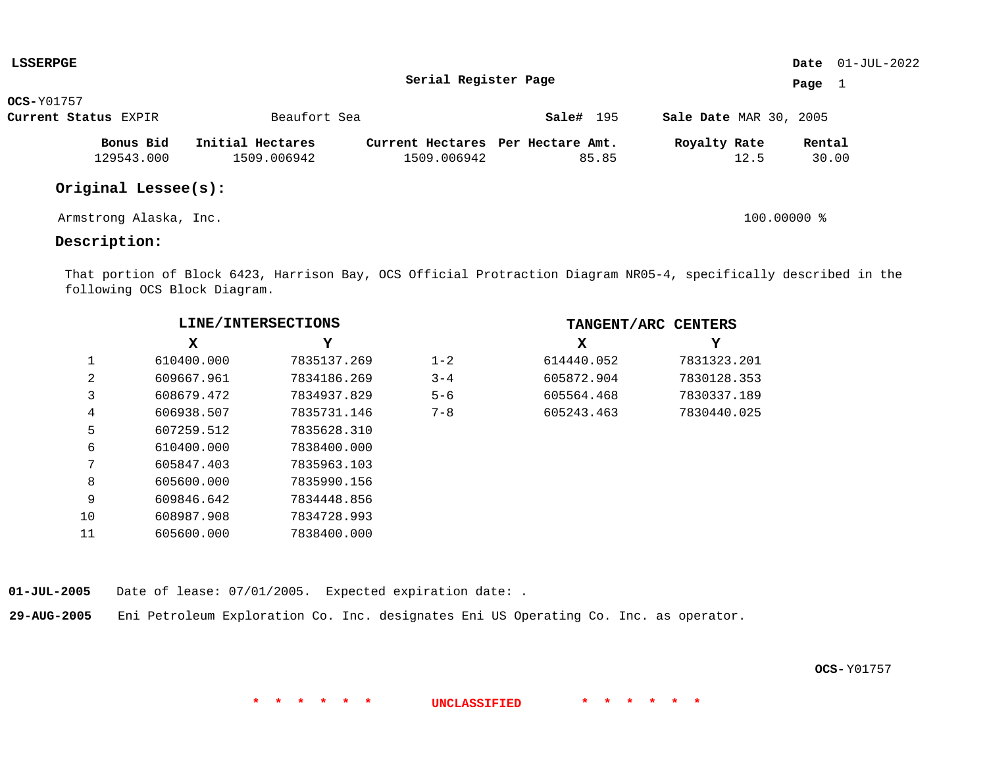| <b>LSSERPGE</b>        |                  |                                   |           |                               | Date $01$ -JUL-2022 |
|------------------------|------------------|-----------------------------------|-----------|-------------------------------|---------------------|
|                        |                  | Serial Register Page              |           |                               | Page $1$            |
| $OCS-Y01757$           |                  |                                   |           |                               |                     |
| Current Status EXPIR   | Beaufort Sea     |                                   | Sale# 195 | <b>Sale Date MAR 30, 2005</b> |                     |
| Bonus Bid              | Initial Hectares | Current Hectares Per Hectare Amt. |           | Royalty Rate                  | Rental              |
| 129543.000             | 1509.006942      | 1509.006942                       | 85.85     | 12.5                          | 30.00               |
| Original Lessee(s):    |                  |                                   |           |                               |                     |
| Armstrong Alaska, Inc. |                  |                                   |           | 100.00000 %                   |                     |

# **Description:**

That portion of Block 6423, Harrison Bay, OCS Official Protraction Diagram NR05-4, specifically described in the following OCS Block Diagram.

**\* \* \* \* \* \* UNCLASSIFIED \* \* \* \* \* \***

|    | LINE/INTERSECTIONS |             |         |            | TANGENT/ARC CENTERS |
|----|--------------------|-------------|---------|------------|---------------------|
|    | x                  | Y           |         | x          | Y                   |
|    | 610400.000         | 7835137.269 | $1 - 2$ | 614440.052 | 7831323.201         |
| 2  | 609667.961         | 7834186.269 | $3 - 4$ | 605872.904 | 7830128.353         |
| 3  | 608679.472         | 7834937.829 | $5 - 6$ | 605564.468 | 7830337.189         |
| 4  | 606938.507         | 7835731.146 | $7 - 8$ | 605243.463 | 7830440.025         |
| 5  | 607259.512         | 7835628.310 |         |            |                     |
| 6  | 610400.000         | 7838400.000 |         |            |                     |
| 7  | 605847.403         | 7835963.103 |         |            |                     |
| 8  | 605600.000         | 7835990.156 |         |            |                     |
| 9  | 609846.642         | 7834448.856 |         |            |                     |
| 10 | 608987.908         | 7834728.993 |         |            |                     |
| 11 | 605600.000         | 7838400.000 |         |            |                     |

**01-JUL-2005** Date of lease: 07/01/2005. Expected expiration date: .

**29-AUG-2005** Eni Petroleum Exploration Co. Inc. designates Eni US Operating Co. Inc. as operator.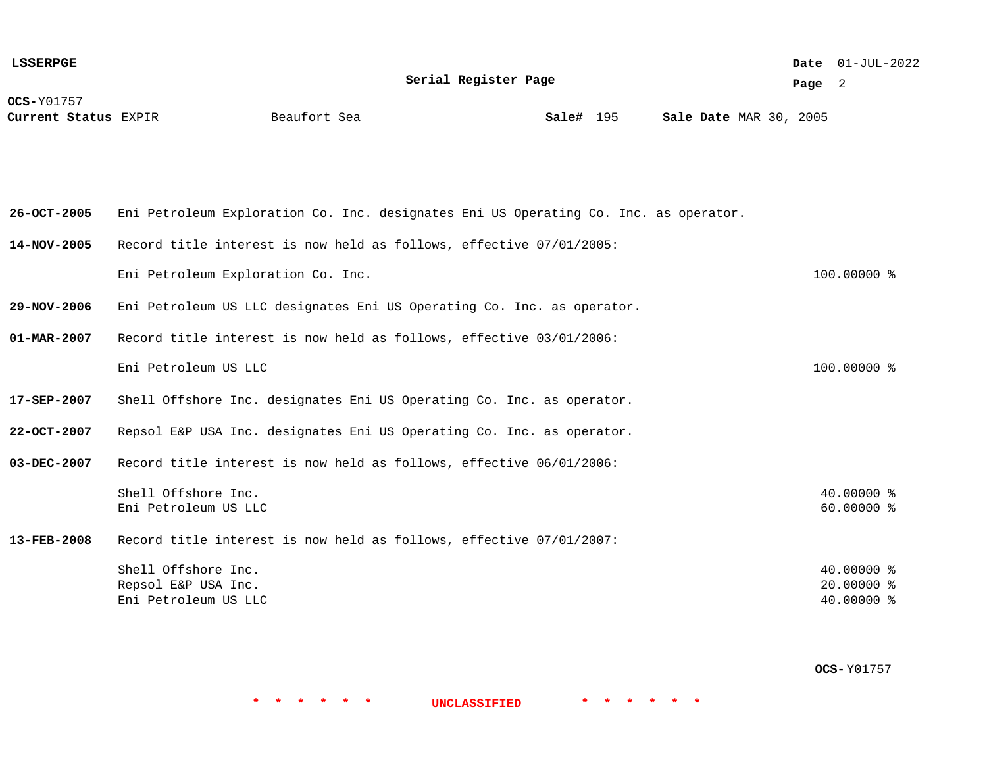**OCS-**Y01757 **Current Status** EXPIR **Sale#** 195 MAR 30, 2005 01-JUL-2022 **Date Page** 2 **Serial Register Page Sale#** 195 **26-OCT-2005 14-NOV-2005 29-NOV-2006 01-MAR-2007 17-SEP-2007 22-OCT-2007 03-DEC-2007 13-FEB-2008** Eni Petroleum Exploration Co. Inc. designates Eni US Operating Co. Inc. as operator. Record title interest is now held as follows, effective 07/01/2005: Eni Petroleum Exploration Co. Inc. 100.00000 % Eni Petroleum US LLC designates Eni US Operating Co. Inc. as operator. Record title interest is now held as follows, effective 03/01/2006: Eni Petroleum US LLC 100.00000 % Shell Offshore Inc. designates Eni US Operating Co. Inc. as operator. Repsol E&P USA Inc. designates Eni US Operating Co. Inc. as operator. Record title interest is now held as follows, effective 06/01/2006: Shell Offshore Inc. 40.00000 % Eni Petroleum US LLC 60.00000 % Record title interest is now held as follows, effective 07/01/2007: Shell Offshore Inc. 40.00000 % Repsol E&P USA Inc. 20.00000 % Eni Petroleum US LLC 40.00000 % **LSSERPGE**

**OCS-** Y01757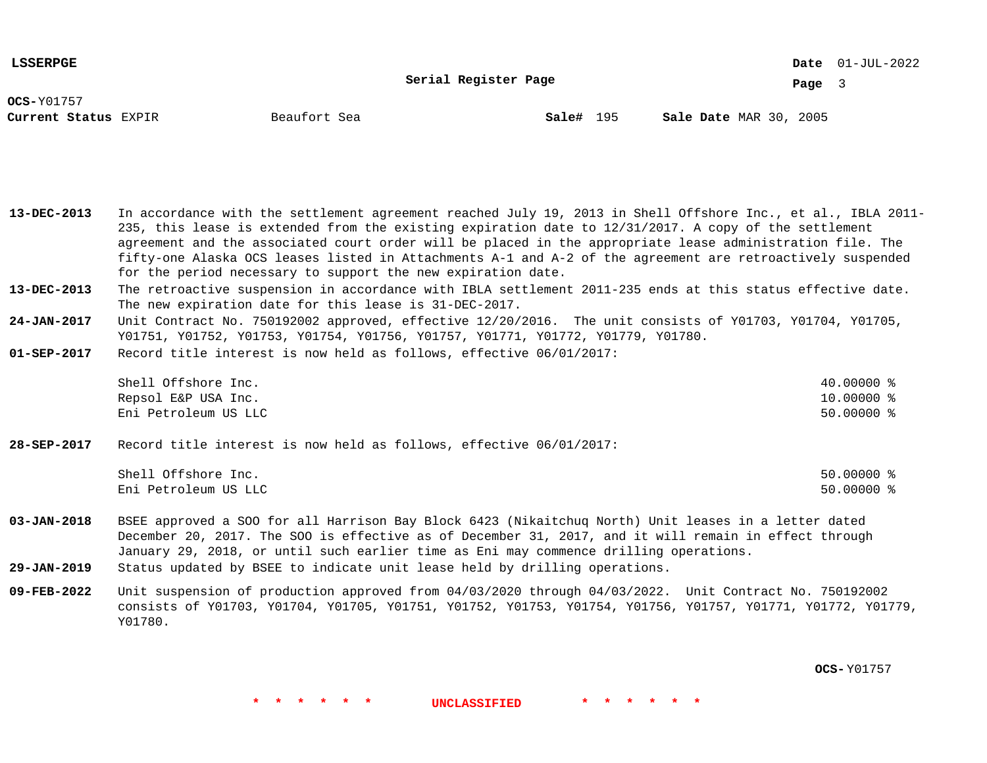**Serial Register Page**

01-JUL-2022 **Date**

**Page** 3

**OCS-**Y01757

**Current Status** EXPIR **Sale#** 195 MAR 30, 2005

**Sale#** 195

**13-DEC-2013** In accordance with the settlement agreement reached July 19, 2013 in Shell Offshore Inc., et al., IBLA 2011- 235, this lease is extended from the existing expiration date to 12/31/2017. A copy of the settlement agreement and the associated court order will be placed in the appropriate lease administration file. The fifty-one Alaska OCS leases listed in Attachments A-1 and A-2 of the agreement are retroactively suspended for the period necessary to support the new expiration date.

**13-DEC-2013** The retroactive suspension in accordance with IBLA settlement 2011-235 ends at this status effective date. The new expiration date for this lease is 31-DEC-2017.

**24-JAN-2017** Unit Contract No. 750192002 approved, effective 12/20/2016. The unit consists of Y01703, Y01704, Y01705, Y01751, Y01752, Y01753, Y01754, Y01756, Y01757, Y01771, Y01772, Y01779, Y01780.

**01-SEP-2017** Record title interest is now held as follows, effective 06/01/2017:

| Shell Offshore Inc.  | 40.00000 %   |
|----------------------|--------------|
| Repsol E&P USA Inc.  | 10.00000 %   |
| Eni Petroleum US LLC | $50.00000$ % |

**28-SEP-2017** Record title interest is now held as follows, effective 06/01/2017:

| Shell Offshore Inc.  | $50.00000$ % |  |
|----------------------|--------------|--|
| Eni Petroleum US LLC | $50.00000$ % |  |

**03-JAN-2018** BSEE approved a SOO for all Harrison Bay Block 6423 (Nikaitchuq North) Unit leases in a letter dated December 20, 2017. The SOO is effective as of December 31, 2017, and it will remain in effect through January 29, 2018, or until such earlier time as Eni may commence drilling operations.

**29-JAN-2019** Status updated by BSEE to indicate unit lease held by drilling operations.

**09-FEB-2022** Unit suspension of production approved from 04/03/2020 through 04/03/2022. Unit Contract No. 750192002 consists of Y01703, Y01704, Y01705, Y01751, Y01752, Y01753, Y01754, Y01756, Y01757, Y01771, Y01772, Y01779, Y01780.

**\* \* \* \* \* \* UNCLASSIFIED \* \* \* \* \* \***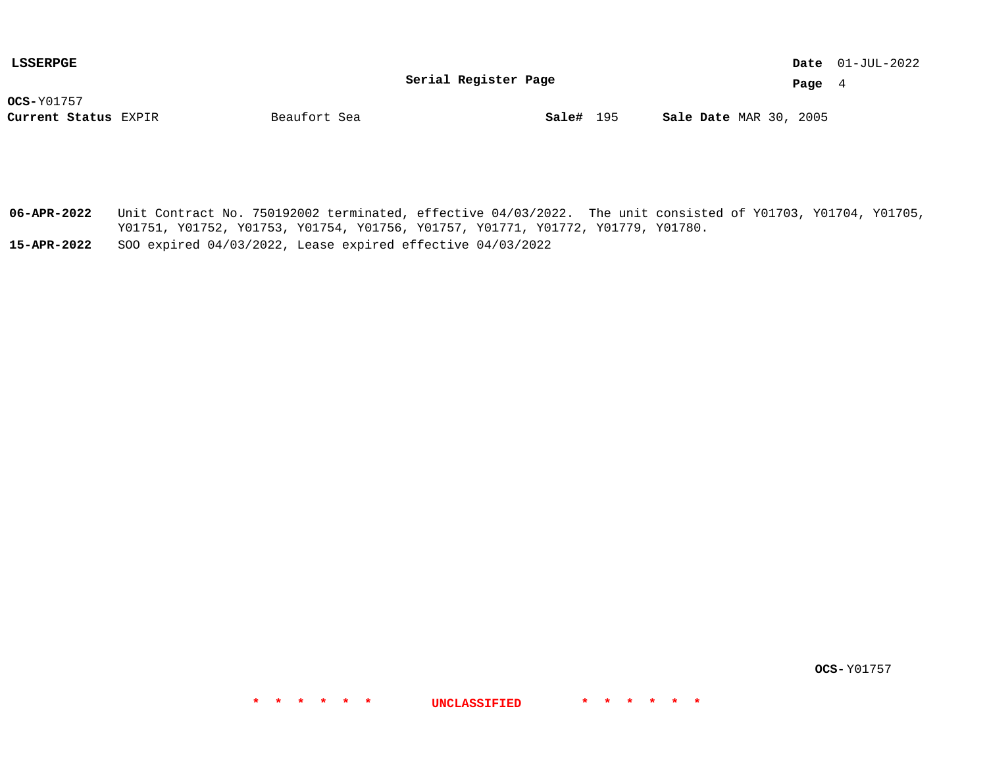**Serial Register Page**

01-JUL-2022 **Date**

**Page** 4

**OCS-**Y01757

**Current Status** EXPIR **Sale#** 195 MAR 30, 2005

**Sale#** 195

**06-APR-2022** Unit Contract No. 750192002 terminated, effective 04/03/2022. The unit consisted of Y01703, Y01704, Y01705, Y01751, Y01752, Y01753, Y01754, Y01756, Y01757, Y01771, Y01772, Y01779, Y01780.

**\* \* \* \* \* \* UNCLASSIFIED \* \* \* \* \* \***

**15-APR-2022** SOO expired 04/03/2022, Lease expired effective 04/03/2022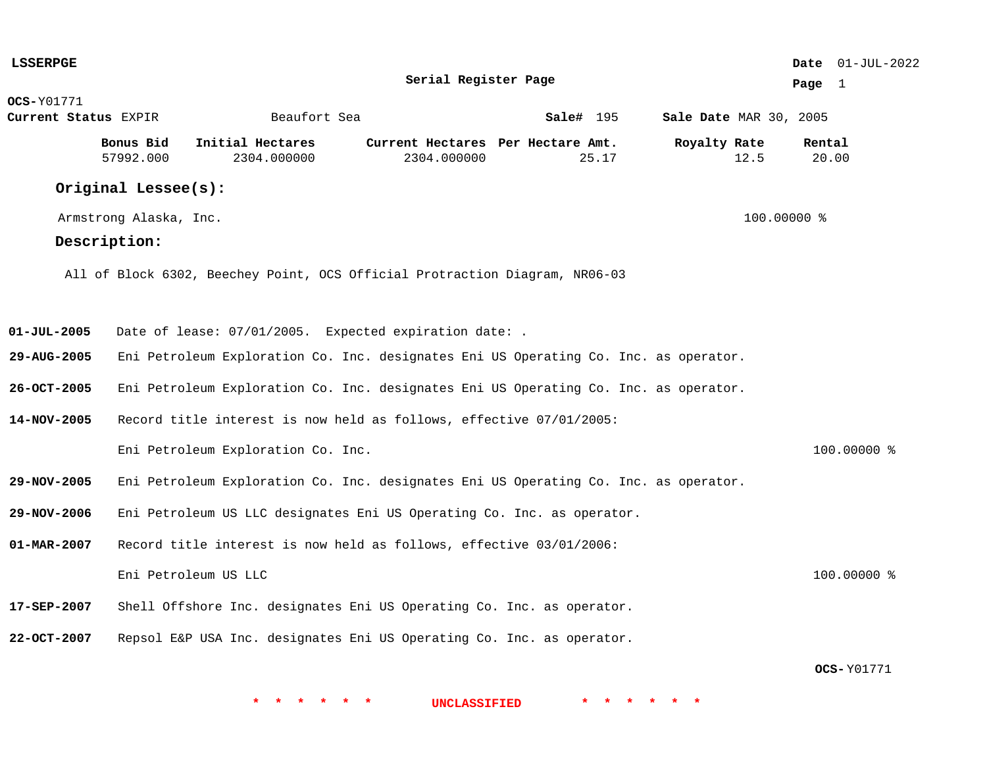| <b>LSSERPGE</b>      |                        |                                                                                      |                                                  |           |                        |             | <b>Date</b> $01-JUL-2022$ |
|----------------------|------------------------|--------------------------------------------------------------------------------------|--------------------------------------------------|-----------|------------------------|-------------|---------------------------|
|                      |                        |                                                                                      | Serial Register Page                             |           |                        | Page 1      |                           |
| <b>OCS-</b> Y01771   |                        |                                                                                      |                                                  |           |                        |             |                           |
| Current Status EXPIR |                        | Beaufort Sea                                                                         |                                                  | Sale# 195 | Sale Date MAR 30, 2005 |             |                           |
|                      | Bonus Bid<br>57992.000 | Initial Hectares<br>2304.000000                                                      | Current Hectares Per Hectare Amt.<br>2304.000000 | 25.17     | Royalty Rate<br>12.5   | Rental      | 20.00                     |
|                      | Original Lessee(s):    |                                                                                      |                                                  |           |                        |             |                           |
|                      | Armstrong Alaska, Inc. |                                                                                      |                                                  |           |                        | 100.00000 % |                           |
|                      | Description:           |                                                                                      |                                                  |           |                        |             |                           |
|                      |                        | All of Block 6302, Beechey Point, OCS Official Protraction Diagram, NR06-03          |                                                  |           |                        |             |                           |
| $01 - JUL - 2005$    |                        | Date of lease: 07/01/2005. Expected expiration date: .                               |                                                  |           |                        |             |                           |
| 29-AUG-2005          |                        | Eni Petroleum Exploration Co. Inc. designates Eni US Operating Co. Inc. as operator. |                                                  |           |                        |             |                           |
| 26-OCT-2005          |                        | Eni Petroleum Exploration Co. Inc. designates Eni US Operating Co. Inc. as operator. |                                                  |           |                        |             |                           |
| 14-NOV-2005          |                        | Record title interest is now held as follows, effective 07/01/2005:                  |                                                  |           |                        |             |                           |
|                      |                        | Eni Petroleum Exploration Co. Inc.                                                   |                                                  |           |                        |             | 100.00000 %               |
| 29-NOV-2005          |                        | Eni Petroleum Exploration Co. Inc. designates Eni US Operating Co. Inc. as operator. |                                                  |           |                        |             |                           |
| 29-NOV-2006          |                        | Eni Petroleum US LLC designates Eni US Operating Co. Inc. as operator.               |                                                  |           |                        |             |                           |
| 01-MAR-2007          |                        | Record title interest is now held as follows, effective 03/01/2006:                  |                                                  |           |                        |             |                           |
|                      |                        | Eni Petroleum US LLC                                                                 |                                                  |           |                        |             | 100.00000 %               |
| 17-SEP-2007          |                        | Shell Offshore Inc. designates Eni US Operating Co. Inc. as operator.                |                                                  |           |                        |             |                           |
| 22-OCT-2007          |                        | Repsol E&P USA Inc. designates Eni US Operating Co. Inc. as operator.                |                                                  |           |                        |             |                           |
|                      |                        |                                                                                      |                                                  |           |                        |             | <b>OCS-Y01771</b>         |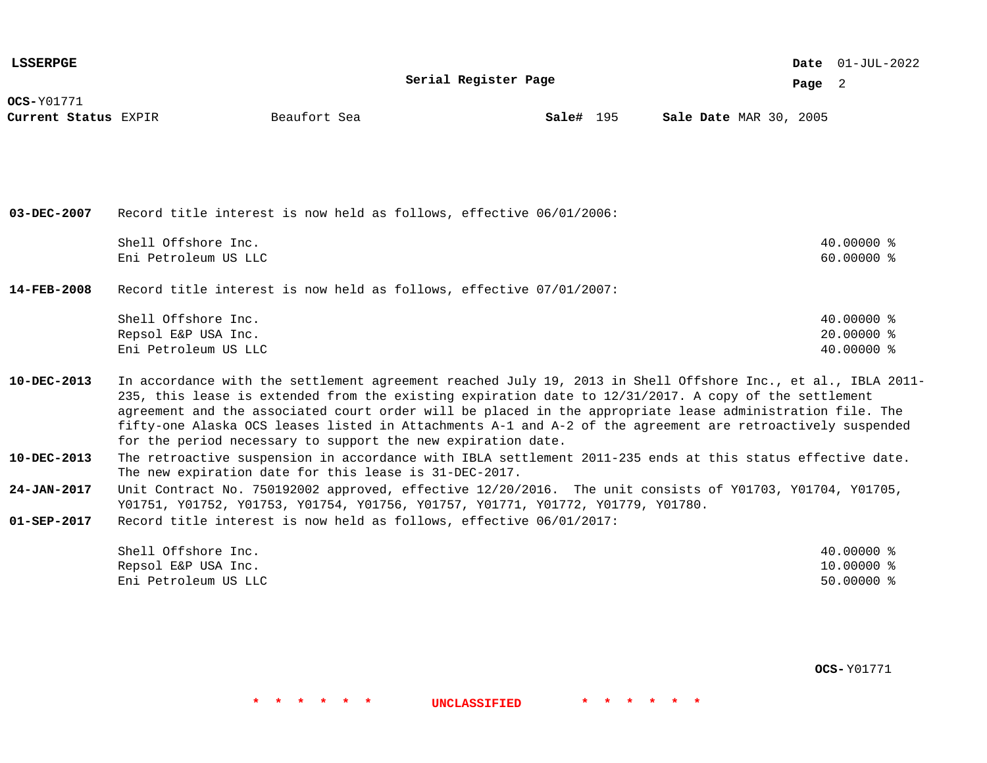| <b>LSSERPGE</b>                           |                                                                    |                                                                                                                                                                                                                                                                                                                                                                                                                                                                                                                  |                      |           |                        |        | Date $01-JUL-2022$                       |  |
|-------------------------------------------|--------------------------------------------------------------------|------------------------------------------------------------------------------------------------------------------------------------------------------------------------------------------------------------------------------------------------------------------------------------------------------------------------------------------------------------------------------------------------------------------------------------------------------------------------------------------------------------------|----------------------|-----------|------------------------|--------|------------------------------------------|--|
|                                           |                                                                    |                                                                                                                                                                                                                                                                                                                                                                                                                                                                                                                  | Serial Register Page |           |                        | Page 2 |                                          |  |
| <b>OCS-Y01771</b><br>Current Status EXPIR |                                                                    | Beaufort Sea                                                                                                                                                                                                                                                                                                                                                                                                                                                                                                     |                      | Sale# 195 | Sale Date MAR 30, 2005 |        |                                          |  |
|                                           |                                                                    |                                                                                                                                                                                                                                                                                                                                                                                                                                                                                                                  |                      |           |                        |        |                                          |  |
| $03 - DEC - 2007$                         |                                                                    | Record title interest is now held as follows, effective 06/01/2006:                                                                                                                                                                                                                                                                                                                                                                                                                                              |                      |           |                        |        |                                          |  |
|                                           | Shell Offshore Inc.<br>Eni Petroleum US LLC                        |                                                                                                                                                                                                                                                                                                                                                                                                                                                                                                                  |                      |           |                        |        | 40.00000 %<br>$60.00000$ %               |  |
| $14 - FEB - 2008$                         |                                                                    | Record title interest is now held as follows, effective 07/01/2007:                                                                                                                                                                                                                                                                                                                                                                                                                                              |                      |           |                        |        |                                          |  |
|                                           | Shell Offshore Inc.<br>Repsol E&P USA Inc.<br>Eni Petroleum US LLC |                                                                                                                                                                                                                                                                                                                                                                                                                                                                                                                  |                      |           |                        |        | 40.00000 %<br>$20.00000$ %<br>40.00000 % |  |
| 10-DEC-2013                               |                                                                    | In accordance with the settlement agreement reached July 19, 2013 in Shell Offshore Inc., et al., IBLA 2011-<br>235, this lease is extended from the existing expiration date to 12/31/2017. A copy of the settlement<br>agreement and the associated court order will be placed in the appropriate lease administration file. The<br>fifty-one Alaska OCS leases listed in Attachments A-1 and A-2 of the agreement are retroactively suspended<br>for the period necessary to support the new expiration date. |                      |           |                        |        |                                          |  |
| 10-DEC-2013                               |                                                                    | The retroactive suspension in accordance with IBLA settlement 2011-235 ends at this status effective date.<br>The new expiration date for this lease is 31-DEC-2017.                                                                                                                                                                                                                                                                                                                                             |                      |           |                        |        |                                          |  |
| 24-JAN-2017                               |                                                                    | Unit Contract No. 750192002 approved, effective 12/20/2016. The unit consists of Y01703, Y01704, Y01705,<br>Y01751, Y01752, Y01753, Y01754, Y01756, Y01757, Y01771, Y01772, Y01779, Y01780.                                                                                                                                                                                                                                                                                                                      |                      |           |                        |        |                                          |  |
| $01 - SEP - 2017$                         |                                                                    | Record title interest is now held as follows, effective 06/01/2017:                                                                                                                                                                                                                                                                                                                                                                                                                                              |                      |           |                        |        |                                          |  |
|                                           | Shell Offshore Inc.<br>Repsol E&P USA Inc.<br>Eni Petroleum US LLC |                                                                                                                                                                                                                                                                                                                                                                                                                                                                                                                  |                      |           |                        |        | 40.00000 %<br>10.00000 %<br>$50.00000$ % |  |

**OCS-** Y01771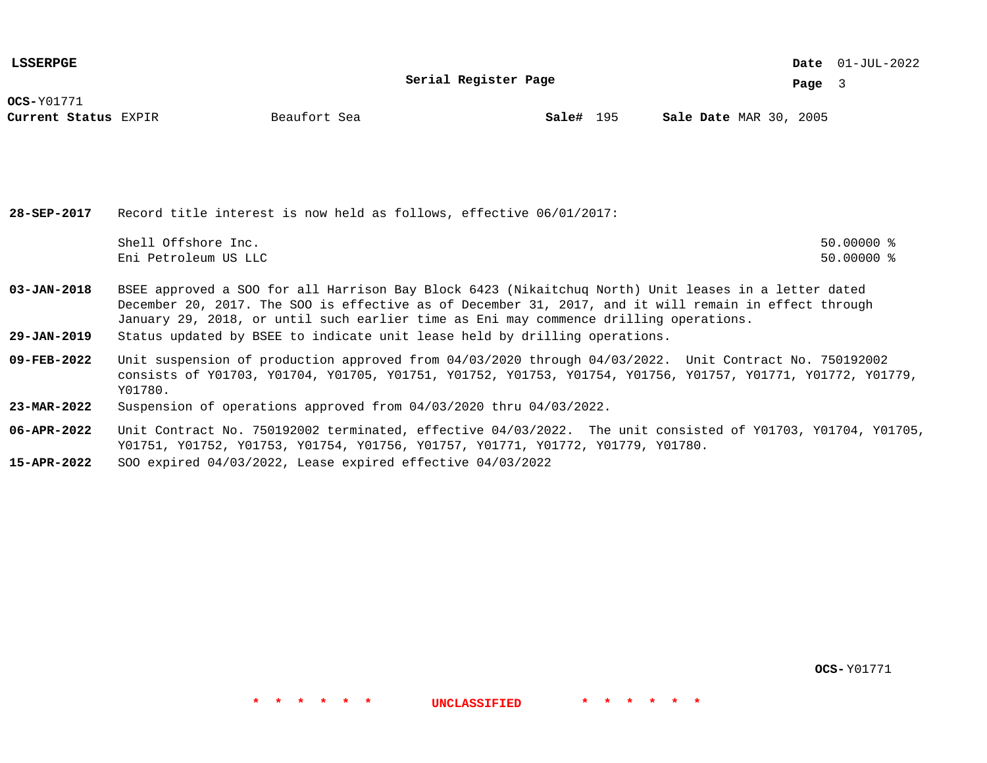**Serial Register Page**

01-JUL-2022 **Date**

**Page** 3

**OCS-**Y01771

**Current Status** EXPIR **Sale#** 195 MAR 30, 2005

**Sale#** 195

**28-SEP-2017** Record title interest is now held as follows, effective 06/01/2017: Shell Offshore Inc. 50.00000 % Eni Petroleum US LLC 50.00000 %

- **03-JAN-2018** BSEE approved a SOO for all Harrison Bay Block 6423 (Nikaitchuq North) Unit leases in a letter dated December 20, 2017. The SOO is effective as of December 31, 2017, and it will remain in effect through January 29, 2018, or until such earlier time as Eni may commence drilling operations.
- **29-JAN-2019** Status updated by BSEE to indicate unit lease held by drilling operations.
- **09-FEB-2022** Unit suspension of production approved from 04/03/2020 through 04/03/2022. Unit Contract No. 750192002 consists of Y01703, Y01704, Y01705, Y01751, Y01752, Y01753, Y01754, Y01756, Y01757, Y01771, Y01772, Y01779, Y01780.
- **23-MAR-2022** Suspension of operations approved from 04/03/2020 thru 04/03/2022.
- **06-APR-2022** Unit Contract No. 750192002 terminated, effective 04/03/2022. The unit consisted of Y01703, Y01704, Y01705, Y01751, Y01752, Y01753, Y01754, Y01756, Y01757, Y01771, Y01772, Y01779, Y01780.

**\* \* \* \* \* \* UNCLASSIFIED \* \* \* \* \* \***

**15-APR-2022** SOO expired 04/03/2022, Lease expired effective 04/03/2022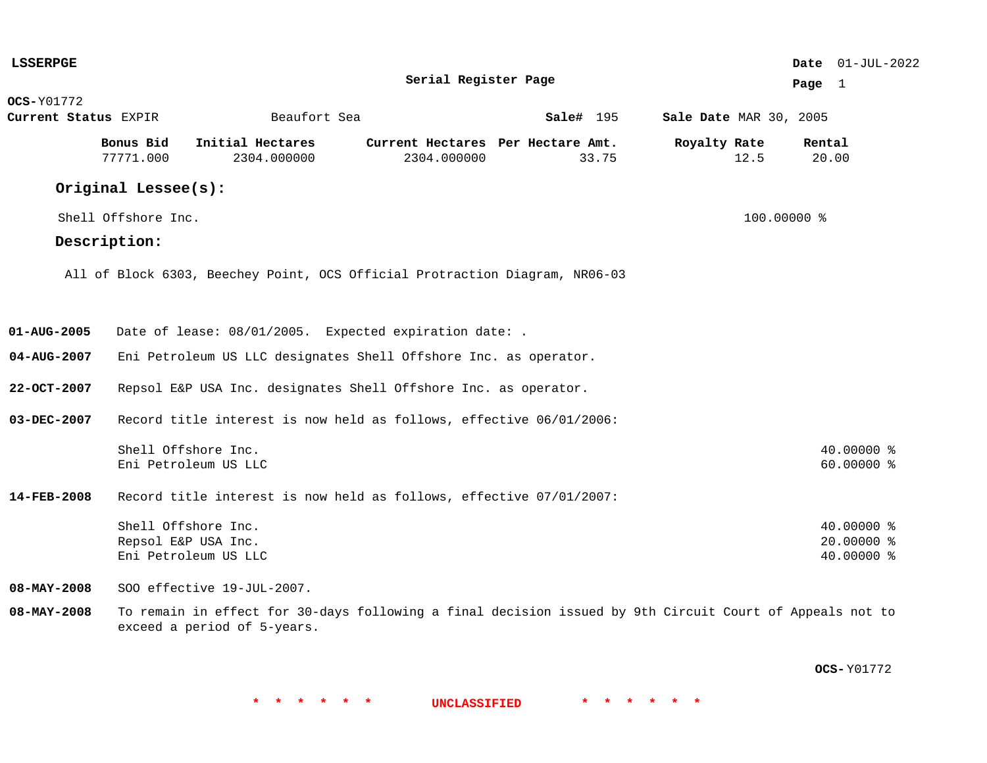| <b>LSSERPGE</b>      |                     |                                                                                                                                         |                                   |           |                               | Date 01-JUL-2022 |
|----------------------|---------------------|-----------------------------------------------------------------------------------------------------------------------------------------|-----------------------------------|-----------|-------------------------------|------------------|
|                      |                     |                                                                                                                                         | Serial Register Page              |           |                               | Page $1$         |
| <b>OCS-Y01772</b>    |                     |                                                                                                                                         |                                   |           |                               |                  |
| Current Status EXPIR |                     | Beaufort Sea                                                                                                                            |                                   | Sale# 195 | <b>Sale Date MAR 30, 2005</b> |                  |
|                      | Bonus Bid           | Initial Hectares                                                                                                                        | Current Hectares Per Hectare Amt. |           | Royalty Rate                  | Rental           |
|                      | 77771.000           | 2304.000000                                                                                                                             | 2304.000000                       | 33.75     | 12.5                          | 20.00            |
|                      | Original Lessee(s): |                                                                                                                                         |                                   |           |                               |                  |
|                      | Shell Offshore Inc. |                                                                                                                                         |                                   |           | 100.00000 %                   |                  |
|                      | Description:        |                                                                                                                                         |                                   |           |                               |                  |
|                      |                     | All of Block 6303, Beechey Point, OCS Official Protraction Diagram, NR06-03                                                             |                                   |           |                               |                  |
|                      |                     |                                                                                                                                         |                                   |           |                               |                  |
|                      |                     |                                                                                                                                         |                                   |           |                               |                  |
| 01-AUG-2005          |                     | Date of lease: 08/01/2005. Expected expiration date: .                                                                                  |                                   |           |                               |                  |
| 04-AUG-2007          |                     | Eni Petroleum US LLC designates Shell Offshore Inc. as operator.                                                                        |                                   |           |                               |                  |
| $22 - OCT - 2007$    |                     | Repsol E&P USA Inc. designates Shell Offshore Inc. as operator.                                                                         |                                   |           |                               |                  |
| 03-DEC-2007          |                     | Record title interest is now held as follows, effective 06/01/2006:                                                                     |                                   |           |                               |                  |
|                      |                     | Shell Offshore Inc.                                                                                                                     |                                   |           |                               | 40.00000 %       |
|                      |                     | Eni Petroleum US LLC                                                                                                                    |                                   |           |                               | 60.00000 %       |
| 14-FEB-2008          |                     | Record title interest is now held as follows, effective 07/01/2007:                                                                     |                                   |           |                               |                  |
|                      |                     | Shell Offshore Inc.                                                                                                                     |                                   |           |                               | 40.00000 %       |
|                      |                     | Repsol E&P USA Inc.                                                                                                                     |                                   |           |                               | 20.00000 %       |
|                      |                     | Eni Petroleum US LLC                                                                                                                    |                                   |           |                               | 40.00000 %       |
| $08 - MAX - 2008$    |                     | SOO effective 19-JUL-2007.                                                                                                              |                                   |           |                               |                  |
| $08 - MAX - 2008$    |                     | To remain in effect for 30-days following a final decision issued by 9th Circuit Court of Appeals not to<br>exceed a period of 5-years. |                                   |           |                               |                  |

**OCS-** Y01772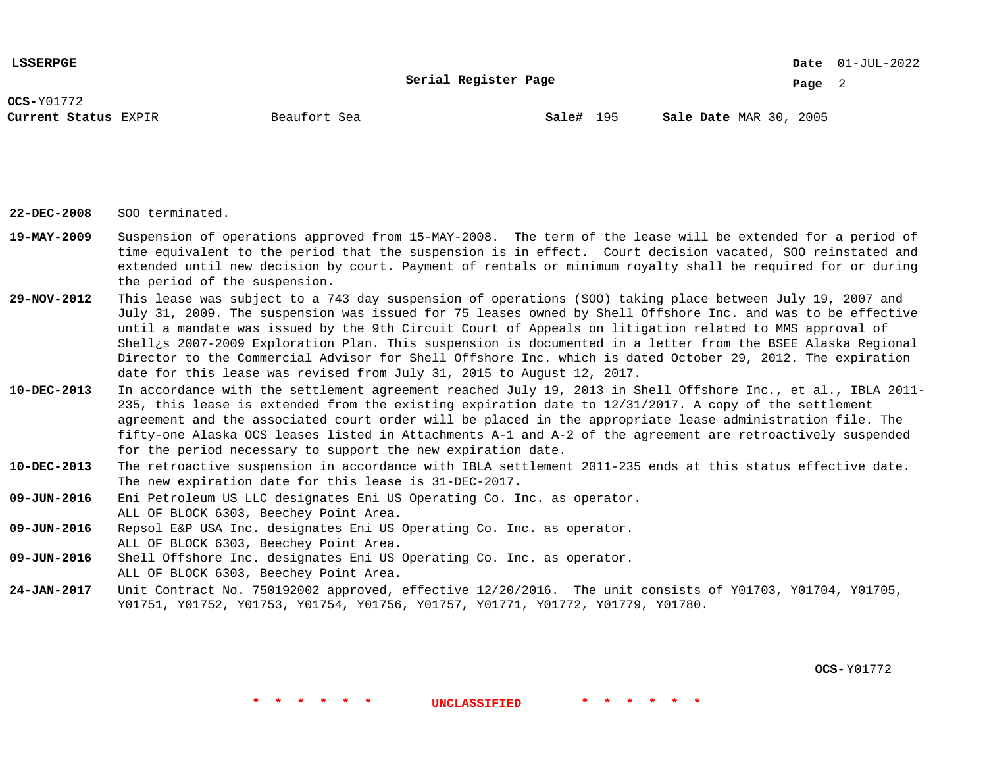**Serial Register Page**

01-JUL-2022 **Date**

**Page** 2

**OCS-**Y01772

**Current Status** EXPIR **Sale#** 195 MAR 30, 2005

**Sale#** 195

**22-DEC-2008** SOO terminated.

- **19-MAY-2009** Suspension of operations approved from 15-MAY-2008. The term of the lease will be extended for a period of time equivalent to the period that the suspension is in effect. Court decision vacated, SOO reinstated and extended until new decision by court. Payment of rentals or minimum royalty shall be required for or during the period of the suspension.
- **29-NOV-2012** This lease was subject to a 743 day suspension of operations (SOO) taking place between July 19, 2007 and July 31, 2009. The suspension was issued for 75 leases owned by Shell Offshore Inc. and was to be effective until a mandate was issued by the 9th Circuit Court of Appeals on litigation related to MMS approval of Shell¿s 2007-2009 Exploration Plan. This suspension is documented in a letter from the BSEE Alaska Regional Director to the Commercial Advisor for Shell Offshore Inc. which is dated October 29, 2012. The expiration date for this lease was revised from July 31, 2015 to August 12, 2017.
- **10-DEC-2013** In accordance with the settlement agreement reached July 19, 2013 in Shell Offshore Inc., et al., IBLA 2011- 235, this lease is extended from the existing expiration date to 12/31/2017. A copy of the settlement agreement and the associated court order will be placed in the appropriate lease administration file. The fifty-one Alaska OCS leases listed in Attachments A-1 and A-2 of the agreement are retroactively suspended for the period necessary to support the new expiration date.
- **10-DEC-2013** The retroactive suspension in accordance with IBLA settlement 2011-235 ends at this status effective date. The new expiration date for this lease is 31-DEC-2017.
- **09-JUN-2016** Eni Petroleum US LLC designates Eni US Operating Co. Inc. as operator. ALL OF BLOCK 6303, Beechey Point Area.
- **09-JUN-2016** Repsol E&P USA Inc. designates Eni US Operating Co. Inc. as operator. ALL OF BLOCK 6303, Beechey Point Area.
- **09-JUN-2016** Shell Offshore Inc. designates Eni US Operating Co. Inc. as operator. ALL OF BLOCK 6303, Beechey Point Area.
- **24-JAN-2017** Unit Contract No. 750192002 approved, effective 12/20/2016. The unit consists of Y01703, Y01704, Y01705, Y01751, Y01752, Y01753, Y01754, Y01756, Y01757, Y01771, Y01772, Y01779, Y01780.

**\* \* \* \* \* \* UNCLASSIFIED \* \* \* \* \* \***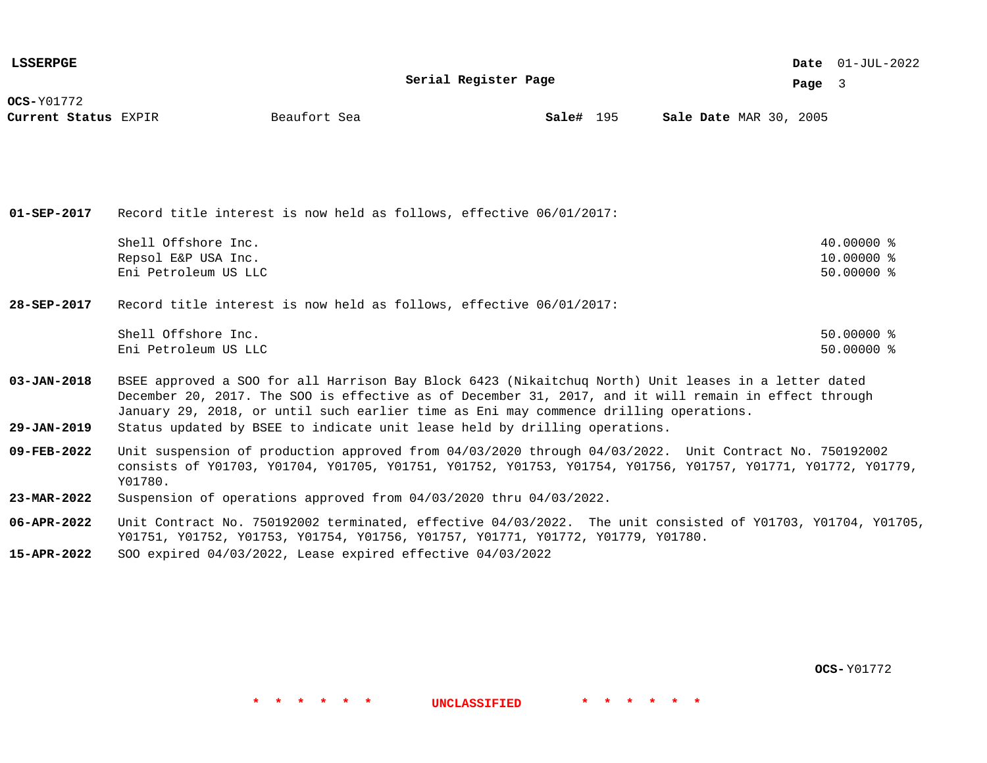| <b>LSSERPGE</b>                      |                                                                                                                                                                                                                                                                                                        |              |                      |           |  |                               |  |        | Date $01$ -JUL-2022        |  |
|--------------------------------------|--------------------------------------------------------------------------------------------------------------------------------------------------------------------------------------------------------------------------------------------------------------------------------------------------------|--------------|----------------------|-----------|--|-------------------------------|--|--------|----------------------------|--|
|                                      |                                                                                                                                                                                                                                                                                                        |              | Serial Register Page |           |  |                               |  | Page 3 |                            |  |
| $OCS-Y01772$<br>Current Status EXPIR |                                                                                                                                                                                                                                                                                                        | Beaufort Sea |                      | Sale# 195 |  | <b>Sale Date MAR 30, 2005</b> |  |        |                            |  |
| $01 - SEP - 2017$                    | Record title interest is now held as follows, effective 06/01/2017:                                                                                                                                                                                                                                    |              |                      |           |  |                               |  |        |                            |  |
|                                      | Shell Offshore Inc.                                                                                                                                                                                                                                                                                    |              |                      |           |  |                               |  |        | $40.00000$ %               |  |
|                                      | Repsol E&P USA Inc.<br>Eni Petroleum US LLC                                                                                                                                                                                                                                                            |              |                      |           |  |                               |  |        | 10.00000 %<br>$50.00000$ % |  |
|                                      |                                                                                                                                                                                                                                                                                                        |              |                      |           |  |                               |  |        |                            |  |
| 28-SEP-2017                          | Record title interest is now held as follows, effective 06/01/2017:                                                                                                                                                                                                                                    |              |                      |           |  |                               |  |        |                            |  |
|                                      | Shell Offshore Inc.                                                                                                                                                                                                                                                                                    |              |                      |           |  |                               |  |        | $50.00000$ %               |  |
|                                      | Eni Petroleum US LLC                                                                                                                                                                                                                                                                                   |              |                      |           |  |                               |  |        | $50.00000$ %               |  |
| $03 - JAN - 2018$                    | BSEE approved a SOO for all Harrison Bay Block 6423 (Nikaitchuq North) Unit leases in a letter dated<br>December 20, 2017. The SOO is effective as of December 31, 2017, and it will remain in effect through<br>January 29, 2018, or until such earlier time as Eni may commence drilling operations. |              |                      |           |  |                               |  |        |                            |  |
| $29 - JAN - 2019$                    | Status updated by BSEE to indicate unit lease held by drilling operations.                                                                                                                                                                                                                             |              |                      |           |  |                               |  |        |                            |  |

- **09-FEB-2022** Unit suspension of production approved from 04/03/2020 through 04/03/2022. Unit Contract No. 750192002 consists of Y01703, Y01704, Y01705, Y01751, Y01752, Y01753, Y01754, Y01756, Y01757, Y01771, Y01772, Y01779, Y01780.
- **23-MAR-2022** Suspension of operations approved from 04/03/2020 thru 04/03/2022.
- **06-APR-2022** Unit Contract No. 750192002 terminated, effective 04/03/2022. The unit consisted of Y01703, Y01704, Y01705, Y01751, Y01752, Y01753, Y01754, Y01756, Y01757, Y01771, Y01772, Y01779, Y01780.

**\* \* \* \* \* \* UNCLASSIFIED \* \* \* \* \* \***

**15-APR-2022** SOO expired 04/03/2022, Lease expired effective 04/03/2022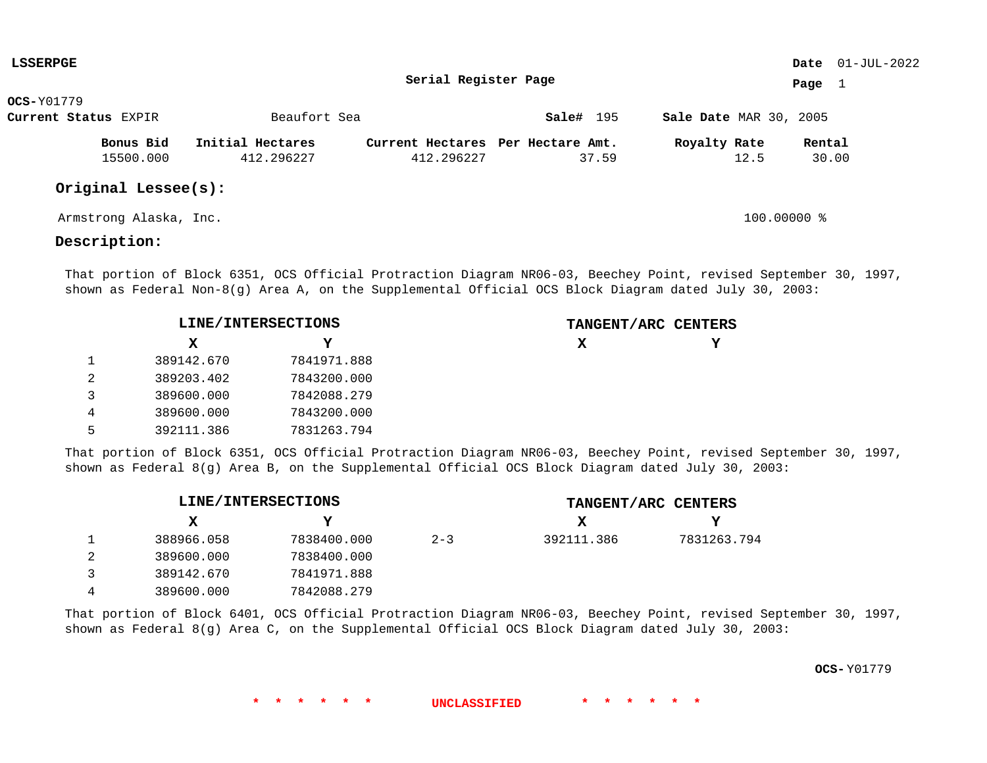| <b>LSSERPGE</b>      |                  |                                   |           |                               |        | Date $01$ -JUL-2022 |
|----------------------|------------------|-----------------------------------|-----------|-------------------------------|--------|---------------------|
|                      |                  | Serial Register Page              |           |                               | Page   |                     |
| <b>OCS-</b> Y01779   |                  |                                   |           |                               |        |                     |
| Current Status EXPIR | Beaufort Sea     |                                   | Sale# 195 | <b>Sale Date MAR 30, 2005</b> |        |                     |
| Bonus Bid            | Initial Hectares | Current Hectares Per Hectare Amt. |           | Royalty Rate                  | Rental |                     |
| 15500.000            | 412.296227       | 412.296227                        | 37.59     | 12.5                          | 30.00  |                     |
| Original Lessee(s):  |                  |                                   |           |                               |        |                     |

Armstrong Alaska, Inc. 100.00000 %

## **Description:**

That portion of Block 6351, OCS Official Protraction Diagram NR06-03, Beechey Point, revised September 30, 1997, shown as Federal Non-8(g) Area A, on the Supplemental Official OCS Block Diagram dated July 30, 2003:

|   |            | LINE/INTERSECTIONS | TANGENT/ARC CENTERS |  |
|---|------------|--------------------|---------------------|--|
|   | X.         |                    | х                   |  |
|   | 389142.670 | 7841971.888        |                     |  |
| 2 | 389203.402 | 7843200.000        |                     |  |
| 3 | 389600.000 | 7842088.279        |                     |  |
| 4 | 389600.000 | 7843200.000        |                     |  |
| 5 | 392111.386 | 7831263.794        |                     |  |

That portion of Block 6351, OCS Official Protraction Diagram NR06-03, Beechey Point, revised September 30, 1997, shown as Federal 8(g) Area B, on the Supplemental Official OCS Block Diagram dated July 30, 2003:

|            | LINE/INTERSECTIONS |         |            | TANGENT/ARC CENTERS |
|------------|--------------------|---------|------------|---------------------|
| x          | Y                  |         | x          | v                   |
| 388966.058 | 7838400.000        | $2 - 3$ | 392111.386 | 7831263.794         |
| 389600.000 | 7838400.000        |         |            |                     |
| 389142.670 | 7841971.888        |         |            |                     |
| 389600.000 | 7842088.279        |         |            |                     |

That portion of Block 6401, OCS Official Protraction Diagram NR06-03, Beechey Point, revised September 30, 1997, shown as Federal 8(g) Area C, on the Supplemental Official OCS Block Diagram dated July 30, 2003:

**\* \* \* \* \* \* UNCLASSIFIED \* \* \* \* \* \***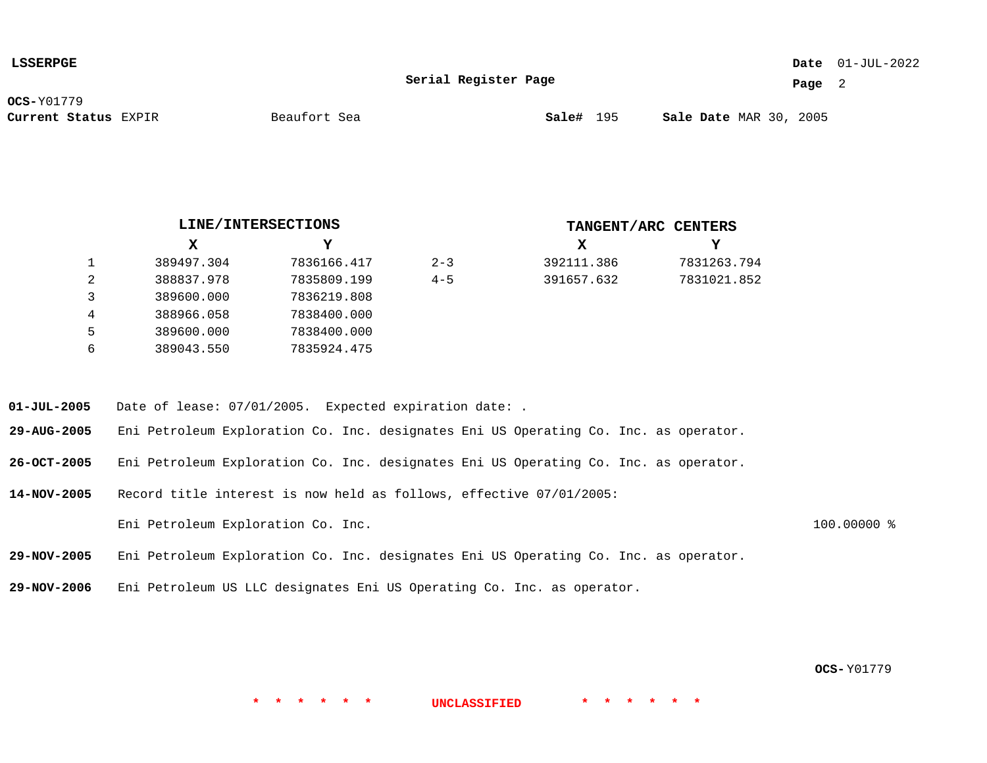| <b>SSERPGE</b> |
|----------------|
|----------------|

### 01-JUL-2022 **Date**

**Serial Register Page**

**Page** 2

**OCS-**Y01779

**Current Status** EXPIR **Sale#** 195 MAR 30, 2005

Beaufort Sea

**X Y X Y LINE/INTERSECTIONS TANGENT/ARC CENTERS** 1 2 3 4 5 6 389497.304 388837.978 389600.000 388966.058 389600.000 389043.550 7836166.417 7835809.199 7836219.808 7838400.000 7838400.000 7835924.475 392111.386 391657.632 7831263.794 7831021.852  $2 - 3$  $4 - 5$ 

**01-JUL-2005** Date of lease: 07/01/2005. Expected expiration date: .

**29-AUG-2005** Eni Petroleum Exploration Co. Inc. designates Eni US Operating Co. Inc. as operator.

**26-OCT-2005** Eni Petroleum Exploration Co. Inc. designates Eni US Operating Co. Inc. as operator.

**14-NOV-2005** Record title interest is now held as follows, effective 07/01/2005: Eni Petroleum Exploration Co. Inc. 100.00000 %

**29-NOV-2005** Eni Petroleum Exploration Co. Inc. designates Eni US Operating Co. Inc. as operator.

**29-NOV-2006** Eni Petroleum US LLC designates Eni US Operating Co. Inc. as operator.

**OCS-** Y01779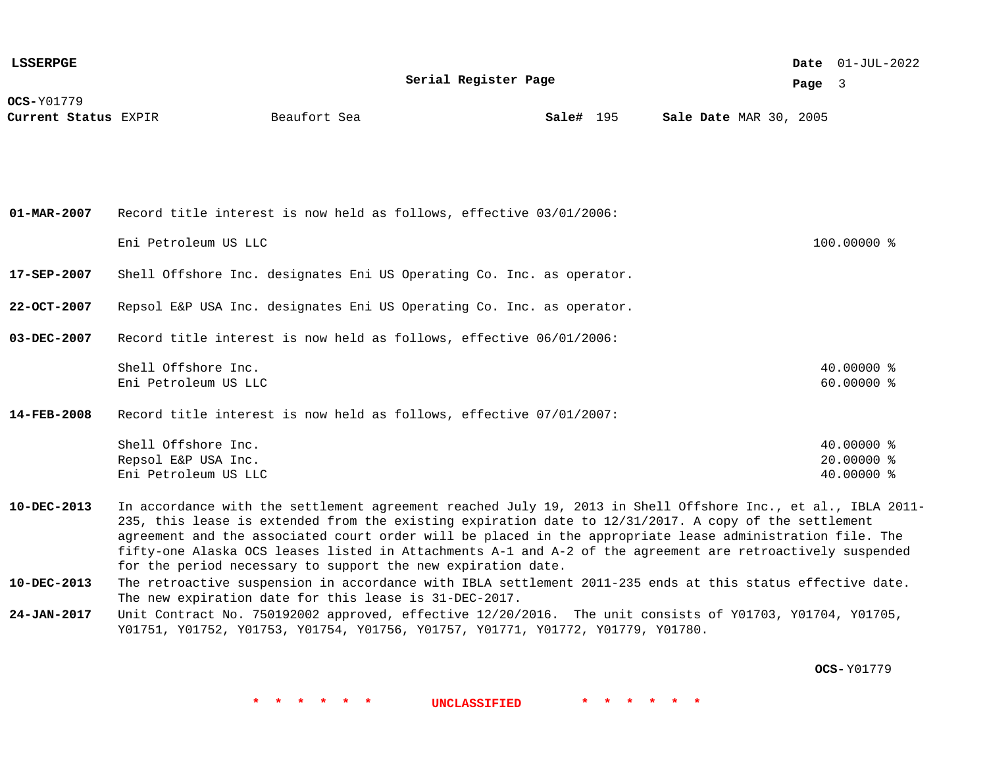| <b>LSSERPGE</b>                           |                                                                                                                                                                                                                                                                                                                                                                                                                                                                                                                  |              |                      |           |  |  |  |  |                               |          | <b>Date</b> $01-JUL-2022$              |  |
|-------------------------------------------|------------------------------------------------------------------------------------------------------------------------------------------------------------------------------------------------------------------------------------------------------------------------------------------------------------------------------------------------------------------------------------------------------------------------------------------------------------------------------------------------------------------|--------------|----------------------|-----------|--|--|--|--|-------------------------------|----------|----------------------------------------|--|
|                                           |                                                                                                                                                                                                                                                                                                                                                                                                                                                                                                                  |              | Serial Register Page |           |  |  |  |  |                               | Page $3$ |                                        |  |
| <b>OCS-Y01779</b><br>Current Status EXPIR |                                                                                                                                                                                                                                                                                                                                                                                                                                                                                                                  | Beaufort Sea |                      | Sale# 195 |  |  |  |  | <b>Sale Date MAR 30, 2005</b> |          |                                        |  |
| $01 - MAR - 2007$                         | Record title interest is now held as follows, effective 03/01/2006:<br>Eni Petroleum US LLC                                                                                                                                                                                                                                                                                                                                                                                                                      |              |                      |           |  |  |  |  |                               |          | 100.00000 %                            |  |
| 17-SEP-2007                               | Shell Offshore Inc. designates Eni US Operating Co. Inc. as operator.                                                                                                                                                                                                                                                                                                                                                                                                                                            |              |                      |           |  |  |  |  |                               |          |                                        |  |
| $22 - OCT - 2007$                         | Repsol E&P USA Inc. designates Eni US Operating Co. Inc. as operator.                                                                                                                                                                                                                                                                                                                                                                                                                                            |              |                      |           |  |  |  |  |                               |          |                                        |  |
| 03-DEC-2007                               | Record title interest is now held as follows, effective 06/01/2006:                                                                                                                                                                                                                                                                                                                                                                                                                                              |              |                      |           |  |  |  |  |                               |          |                                        |  |
|                                           | Shell Offshore Inc.<br>Eni Petroleum US LLC                                                                                                                                                                                                                                                                                                                                                                                                                                                                      |              |                      |           |  |  |  |  |                               |          | 40.00000 %<br>60.00000 %               |  |
| $14 - FEB - 2008$                         | Record title interest is now held as follows, effective 07/01/2007:                                                                                                                                                                                                                                                                                                                                                                                                                                              |              |                      |           |  |  |  |  |                               |          |                                        |  |
|                                           | Shell Offshore Inc.<br>Repsol E&P USA Inc.<br>Eni Petroleum US LLC                                                                                                                                                                                                                                                                                                                                                                                                                                               |              |                      |           |  |  |  |  |                               |          | 40.00000 %<br>20.00000 %<br>40.00000 % |  |
| $10 - DEC - 2013$                         | In accordance with the settlement agreement reached July 19, 2013 in Shell Offshore Inc., et al., IBLA 2011-<br>235, this lease is extended from the existing expiration date to 12/31/2017. A copy of the settlement<br>agreement and the associated court order will be placed in the appropriate lease administration file. The<br>fifty-one Alaska OCS leases listed in Attachments A-1 and A-2 of the agreement are retroactively suspended<br>for the period necessary to support the new expiration date. |              |                      |           |  |  |  |  |                               |          |                                        |  |
| $10 - DEC - 2013$                         | The retroactive suspension in accordance with IBLA settlement 2011-235 ends at this status effective date.<br>The new expiration date for this lease is 31-DEC-2017.                                                                                                                                                                                                                                                                                                                                             |              |                      |           |  |  |  |  |                               |          |                                        |  |
| 24-JAN-2017                               | Unit Contract No. 750192002 approved, effective 12/20/2016. The unit consists of Y01703, Y01704, Y01705,<br>Y01751, Y01752, Y01753, Y01754, Y01756, Y01757, Y01771, Y01772, Y01779, Y01780.                                                                                                                                                                                                                                                                                                                      |              |                      |           |  |  |  |  |                               |          |                                        |  |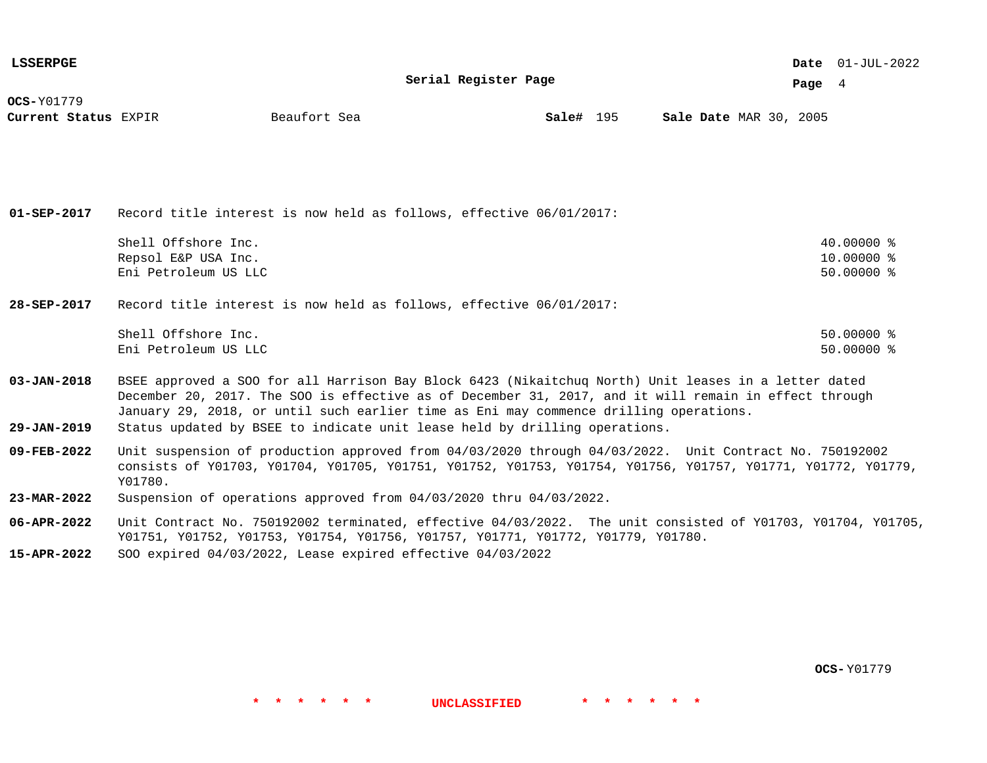| <b>LSSERPGE</b>                           |                                                                                                                                                                                                               |              |                      |           |  |  |                               | Date $01$ -JUL-2022 |  |
|-------------------------------------------|---------------------------------------------------------------------------------------------------------------------------------------------------------------------------------------------------------------|--------------|----------------------|-----------|--|--|-------------------------------|---------------------|--|
|                                           |                                                                                                                                                                                                               |              | Serial Register Page |           |  |  | Page $4$                      |                     |  |
| <b>OCS-Y01779</b><br>Current Status EXPIR |                                                                                                                                                                                                               | Beaufort Sea |                      | Sale# 195 |  |  | <b>Sale Date MAR 30, 2005</b> |                     |  |
|                                           |                                                                                                                                                                                                               |              |                      |           |  |  |                               |                     |  |
|                                           |                                                                                                                                                                                                               |              |                      |           |  |  |                               |                     |  |
|                                           |                                                                                                                                                                                                               |              |                      |           |  |  |                               |                     |  |
|                                           |                                                                                                                                                                                                               |              |                      |           |  |  |                               |                     |  |
| $01 - SEP - 2017$                         | Record title interest is now held as follows, effective 06/01/2017:                                                                                                                                           |              |                      |           |  |  |                               |                     |  |
|                                           | Shell Offshore Inc.                                                                                                                                                                                           |              |                      |           |  |  |                               | $40.00000$ %        |  |
|                                           | Repsol E&P USA Inc.                                                                                                                                                                                           |              |                      |           |  |  |                               | 10.00000 %          |  |
|                                           | Eni Petroleum US LLC                                                                                                                                                                                          |              |                      |           |  |  |                               | $50.00000$ %        |  |
| 28-SEP-2017                               | Record title interest is now held as follows, effective 06/01/2017:                                                                                                                                           |              |                      |           |  |  |                               |                     |  |
|                                           | Shell Offshore Inc.                                                                                                                                                                                           |              |                      |           |  |  |                               | $50.00000$ %        |  |
|                                           | Eni Petroleum US LLC                                                                                                                                                                                          |              |                      |           |  |  |                               | $50.00000$ %        |  |
| $03 - JAN - 2018$                         | BSEE approved a SOO for all Harrison Bay Block 6423 (Nikaitchuq North) Unit leases in a letter dated<br>December 20, 2017. The SOO is effective as of December 31, 2017, and it will remain in effect through |              |                      |           |  |  |                               |                     |  |
|                                           | January 29, 2018, or until such earlier time as Eni may commence drilling operations.                                                                                                                         |              |                      |           |  |  |                               |                     |  |
| $29 - JAN - 2019$                         | Status updated by BSEE to indicate unit lease held by drilling operations.                                                                                                                                    |              |                      |           |  |  |                               |                     |  |

- **09-FEB-2022** Unit suspension of production approved from 04/03/2020 through 04/03/2022. Unit Contract No. 750192002 consists of Y01703, Y01704, Y01705, Y01751, Y01752, Y01753, Y01754, Y01756, Y01757, Y01771, Y01772, Y01779, Y01780.
- **23-MAR-2022** Suspension of operations approved from 04/03/2020 thru 04/03/2022.
- **06-APR-2022** Unit Contract No. 750192002 terminated, effective 04/03/2022. The unit consisted of Y01703, Y01704, Y01705, Y01751, Y01752, Y01753, Y01754, Y01756, Y01757, Y01771, Y01772, Y01779, Y01780.

**\* \* \* \* \* \* UNCLASSIFIED \* \* \* \* \* \***

**15-APR-2022** SOO expired 04/03/2022, Lease expired effective 04/03/2022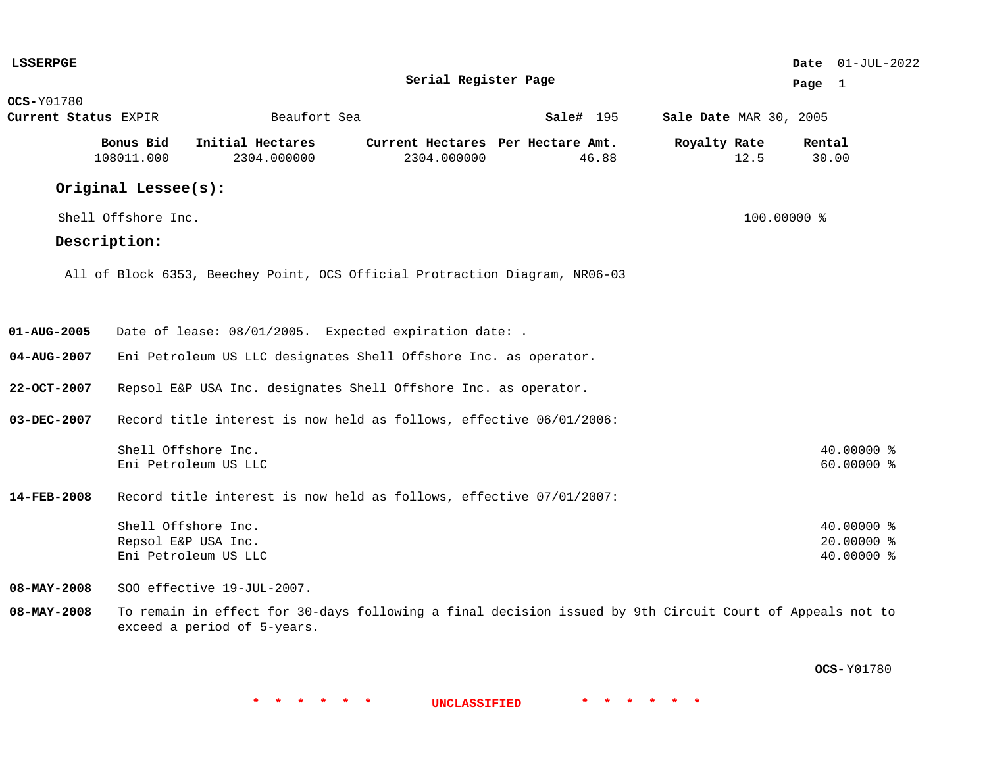| <b>LSSERPGE</b>      |                                            |                                                                             |                                                  |                                                                                                          |                        | Date 01-JUL-2022                       |
|----------------------|--------------------------------------------|-----------------------------------------------------------------------------|--------------------------------------------------|----------------------------------------------------------------------------------------------------------|------------------------|----------------------------------------|
|                      |                                            |                                                                             | Serial Register Page                             |                                                                                                          |                        | Page $1$                               |
| <b>OCS-Y01780</b>    |                                            |                                                                             |                                                  |                                                                                                          |                        |                                        |
| Current Status EXPIR |                                            | Beaufort Sea                                                                |                                                  | Sale# 195                                                                                                | Sale Date MAR 30, 2005 |                                        |
|                      | Bonus Bid<br>108011.000                    | Initial Hectares<br>2304.000000                                             | Current Hectares Per Hectare Amt.<br>2304.000000 | 46.88                                                                                                    | Royalty Rate<br>12.5   | Rental<br>30.00                        |
|                      | Original Lessee(s):                        |                                                                             |                                                  |                                                                                                          |                        |                                        |
|                      | Shell Offshore Inc.                        |                                                                             |                                                  |                                                                                                          | 100.00000 %            |                                        |
|                      | Description:                               |                                                                             |                                                  |                                                                                                          |                        |                                        |
|                      |                                            | All of Block 6353, Beechey Point, OCS Official Protraction Diagram, NR06-03 |                                                  |                                                                                                          |                        |                                        |
|                      |                                            |                                                                             |                                                  |                                                                                                          |                        |                                        |
| $01 - AUG - 2005$    |                                            | Date of lease: 08/01/2005. Expected expiration date: .                      |                                                  |                                                                                                          |                        |                                        |
| 04-AUG-2007          |                                            | Eni Petroleum US LLC designates Shell Offshore Inc. as operator.            |                                                  |                                                                                                          |                        |                                        |
| $22 - OCT - 2007$    |                                            | Repsol E&P USA Inc. designates Shell Offshore Inc. as operator.             |                                                  |                                                                                                          |                        |                                        |
| 03-DEC-2007          |                                            | Record title interest is now held as follows, effective 06/01/2006:         |                                                  |                                                                                                          |                        |                                        |
|                      | Shell Offshore Inc.                        | Eni Petroleum US LLC                                                        |                                                  |                                                                                                          |                        | 40.00000 %<br>60.00000 %               |
| 14-FEB-2008          |                                            | Record title interest is now held as follows, effective 07/01/2007:         |                                                  |                                                                                                          |                        |                                        |
|                      | Shell Offshore Inc.<br>Repsol E&P USA Inc. | Eni Petroleum US LLC                                                        |                                                  |                                                                                                          |                        | 40.00000 %<br>20.00000 %<br>40.00000 % |
| $08 - MAX - 2008$    |                                            | SOO effective 19-JUL-2007.                                                  |                                                  |                                                                                                          |                        |                                        |
| 08-MAY-2008          |                                            | exceed a period of 5-years.                                                 |                                                  | To remain in effect for 30-days following a final decision issued by 9th Circuit Court of Appeals not to |                        |                                        |

**OCS-** Y01780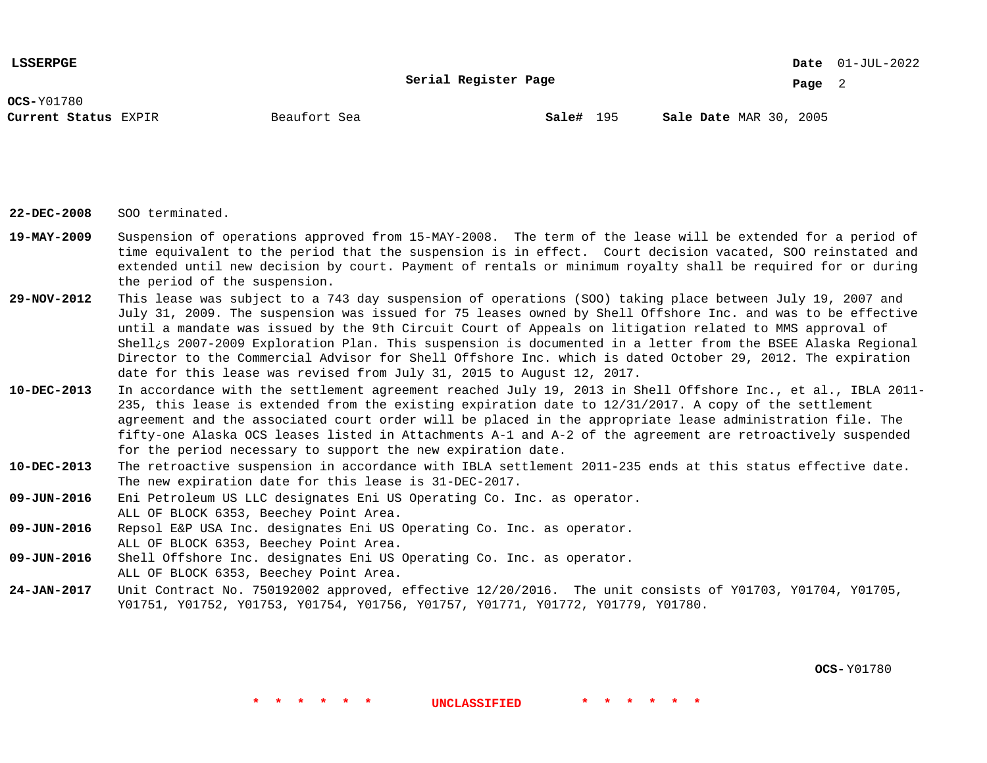**Serial Register Page**

01-JUL-2022 **Date**

**Page** 2

**OCS-**Y01780

**Current Status** EXPIR **Sale#** 195 MAR 30, 2005

**Sale#** 195

**22-DEC-2008** SOO terminated.

- **19-MAY-2009** Suspension of operations approved from 15-MAY-2008. The term of the lease will be extended for a period of time equivalent to the period that the suspension is in effect. Court decision vacated, SOO reinstated and extended until new decision by court. Payment of rentals or minimum royalty shall be required for or during the period of the suspension.
- **29-NOV-2012** This lease was subject to a 743 day suspension of operations (SOO) taking place between July 19, 2007 and July 31, 2009. The suspension was issued for 75 leases owned by Shell Offshore Inc. and was to be effective until a mandate was issued by the 9th Circuit Court of Appeals on litigation related to MMS approval of Shell¿s 2007-2009 Exploration Plan. This suspension is documented in a letter from the BSEE Alaska Regional Director to the Commercial Advisor for Shell Offshore Inc. which is dated October 29, 2012. The expiration date for this lease was revised from July 31, 2015 to August 12, 2017.
- **10-DEC-2013** In accordance with the settlement agreement reached July 19, 2013 in Shell Offshore Inc., et al., IBLA 2011- 235, this lease is extended from the existing expiration date to 12/31/2017. A copy of the settlement agreement and the associated court order will be placed in the appropriate lease administration file. The fifty-one Alaska OCS leases listed in Attachments A-1 and A-2 of the agreement are retroactively suspended for the period necessary to support the new expiration date.
- **10-DEC-2013** The retroactive suspension in accordance with IBLA settlement 2011-235 ends at this status effective date. The new expiration date for this lease is 31-DEC-2017.
- **09-JUN-2016** Eni Petroleum US LLC designates Eni US Operating Co. Inc. as operator. ALL OF BLOCK 6353, Beechey Point Area.
- **09-JUN-2016** Repsol E&P USA Inc. designates Eni US Operating Co. Inc. as operator. ALL OF BLOCK 6353, Beechey Point Area.
- **09-JUN-2016** Shell Offshore Inc. designates Eni US Operating Co. Inc. as operator. ALL OF BLOCK 6353, Beechey Point Area.
- **24-JAN-2017** Unit Contract No. 750192002 approved, effective 12/20/2016. The unit consists of Y01703, Y01704, Y01705, Y01751, Y01752, Y01753, Y01754, Y01756, Y01757, Y01771, Y01772, Y01779, Y01780.

**\* \* \* \* \* \* UNCLASSIFIED \* \* \* \* \* \***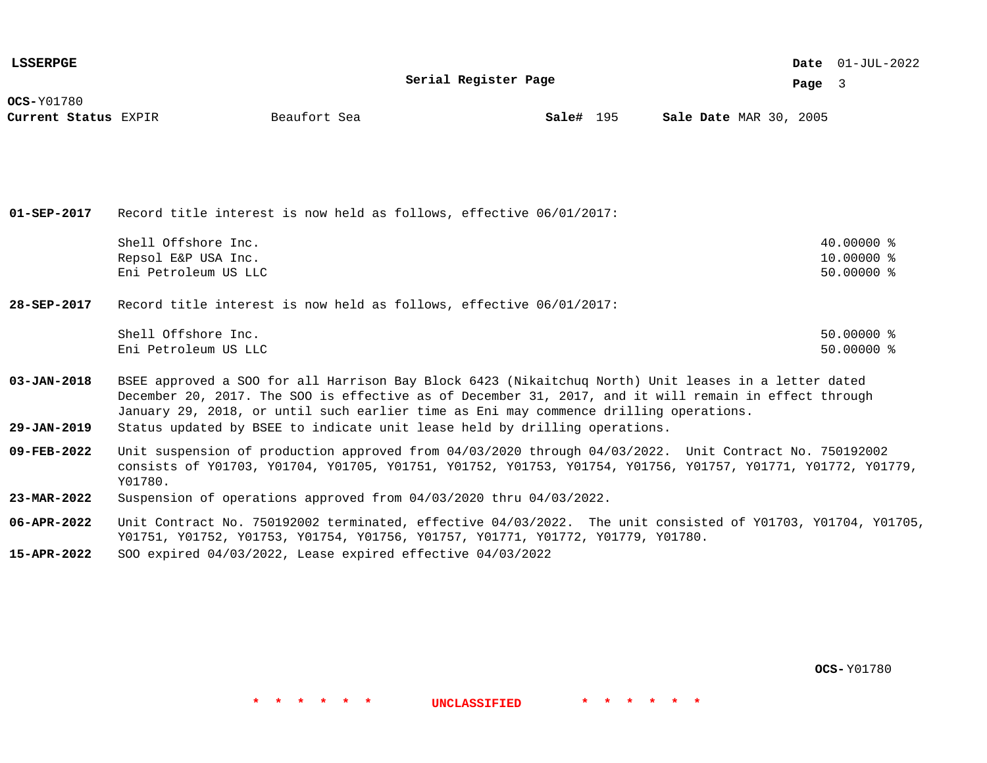| <b>LSSERPGE</b>      |                                                                                                       |              |                      |           |  |                               |        | Date $01$ -JUL-2022 |  |
|----------------------|-------------------------------------------------------------------------------------------------------|--------------|----------------------|-----------|--|-------------------------------|--------|---------------------|--|
|                      |                                                                                                       |              | Serial Register Page |           |  |                               | Page 3 |                     |  |
| <b>OCS-Y01780</b>    |                                                                                                       |              |                      |           |  |                               |        |                     |  |
| Current Status EXPIR |                                                                                                       | Beaufort Sea |                      | Sale# 195 |  | <b>Sale Date MAR 30, 2005</b> |        |                     |  |
|                      |                                                                                                       |              |                      |           |  |                               |        |                     |  |
|                      |                                                                                                       |              |                      |           |  |                               |        |                     |  |
|                      |                                                                                                       |              |                      |           |  |                               |        |                     |  |
|                      |                                                                                                       |              |                      |           |  |                               |        |                     |  |
| $01 - SEP - 2017$    | Record title interest is now held as follows, effective 06/01/2017:                                   |              |                      |           |  |                               |        |                     |  |
|                      | Shell Offshore Inc.                                                                                   |              |                      |           |  |                               |        | $40.00000$ %        |  |
|                      | Repsol E&P USA Inc.                                                                                   |              |                      |           |  |                               |        | 10.00000 %          |  |
|                      | Eni Petroleum US LLC                                                                                  |              |                      |           |  |                               |        | $50.00000$ %        |  |
| 28-SEP-2017          | Record title interest is now held as follows, effective 06/01/2017:                                   |              |                      |           |  |                               |        |                     |  |
|                      |                                                                                                       |              |                      |           |  |                               |        |                     |  |
|                      | Shell Offshore Inc.                                                                                   |              |                      |           |  |                               |        | $50.00000$ %        |  |
|                      | Eni Petroleum US LLC                                                                                  |              |                      |           |  |                               |        | $50.00000$ %        |  |
| $03 - JAN - 2018$    | BSEE approved a SOO for all Harrison Bay Block 6423 (Nikaitchuq North) Unit leases in a letter dated  |              |                      |           |  |                               |        |                     |  |
|                      | December 20, 2017. The SOO is effective as of December 31, 2017, and it will remain in effect through |              |                      |           |  |                               |        |                     |  |
|                      | January 29, 2018, or until such earlier time as Eni may commence drilling operations.                 |              |                      |           |  |                               |        |                     |  |
| $29 - JAN - 2019$    | Status updated by BSEE to indicate unit lease held by drilling operations.                            |              |                      |           |  |                               |        |                     |  |
|                      |                                                                                                       |              |                      |           |  |                               |        |                     |  |

- **09-FEB-2022** Unit suspension of production approved from 04/03/2020 through 04/03/2022. Unit Contract No. 750192002 consists of Y01703, Y01704, Y01705, Y01751, Y01752, Y01753, Y01754, Y01756, Y01757, Y01771, Y01772, Y01779, Y01780.
- **23-MAR-2022** Suspension of operations approved from 04/03/2020 thru 04/03/2022.
- **06-APR-2022** Unit Contract No. 750192002 terminated, effective 04/03/2022. The unit consisted of Y01703, Y01704, Y01705, Y01751, Y01752, Y01753, Y01754, Y01756, Y01757, Y01771, Y01772, Y01779, Y01780.

**\* \* \* \* \* \* UNCLASSIFIED \* \* \* \* \* \***

**15-APR-2022** SOO expired 04/03/2022, Lease expired effective 04/03/2022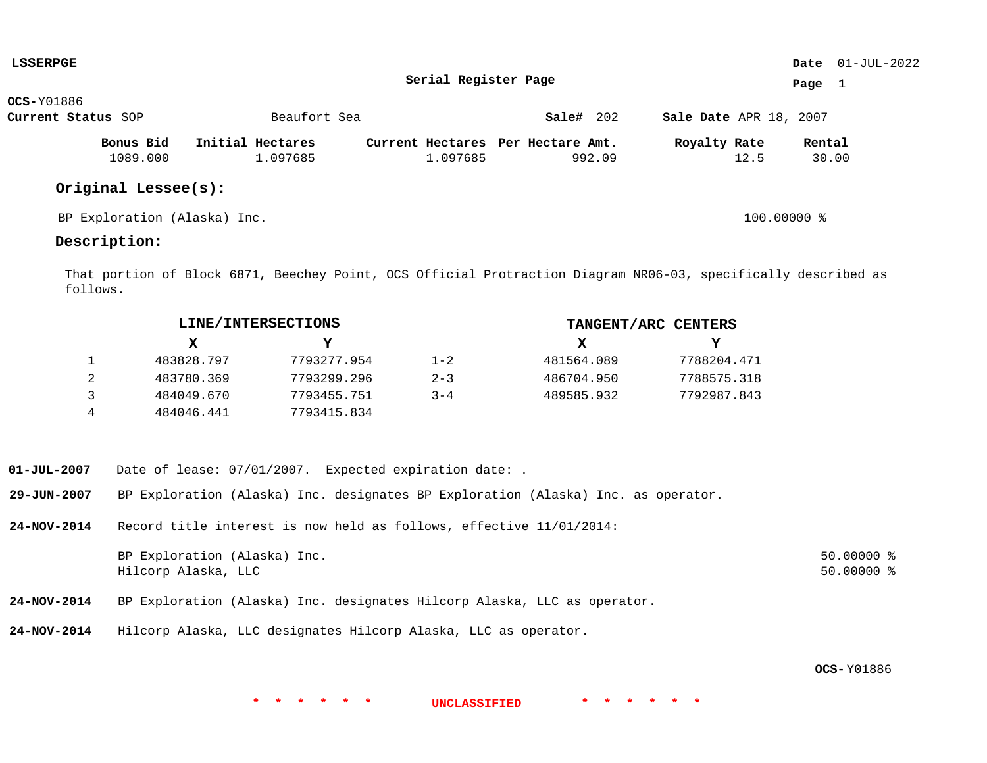| <b>LSSERPGE</b>    |                              |                  |  |                                   |           |        |                        |               |        | Date $01$ -JUL-2022 |
|--------------------|------------------------------|------------------|--|-----------------------------------|-----------|--------|------------------------|---------------|--------|---------------------|
|                    |                              |                  |  | Serial Register Page              |           |        |                        |               | Page   | 1                   |
| <b>OCS-Y01886</b>  |                              |                  |  |                                   |           |        |                        |               |        |                     |
| Current Status SOP |                              | Beaufort Sea     |  |                                   | Sale# 202 |        | Sale Date APR 18, 2007 |               |        |                     |
|                    | Bonus Bid                    | Initial Hectares |  | Current Hectares Per Hectare Amt. |           |        | Royalty Rate           |               | Rental |                     |
|                    | 1089.000                     | 1.097685         |  | 1.097685                          |           | 992.09 |                        | 12.5          | 30.00  |                     |
|                    | Original Lessee(s):          |                  |  |                                   |           |        |                        |               |        |                     |
|                    | BP Exploration (Alaska) Inc. |                  |  |                                   |           |        |                        | $100.00000$ % |        |                     |

## **Description:**

That portion of Block 6871, Beechey Point, OCS Official Protraction Diagram NR06-03, specifically described as follows.

|   |            | LINE/INTERSECTIONS |         | TANGENT/ARC CENTERS |             |  |  |
|---|------------|--------------------|---------|---------------------|-------------|--|--|
|   | X.         |                    |         | x                   | Y           |  |  |
|   | 483828.797 | 7793277.954        | $1 - 2$ | 481564.089          | 7788204.471 |  |  |
| 2 | 483780.369 | 7793299.296        | $2 - 3$ | 486704.950          | 7788575.318 |  |  |
| 3 | 484049.670 | 7793455.751        | $3 - 4$ | 489585.932          | 7792987.843 |  |  |
| 4 | 484046.441 | 7793415.834        |         |                     |             |  |  |

- **01-JUL-2007** Date of lease: 07/01/2007. Expected expiration date: .
- **29-JUN-2007** BP Exploration (Alaska) Inc. designates BP Exploration (Alaska) Inc. as operator.
- **24-NOV-2014** Record title interest is now held as follows, effective 11/01/2014:

| BP Exploration (Alaska) Inc. | $50.00000$ % |
|------------------------------|--------------|
| Hilcorp Alaska, LLC          | $50.00000$ % |

- **24-NOV-2014** BP Exploration (Alaska) Inc. designates Hilcorp Alaska, LLC as operator.
- **24-NOV-2014** Hilcorp Alaska, LLC designates Hilcorp Alaska, LLC as operator.

**OCS-** Y01886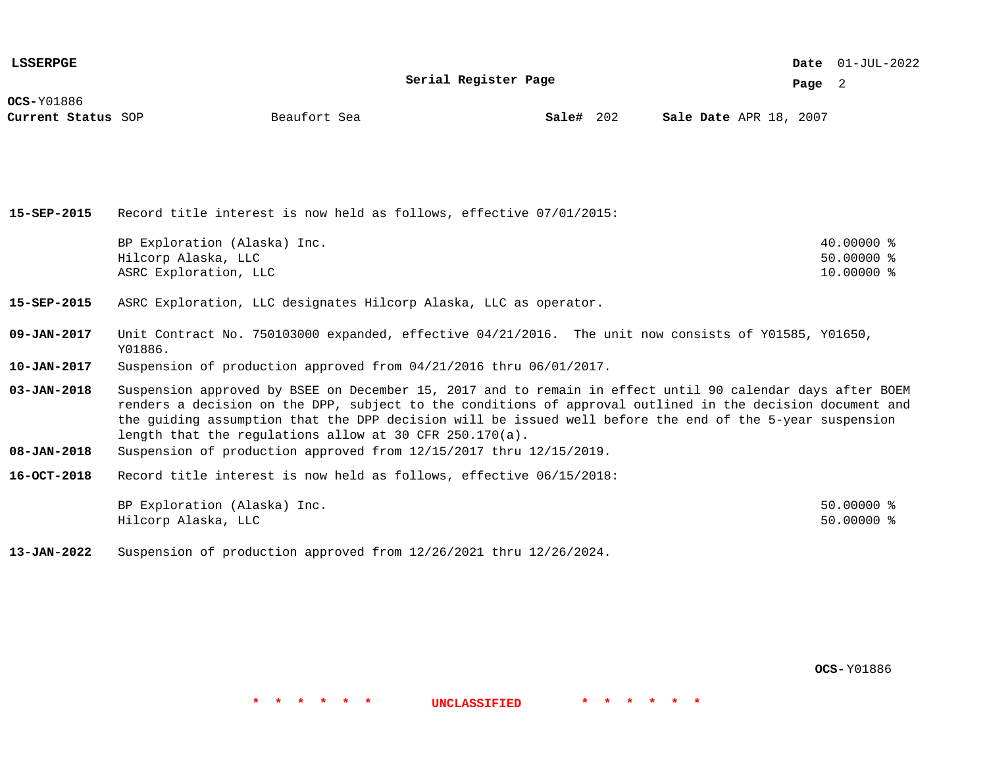**Serial Register Page**

**Page** 2

**OCS-**Y01886

**Current Status** SOP **Sale Example 302 Sale Bate APR 18, 2007 Sale Bate APR 18, 2007** 

**Sale#** 202

| $15 - SEP - 2015$                      | Record title interest is now held as follows, effective 07/01/2015:                                                                                                                                                                                                                                                                                                                                                                                                      |                            |
|----------------------------------------|--------------------------------------------------------------------------------------------------------------------------------------------------------------------------------------------------------------------------------------------------------------------------------------------------------------------------------------------------------------------------------------------------------------------------------------------------------------------------|----------------------------|
|                                        | BP Exploration (Alaska) Inc.<br>Hilcorp Alaska, LLC                                                                                                                                                                                                                                                                                                                                                                                                                      | 40.00000 %<br>$50.00000$ % |
|                                        | ASRC Exploration, LLC                                                                                                                                                                                                                                                                                                                                                                                                                                                    | 10.00000 %                 |
| 15-SEP-2015                            | ASRC Exploration, LLC designates Hilcorp Alaska, LLC as operator.                                                                                                                                                                                                                                                                                                                                                                                                        |                            |
| 09-JAN-2017                            | Unit Contract No. 750103000 expanded, effective 04/21/2016. The unit now consists of Y01585, Y01650,<br>Y01886.                                                                                                                                                                                                                                                                                                                                                          |                            |
| $10 - JAN - 2017$                      | Suspension of production approved from 04/21/2016 thru 06/01/2017.                                                                                                                                                                                                                                                                                                                                                                                                       |                            |
| $03 - JAN - 2018$<br>$08 - JAN - 2018$ | Suspension approved by BSEE on December 15, 2017 and to remain in effect until 90 calendar days after BOEM<br>renders a decision on the DPP, subject to the conditions of approval outlined in the decision document and<br>the guiding assumption that the DPP decision will be issued well before the end of the 5-year suspension<br>length that the regulations allow at 30 CFR $250.170(a)$ .<br>Suspension of production approved from 12/15/2017 thru 12/15/2019. |                            |
|                                        |                                                                                                                                                                                                                                                                                                                                                                                                                                                                          |                            |
| $16 - OCT - 2018$                      | Record title interest is now held as follows, effective 06/15/2018:                                                                                                                                                                                                                                                                                                                                                                                                      |                            |
|                                        | BP Exploration (Alaska) Inc.                                                                                                                                                                                                                                                                                                                                                                                                                                             | $50.00000$ %               |
|                                        | Hilcorp Alaska, LLC                                                                                                                                                                                                                                                                                                                                                                                                                                                      | $50.00000$ %               |

**13-JAN-2022** Suspension of production approved from 12/26/2021 thru 12/26/2024.

**OCS-** Y01886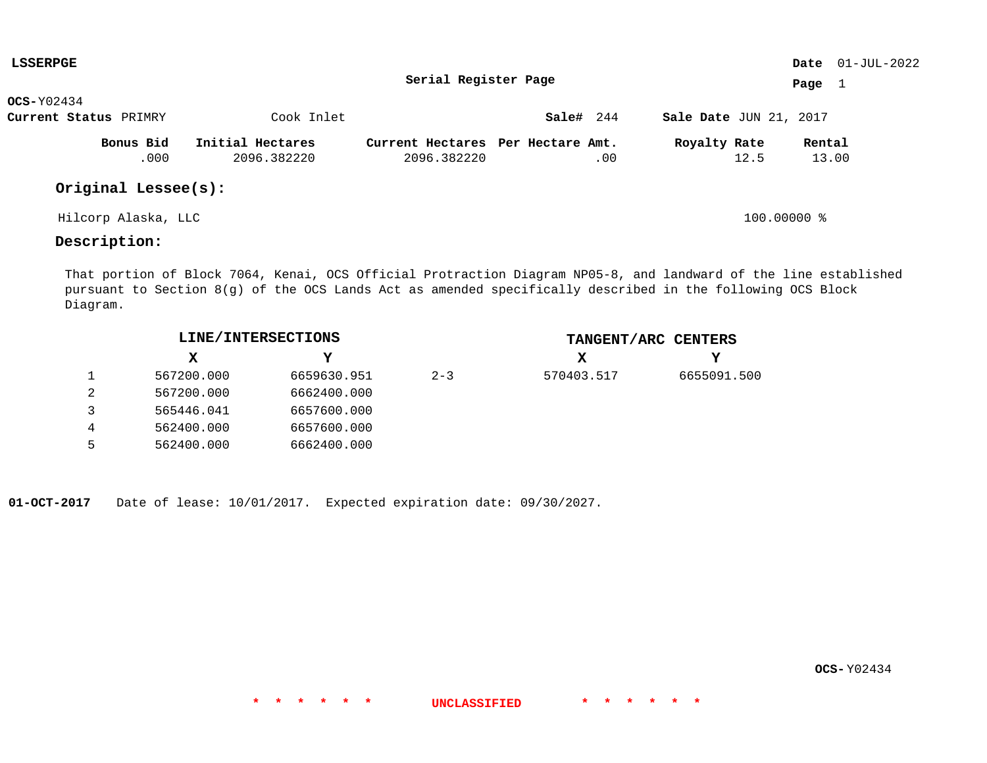| LSSERPGE              |                  |                      |                                   |                               | Date $01$ -JUL-2022 |
|-----------------------|------------------|----------------------|-----------------------------------|-------------------------------|---------------------|
|                       |                  | Serial Register Page |                                   |                               | Page $1$            |
| $OCS-Y02434$          |                  |                      |                                   |                               |                     |
| Current Status PRIMRY | Cook Inlet       |                      | Sale# 244                         | <b>Sale Date JUN 21, 2017</b> |                     |
| Bonus Bid             | Initial Hectares |                      | Current Hectares Per Hectare Amt. | Royalty Rate                  | Rental              |
| .000                  | 2096.382220      | 2096.382220          | .00                               | 12.5                          | 13.00               |
| Original Lessee(s):   |                  |                      |                                   |                               |                     |
| Hilcorp Alaska, LLC   |                  |                      |                                   | 100.00000 %                   |                     |

## **Description:**

That portion of Block 7064, Kenai, OCS Official Protraction Diagram NP05-8, and landward of the line established pursuant to Section 8(g) of the OCS Lands Act as amended specifically described in the following OCS Block Diagram.

**\* \* \* \* \* \* UNCLASSIFIED \* \* \* \* \* \***

| LINE/INTERSECTIONS |             |         | TANGENT/ARC CENTERS |             |
|--------------------|-------------|---------|---------------------|-------------|
| x                  |             |         | х                   |             |
| 567200.000         | 6659630.951 | $2 - 3$ | 570403.517          | 6655091.500 |
| 567200.000         | 6662400.000 |         |                     |             |
| 565446.041         | 6657600.000 |         |                     |             |
| 562400.000         | 6657600.000 |         |                     |             |
| 562400.000         | 6662400.000 |         |                     |             |

**01-OCT-2017** Date of lease: 10/01/2017. Expected expiration date: 09/30/2027.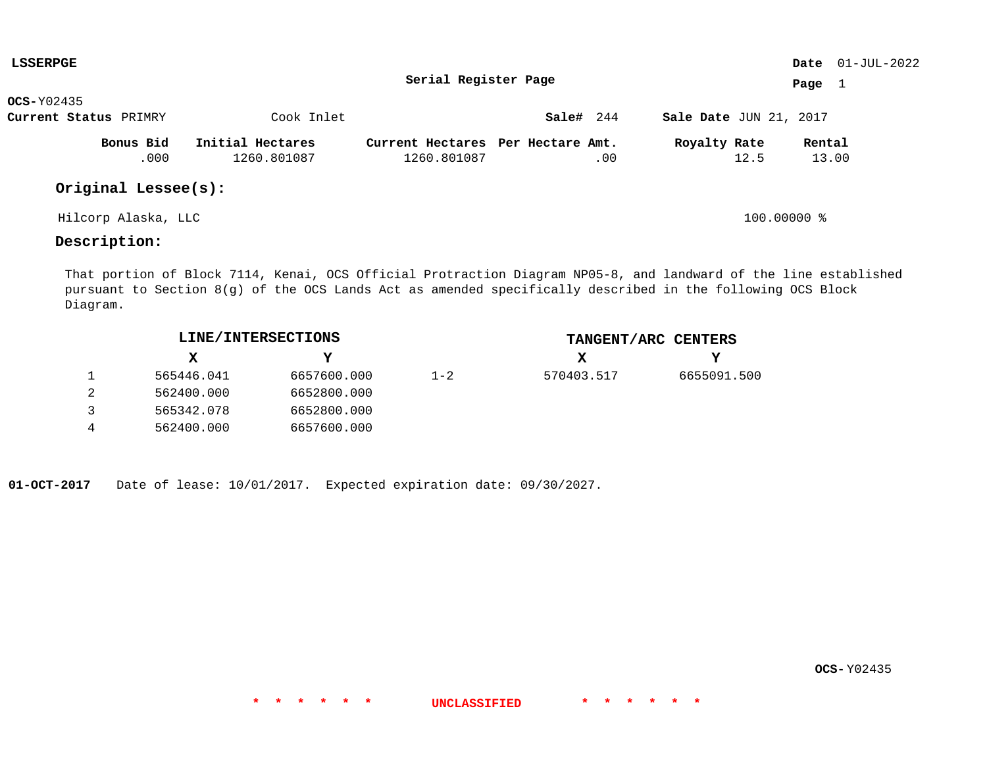| <b>LSSERPGE</b>       |                  |                      |                                   |                               | Date $01$ -JUL-2022 |
|-----------------------|------------------|----------------------|-----------------------------------|-------------------------------|---------------------|
|                       |                  | Serial Register Page |                                   |                               | Page 1              |
| $OCS-Y02435$          |                  |                      |                                   |                               |                     |
| Current Status PRIMRY | Cook Inlet       |                      | Sale# 244                         | <b>Sale Date JUN 21, 2017</b> |                     |
| Bonus Bid             | Initial Hectares |                      | Current Hectares Per Hectare Amt. | Royalty Rate                  | Rental              |
| .000                  | 1260.801087      | 1260.801087          | .00                               | 12.5                          | 13.00               |
| Original Lessee(s):   |                  |                      |                                   |                               |                     |
| Hilcorp Alaska, LLC   |                  |                      |                                   | $100.00000$ %                 |                     |

# **Description:**

That portion of Block 7114, Kenai, OCS Official Protraction Diagram NP05-8, and landward of the line established pursuant to Section 8(g) of the OCS Lands Act as amended specifically described in the following OCS Block Diagram.

**\* \* \* \* \* \* UNCLASSIFIED \* \* \* \* \* \***

|            | LINE/INTERSECTIONS |         |            | TANGENT/ARC CENTERS |
|------------|--------------------|---------|------------|---------------------|
| x          |                    |         | x          | Y                   |
| 565446.041 | 6657600.000        | $1 - 2$ | 570403.517 | 6655091.500         |
| 562400.000 | 6652800.000        |         |            |                     |
| 565342.078 | 6652800.000        |         |            |                     |
| 562400.000 | 6657600.000        |         |            |                     |

**01-OCT-2017** Date of lease: 10/01/2017. Expected expiration date: 09/30/2027.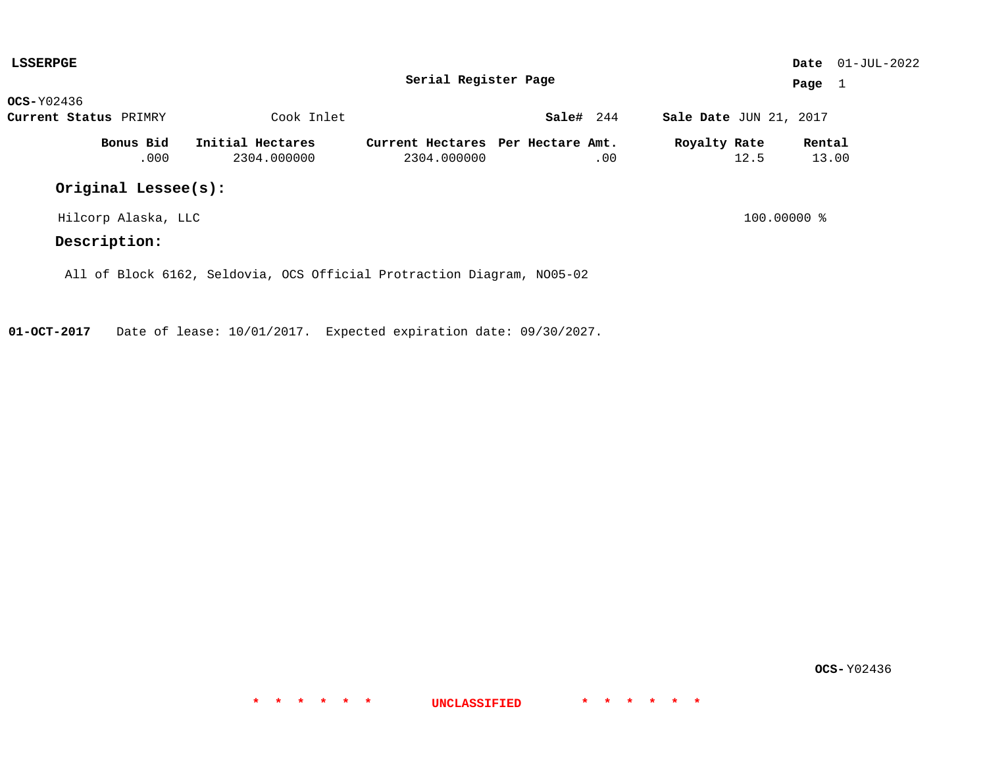| <b>LSSERPGE</b>       |                     |                                                                        |                                                  |           |               |                        |      |                 | <b>Date</b> $01-JUL-2022$ |
|-----------------------|---------------------|------------------------------------------------------------------------|--------------------------------------------------|-----------|---------------|------------------------|------|-----------------|---------------------------|
| Serial Register Page  |                     |                                                                        |                                                  |           |               | Page $1$               |      |                 |                           |
| $OCS-Y02436$          |                     |                                                                        |                                                  |           |               |                        |      |                 |                           |
| Current Status PRIMRY |                     | Cook Inlet                                                             |                                                  | Sale# 244 |               | Sale Date JUN 21, 2017 |      |                 |                           |
|                       | Bonus Bid<br>.000   | Initial Hectares<br>2304.000000                                        | Current Hectares Per Hectare Amt.<br>2304.000000 |           | .00           | Royalty Rate           | 12.5 | Rental<br>13.00 |                           |
|                       | Original Lessee(s): |                                                                        |                                                  |           |               |                        |      |                 |                           |
| Hilcorp Alaska, LLC   |                     |                                                                        |                                                  |           | $100.00000$ % |                        |      |                 |                           |
| Description:          |                     |                                                                        |                                                  |           |               |                        |      |                 |                           |
|                       |                     | All of Block 6162, Seldovia, OCS Official Protraction Diagram, NO05-02 |                                                  |           |               |                        |      |                 |                           |

**01-OCT-2017** Date of lease: 10/01/2017. Expected expiration date: 09/30/2027.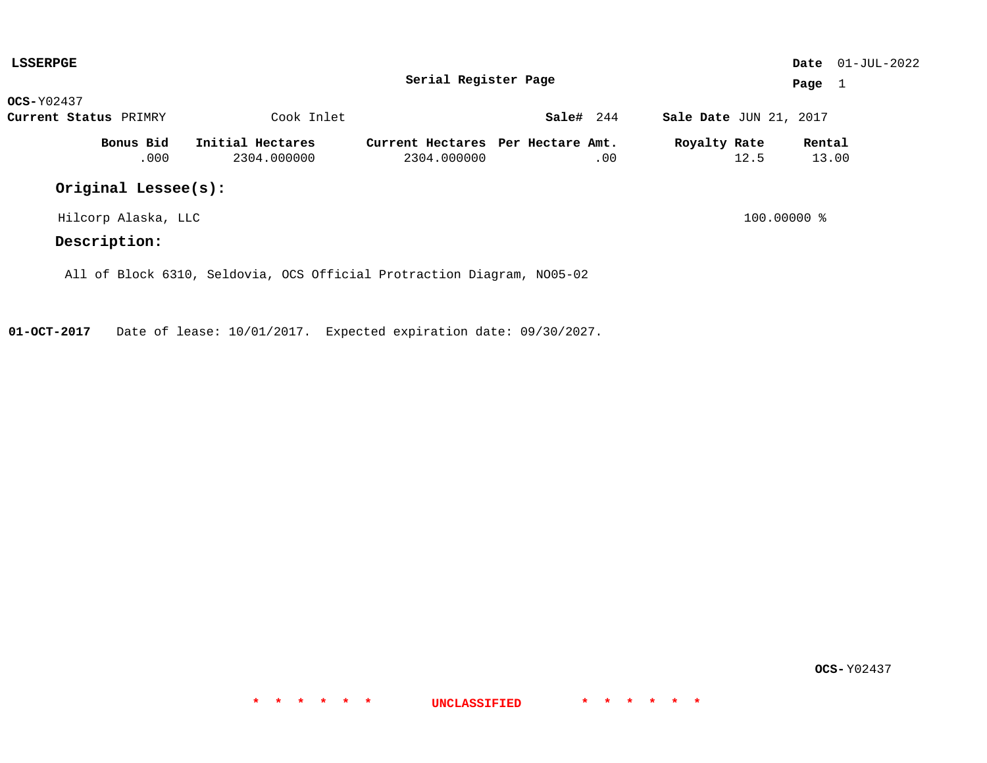| <b>LSSERPGE</b>       |                                                                        |            |                                                  |           |     |                        |          |                 | <b>Date</b> $01-JUL-2022$ |
|-----------------------|------------------------------------------------------------------------|------------|--------------------------------------------------|-----------|-----|------------------------|----------|-----------------|---------------------------|
| Serial Register Page  |                                                                        |            |                                                  |           |     |                        | Page $1$ |                 |                           |
| $OCS-Y02437$          |                                                                        |            |                                                  |           |     |                        |          |                 |                           |
| Current Status PRIMRY |                                                                        | Cook Inlet |                                                  | Sale# 244 |     | Sale Date JUN 21, 2017 |          |                 |                           |
| Bonus Bid<br>.000     | Initial Hectares<br>2304.000000                                        |            | Current Hectares Per Hectare Amt.<br>2304.000000 |           | .00 | Royalty Rate           | 12.5     | Rental<br>13.00 |                           |
| Original Lessee(s):   |                                                                        |            |                                                  |           |     |                        |          |                 |                           |
| Hilcorp Alaska, LLC   |                                                                        |            |                                                  |           |     | $100.00000$ %          |          |                 |                           |
| Description:          |                                                                        |            |                                                  |           |     |                        |          |                 |                           |
|                       | All of Block 6310, Seldovia, OCS Official Protraction Diagram, NO05-02 |            |                                                  |           |     |                        |          |                 |                           |

**01-OCT-2017** Date of lease: 10/01/2017. Expected expiration date: 09/30/2027.

**OCS-** Y02437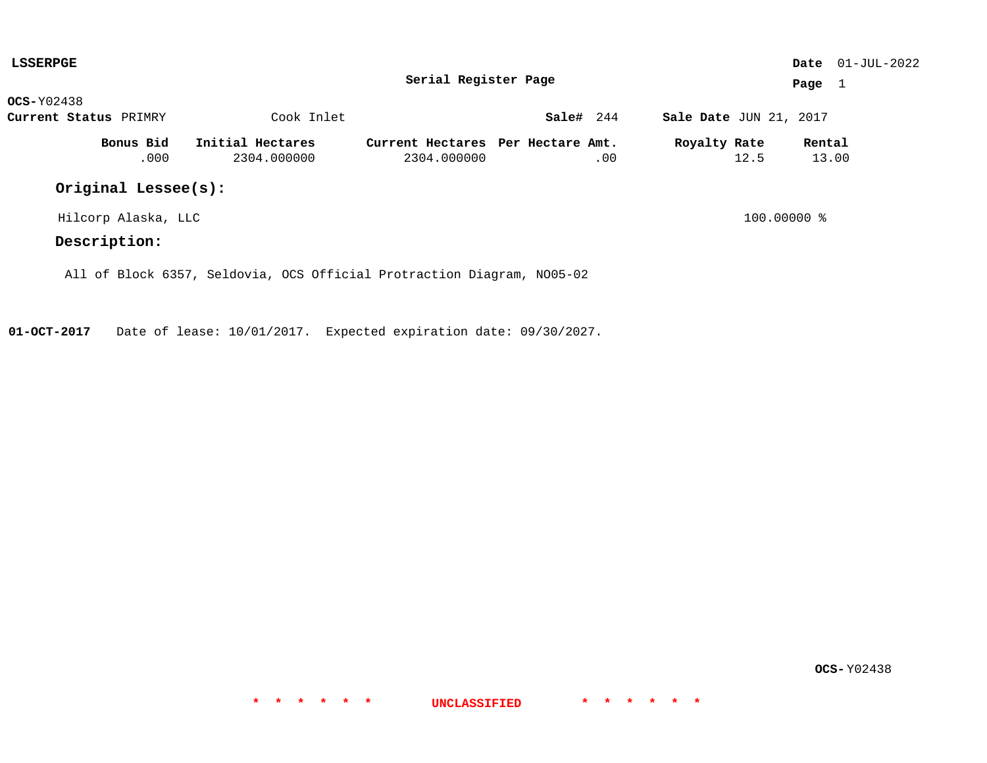| <b>LSSERPGE</b>       |                     |                                                                        |                                                  |           |             |                        |      |                 | <b>Date</b> $01-JUL-2022$ |
|-----------------------|---------------------|------------------------------------------------------------------------|--------------------------------------------------|-----------|-------------|------------------------|------|-----------------|---------------------------|
| Serial Register Page  |                     |                                                                        |                                                  |           |             |                        |      | Page $1$        |                           |
| $OCS-Y02438$          |                     |                                                                        |                                                  |           |             |                        |      |                 |                           |
| Current Status PRIMRY |                     | Cook Inlet                                                             |                                                  | Sale# 244 |             | Sale Date JUN 21, 2017 |      |                 |                           |
|                       | Bonus Bid<br>.000   | Initial Hectares<br>2304.000000                                        | Current Hectares Per Hectare Amt.<br>2304.000000 |           | .00         | Royalty Rate           | 12.5 | Rental<br>13.00 |                           |
|                       | Original Lessee(s): |                                                                        |                                                  |           |             |                        |      |                 |                           |
| Hilcorp Alaska, LLC   |                     |                                                                        |                                                  |           | 100.00000 % |                        |      |                 |                           |
| Description:          |                     |                                                                        |                                                  |           |             |                        |      |                 |                           |
|                       |                     | All of Block 6357, Seldovia, OCS Official Protraction Diagram, NO05-02 |                                                  |           |             |                        |      |                 |                           |

**01-OCT-2017** Date of lease: 10/01/2017. Expected expiration date: 09/30/2027.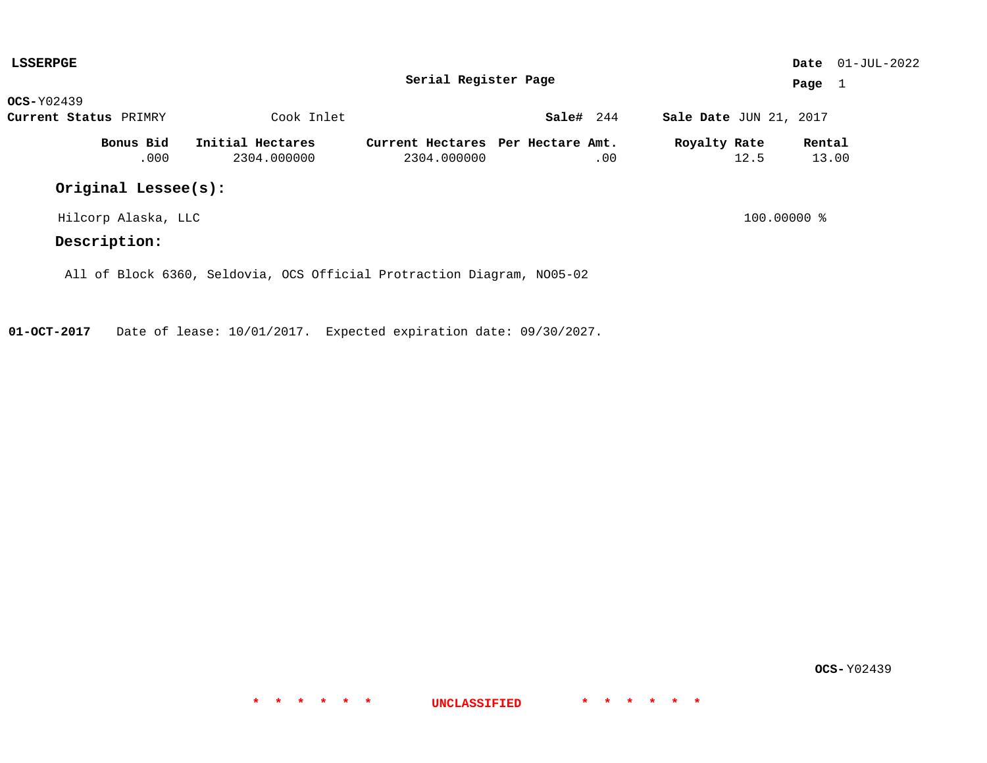| <b>LSSERPGE</b>       |                                 |                                                                        |           |                        |      |                 | <b>Date</b> $01-JUL-2022$ |
|-----------------------|---------------------------------|------------------------------------------------------------------------|-----------|------------------------|------|-----------------|---------------------------|
|                       |                                 | Serial Register Page                                                   |           |                        |      | Page $1$        |                           |
| $OCS-Y02439$          |                                 |                                                                        |           |                        |      |                 |                           |
| Current Status PRIMRY | Cook Inlet                      |                                                                        | Sale# 244 | Sale Date JUN 21, 2017 |      |                 |                           |
| Bonus Bid<br>.000     | Initial Hectares<br>2304.000000 | Current Hectares Per Hectare Amt.<br>2304.000000                       | .00       | Royalty Rate           | 12.5 | Rental<br>13.00 |                           |
| Original Lessee(s):   |                                 |                                                                        |           |                        |      |                 |                           |
| Hilcorp Alaska, LLC   |                                 |                                                                        |           | 100.00000 %            |      |                 |                           |
| Description:          |                                 |                                                                        |           |                        |      |                 |                           |
|                       |                                 | All of Block 6360, Seldovia, OCS Official Protraction Diagram, NO05-02 |           |                        |      |                 |                           |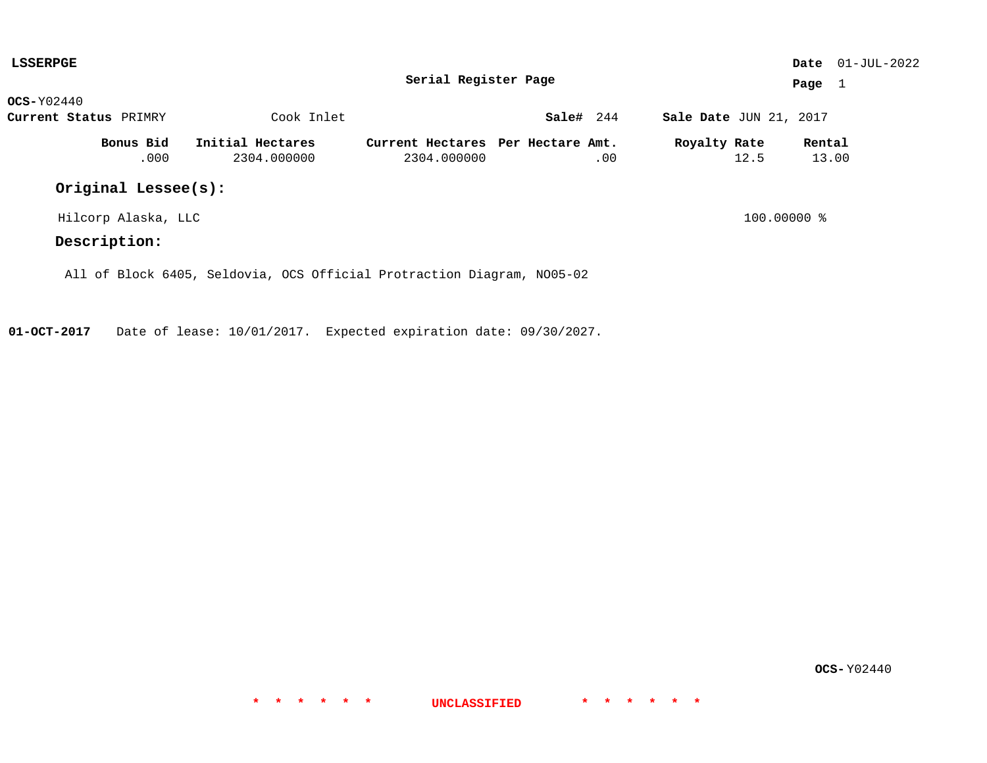| <b>LSSERPGE</b>       |                   |                                                                        |                                                  |           |                        |               |                 | <b>Date</b> $01-JUL-2022$ |
|-----------------------|-------------------|------------------------------------------------------------------------|--------------------------------------------------|-----------|------------------------|---------------|-----------------|---------------------------|
|                       |                   |                                                                        | Serial Register Page                             |           |                        |               | Page 1          |                           |
| $OCS-Y02440$          |                   |                                                                        |                                                  |           |                        |               |                 |                           |
| Current Status PRIMRY |                   | Cook Inlet                                                             |                                                  | Sale# 244 | Sale Date JUN 21, 2017 |               |                 |                           |
|                       | Bonus Bid<br>.000 | Initial Hectares<br>2304.000000                                        | Current Hectares Per Hectare Amt.<br>2304.000000 | .00       | Royalty Rate           | 12.5          | Rental<br>13.00 |                           |
| Original Lessee(s):   |                   |                                                                        |                                                  |           |                        |               |                 |                           |
| Hilcorp Alaska, LLC   |                   |                                                                        |                                                  |           |                        | $100.00000$ % |                 |                           |
| Description:          |                   |                                                                        |                                                  |           |                        |               |                 |                           |
|                       |                   | All of Block 6405, Seldovia, OCS Official Protraction Diagram, NO05-02 |                                                  |           |                        |               |                 |                           |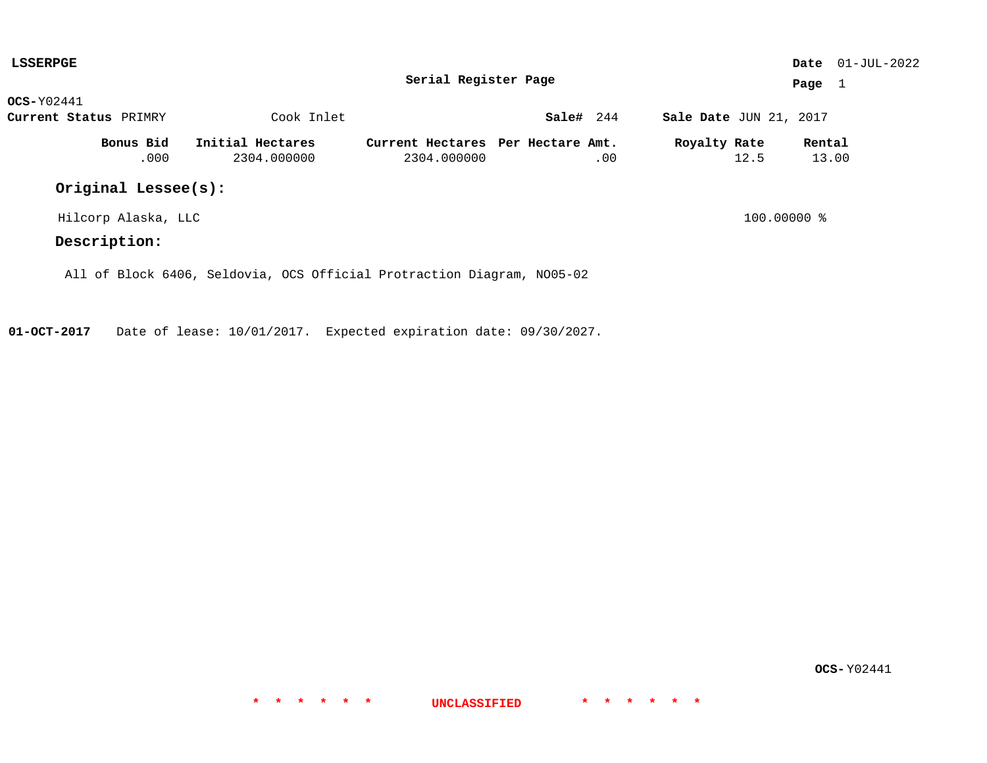| <b>LSSERPGE</b>       |                                                                        |                                                  |           |                        | <b>Date</b> $01-JUL-2022$ |  |  |
|-----------------------|------------------------------------------------------------------------|--------------------------------------------------|-----------|------------------------|---------------------------|--|--|
|                       |                                                                        | Serial Register Page                             |           |                        | Page $1$                  |  |  |
| $OCS-Y02441$          |                                                                        |                                                  |           |                        |                           |  |  |
| Current Status PRIMRY | Cook Inlet                                                             |                                                  | Sale# 244 | Sale Date JUN 21, 2017 |                           |  |  |
| Bonus Bid<br>.000     | Initial Hectares<br>2304.000000                                        | Current Hectares Per Hectare Amt.<br>2304.000000 | .00       | Royalty Rate<br>12.5   | Rental<br>13.00           |  |  |
| Original Lessee(s):   |                                                                        |                                                  |           |                        |                           |  |  |
| Hilcorp Alaska, LLC   |                                                                        |                                                  |           | $100.00000$ %          |                           |  |  |
| Description:          |                                                                        |                                                  |           |                        |                           |  |  |
|                       | All of Block 6406, Seldovia, OCS Official Protraction Diagram, NO05-02 |                                                  |           |                        |                           |  |  |

**OCS-** Y02441

**\* \* \* \* \* \* UNCLASSIFIED \* \* \* \* \* \***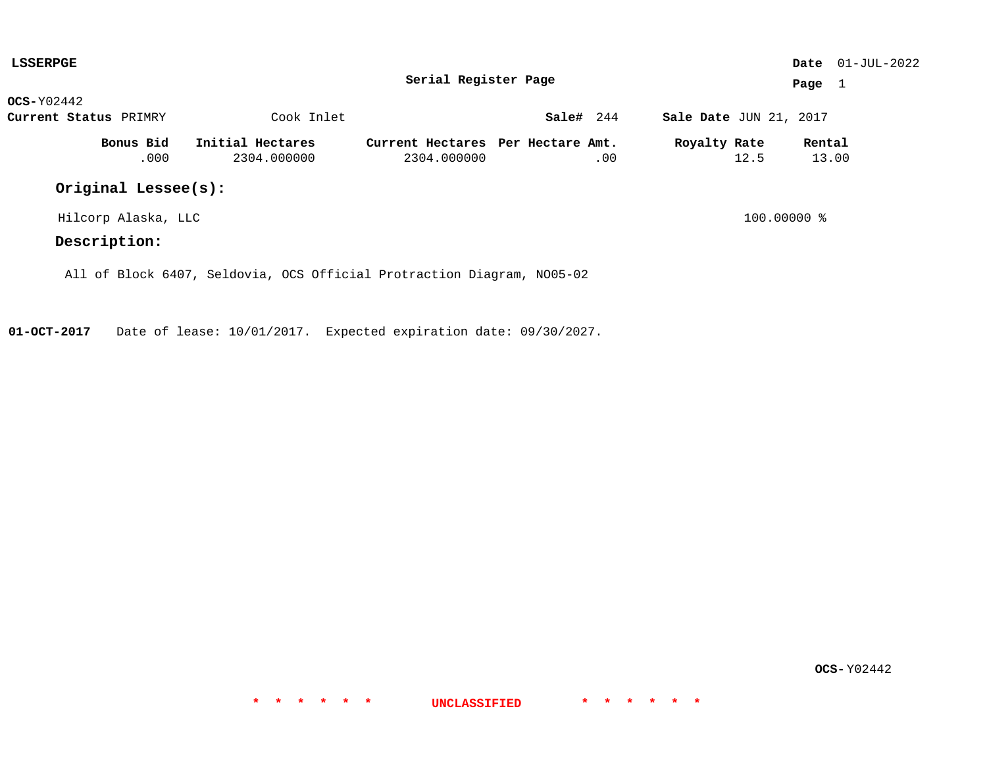| <b>LSSERPGE</b>       |                                                                        |                                                  |           |                        | <b>Date</b> $01-JUL-2022$ |  |  |
|-----------------------|------------------------------------------------------------------------|--------------------------------------------------|-----------|------------------------|---------------------------|--|--|
|                       |                                                                        | Serial Register Page                             |           |                        | Page $1$                  |  |  |
| $OCS-Y02442$          |                                                                        |                                                  |           |                        |                           |  |  |
| Current Status PRIMRY | Cook Inlet                                                             |                                                  | Sale# 244 | Sale Date JUN 21, 2017 |                           |  |  |
| Bonus Bid<br>.000     | Initial Hectares<br>2304.000000                                        | Current Hectares Per Hectare Amt.<br>2304.000000 | .00       | Royalty Rate<br>12.5   | Rental<br>13.00           |  |  |
| Original Lessee(s):   |                                                                        |                                                  |           |                        |                           |  |  |
| Hilcorp Alaska, LLC   |                                                                        |                                                  |           | $100.00000$ %          |                           |  |  |
| Description:          |                                                                        |                                                  |           |                        |                           |  |  |
|                       | All of Block 6407, Seldovia, OCS Official Protraction Diagram, NO05-02 |                                                  |           |                        |                           |  |  |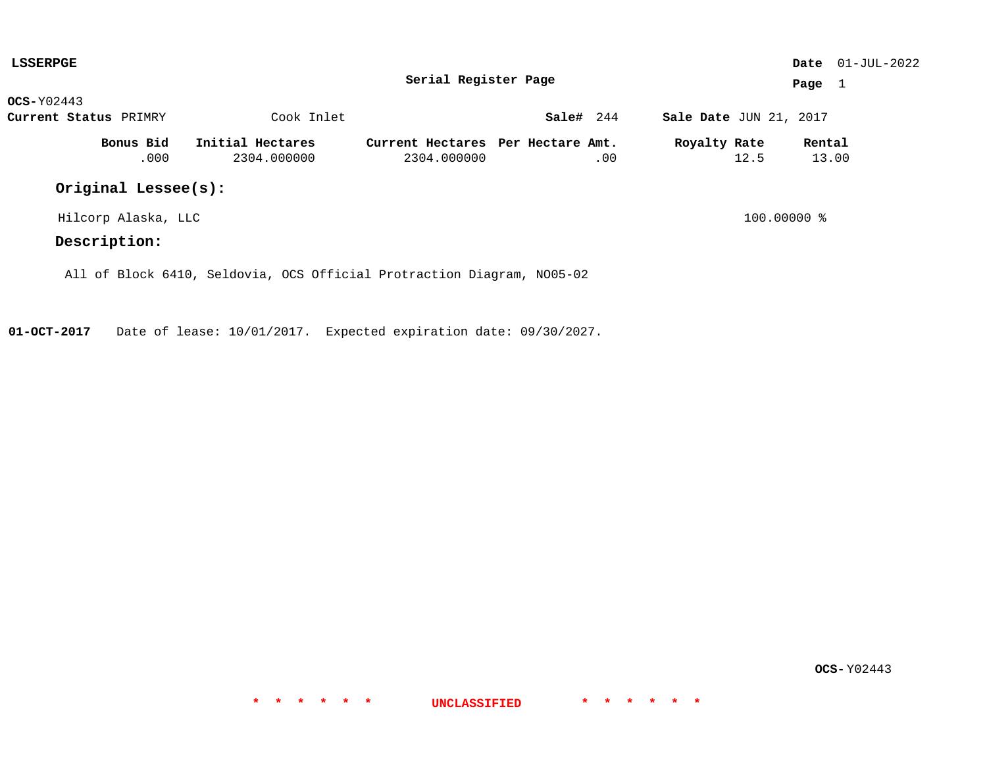| <b>LSSERPGE</b>       |                  |             |                                                                        |           |                        |      |                 | <b>Date</b> $01-JUL-2022$ |
|-----------------------|------------------|-------------|------------------------------------------------------------------------|-----------|------------------------|------|-----------------|---------------------------|
|                       |                  |             | Serial Register Page                                                   |           |                        |      | Page $1$        |                           |
| $OCS-Y02443$          |                  |             |                                                                        |           |                        |      |                 |                           |
| Current Status PRIMRY |                  | Cook Inlet  |                                                                        | Sale# 244 | Sale Date JUN 21, 2017 |      |                 |                           |
| Bonus Bid<br>.000     | Initial Hectares | 2304.000000 | Current Hectares Per Hectare Amt.<br>2304.000000                       | .00       | Royalty Rate           | 12.5 | Rental<br>13.00 |                           |
| Original Lessee(s):   |                  |             |                                                                        |           |                        |      |                 |                           |
| Hilcorp Alaska, LLC   |                  |             |                                                                        |           | $100.00000$ %          |      |                 |                           |
| Description:          |                  |             |                                                                        |           |                        |      |                 |                           |
|                       |                  |             | All of Block 6410, Seldovia, OCS Official Protraction Diagram, NO05-02 |           |                        |      |                 |                           |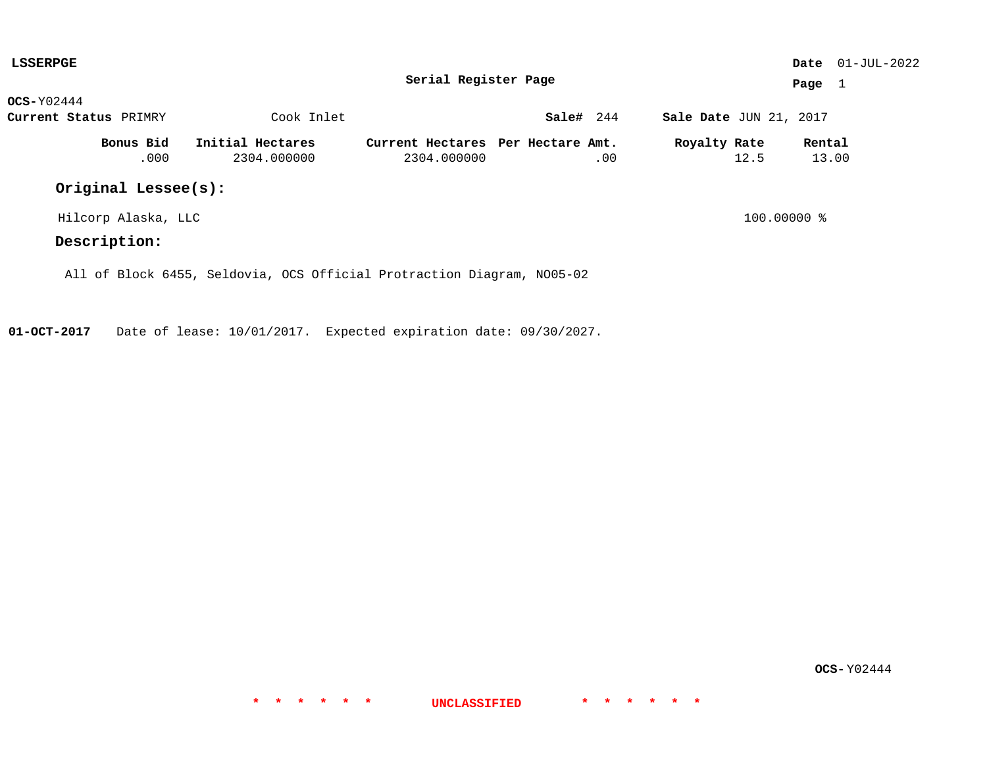| <b>LSSERPGE</b>       |                                                                        |                                                  |           |                        | <b>Date</b> $01-JUL-2022$ |  |  |
|-----------------------|------------------------------------------------------------------------|--------------------------------------------------|-----------|------------------------|---------------------------|--|--|
|                       |                                                                        | Serial Register Page                             |           |                        | Page $1$                  |  |  |
| $OCS-Y02444$          |                                                                        |                                                  |           |                        |                           |  |  |
| Current Status PRIMRY | Cook Inlet                                                             |                                                  | Sale# 244 | Sale Date JUN 21, 2017 |                           |  |  |
| Bonus Bid<br>.000     | Initial Hectares<br>2304.000000                                        | Current Hectares Per Hectare Amt.<br>2304.000000 | .00       | Royalty Rate<br>12.5   | Rental<br>13.00           |  |  |
| Original Lessee(s):   |                                                                        |                                                  |           |                        |                           |  |  |
| Hilcorp Alaska, LLC   |                                                                        |                                                  |           | $100.00000$ %          |                           |  |  |
| Description:          |                                                                        |                                                  |           |                        |                           |  |  |
|                       | All of Block 6455, Seldovia, OCS Official Protraction Diagram, NO05-02 |                                                  |           |                        |                           |  |  |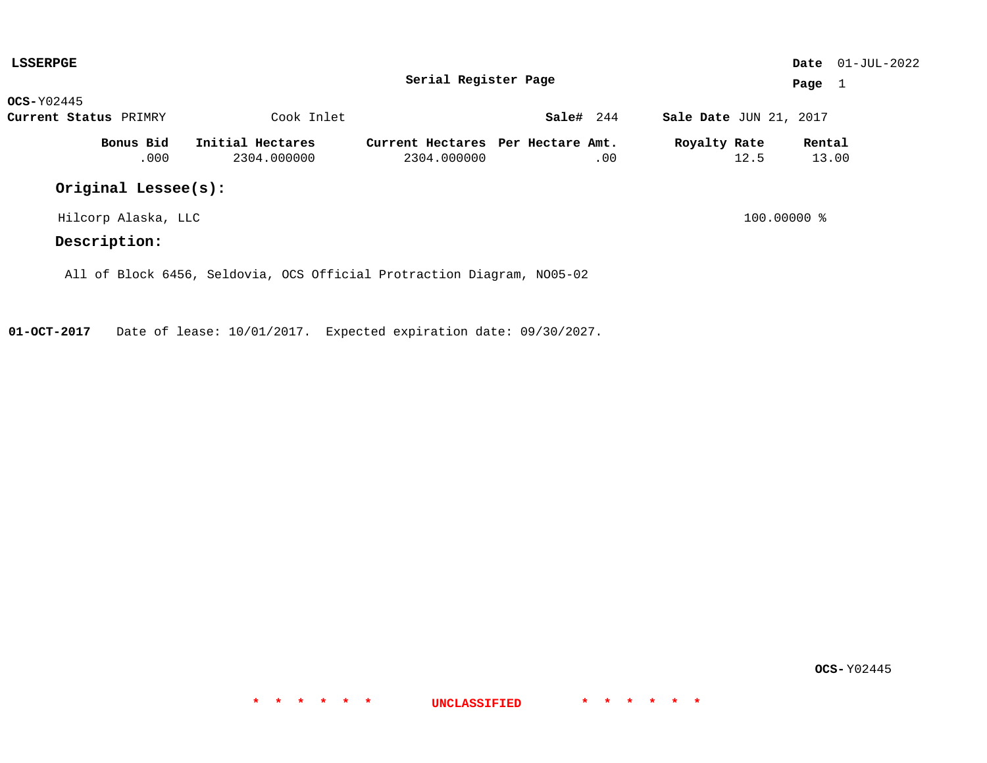| <b>LSSERPGE</b>       |                                                                        |                                                  |           |                        | <b>Date</b> $01-JUL-2022$ |  |  |
|-----------------------|------------------------------------------------------------------------|--------------------------------------------------|-----------|------------------------|---------------------------|--|--|
|                       |                                                                        | Serial Register Page                             |           |                        | Page $1$                  |  |  |
| $OCS-Y02445$          |                                                                        |                                                  |           |                        |                           |  |  |
| Current Status PRIMRY | Cook Inlet                                                             |                                                  | Sale# 244 | Sale Date JUN 21, 2017 |                           |  |  |
| Bonus Bid<br>.000     | Initial Hectares<br>2304.000000                                        | Current Hectares Per Hectare Amt.<br>2304.000000 | .00       | Royalty Rate<br>12.5   | Rental<br>13.00           |  |  |
| Original Lessee(s):   |                                                                        |                                                  |           |                        |                           |  |  |
| Hilcorp Alaska, LLC   |                                                                        |                                                  |           | $100.00000$ %          |                           |  |  |
| Description:          |                                                                        |                                                  |           |                        |                           |  |  |
|                       | All of Block 6456, Seldovia, OCS Official Protraction Diagram, NO05-02 |                                                  |           |                        |                           |  |  |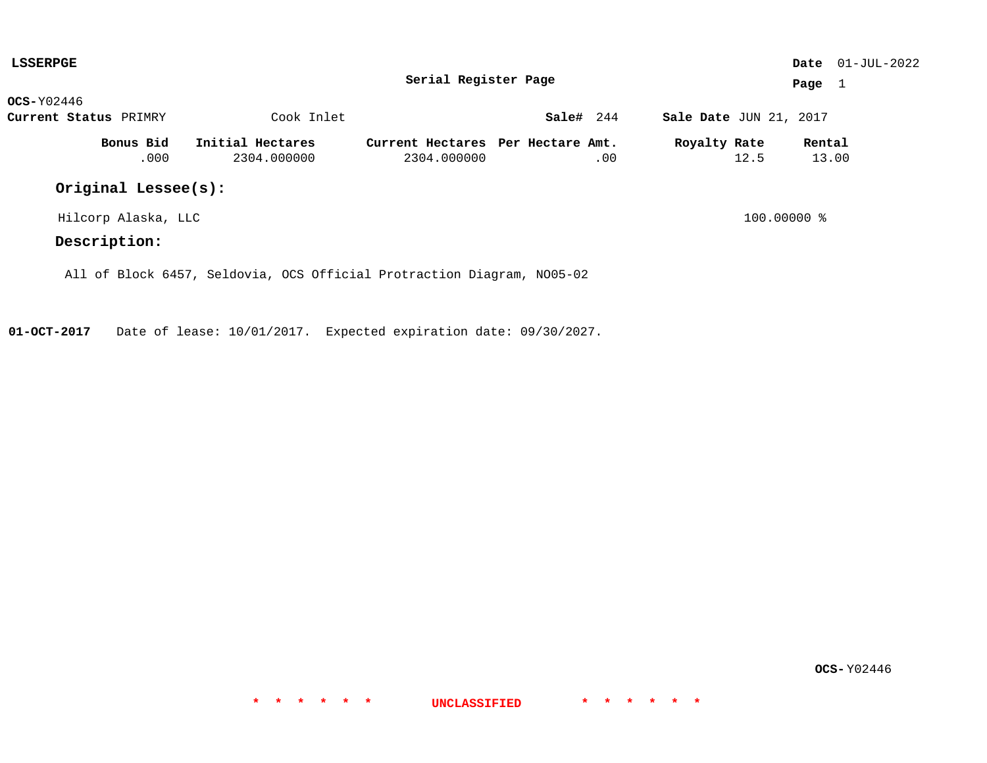| <b>LSSERPGE</b>       |                     |                                                                        |                                                  |           |     |                        |      |                 | <b>Date</b> $01-JUL-2022$ |
|-----------------------|---------------------|------------------------------------------------------------------------|--------------------------------------------------|-----------|-----|------------------------|------|-----------------|---------------------------|
|                       |                     |                                                                        | Serial Register Page                             |           |     |                        |      | Page $1$        |                           |
| $OCS-Y02446$          |                     |                                                                        |                                                  |           |     |                        |      |                 |                           |
| Current Status PRIMRY |                     | Cook Inlet                                                             |                                                  | Sale# 244 |     | Sale Date JUN 21, 2017 |      |                 |                           |
|                       | Bonus Bid<br>.000   | Initial Hectares<br>2304.000000                                        | Current Hectares Per Hectare Amt.<br>2304.000000 |           | .00 | Royalty Rate           | 12.5 | Rental<br>13.00 |                           |
|                       | Original Lessee(s): |                                                                        |                                                  |           |     |                        |      |                 |                           |
|                       | Hilcorp Alaska, LLC |                                                                        |                                                  |           |     | $100.00000$ %          |      |                 |                           |
| Description:          |                     |                                                                        |                                                  |           |     |                        |      |                 |                           |
|                       |                     | All of Block 6457, Seldovia, OCS Official Protraction Diagram, NO05-02 |                                                  |           |     |                        |      |                 |                           |